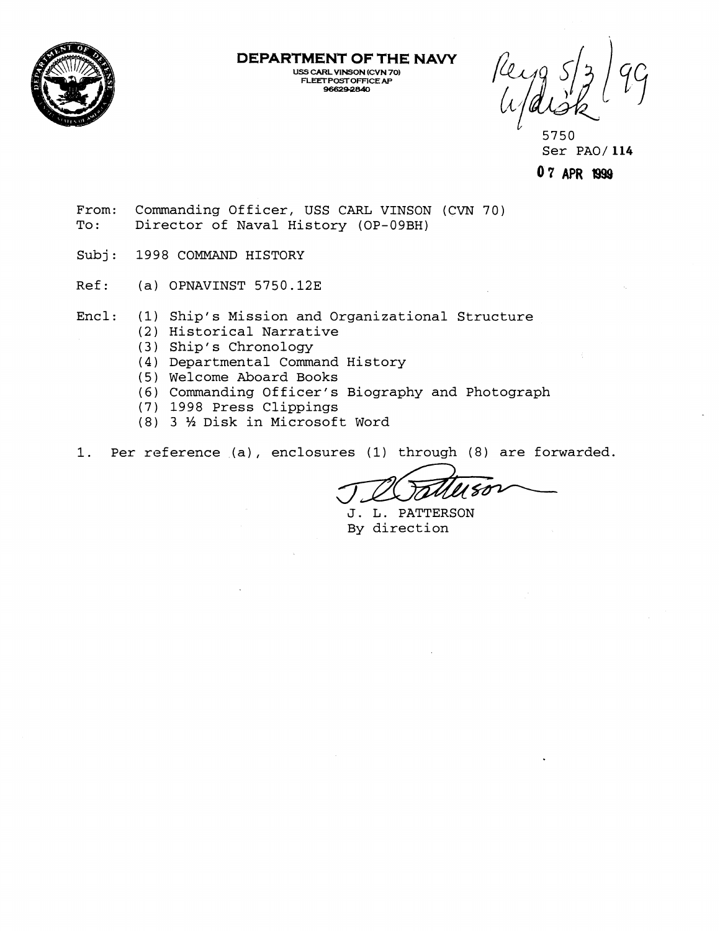

**DEPARTMENT OF THE NAVY** 

**USS CARL VlNSON (CVN 70) FLEET POST OFFICE AP 96629-240** 

5750 Ser PA0/ 114

**0 7 APR W99** 

- From: Commanding Officer, USS CARL VINSON (CVN 70) To: Director of Naval History (OP-09BH)
- Subj: 1998 COMMAND HISTORY
- Ref: (a) OPNAVINST 5750.12E

Encl: (1) Ship's Mission and Organizational Structure

- (2) Historical Narrative
- (3) Ship's Chronology
- (4) Departmental Command History
- (5) Welcome Aboard Books
- (6) Commanding Officer's Biography and Photograph
- (7) 1998 Press Clippings
- (8) 3 ½ Disk in Microsoft Word

1. Per reference (a), enclosures (1) through (8) are forwarded.

J. L. PATTERSON By direction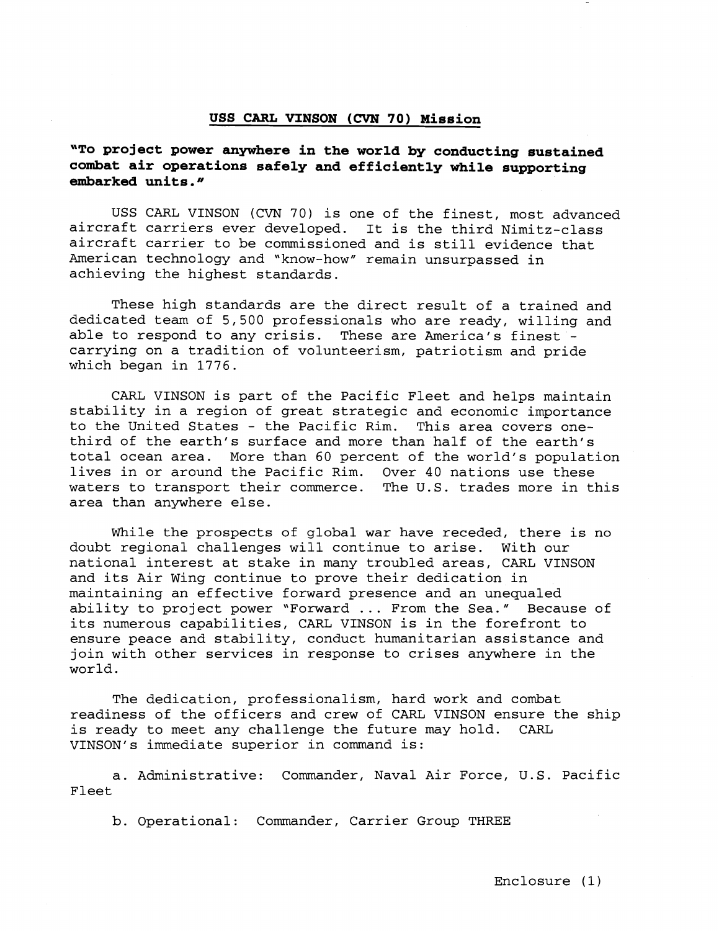#### **USS CARL VINSON** (CVN **70) Mission**

**"To project power anywhere in the world by conducting sustained combat air operations safely and efficiently while supporting embarked units."** 

USS CARL VINSON (CVN 70) is one of the finest, most advanced aircraft carriers ever developed. It is the third Nimitz-class aircraft carrier to be commissioned and is still evidence that American technology and "know-how" remain unsurpassed in achieving the highest standards.

These high standards are the direct result of a trained and dedicated team of 5,500 professionals who are ready, willing and able to respond to any crisis. These are America's finest carrying on a tradition of volunteerism, patriotism and pride which began in 1776.

CARL VINSON is part of the Pacific Fleet and helps maintain stability in a region of great strategic and economic importance to the United States - the Pacific Rim. This area covers onethird of the earth's surface and more than half of the earth's total ocean area. More than 60 percent of the world's population lives in or around the Pacific Rim. Over 40 nations use these waters to transport their commerce. The U.S. trades more in this area than anywhere else.

While the prospects of global war have receded, there is no doubt regional challenges will continue to arise. With our national interest at stake in many troubled areas, CARL VINSON and its Air Wing continue to prove their dedication in maintaining an effective forward presence and an unequaled ability to project power "Forward ... From the Sea." Because of its numerous capabilities, CARL VINSON is in the forefront to ensure peace and stability, conduct humanitarian assistance and join with other services in response to crises anywhere in the world.

The dedication, professionalism, hard work and combat readiness of the officers and crew of CARL VINSON ensure the ship is ready to meet any challenge the future may hold. CARL VINSON's immediate superior in command is:

a. Administrative: Commander, Naval Air Force, U.S. Pacific Fleet

b. Operational: Commander, Carrier Group THREE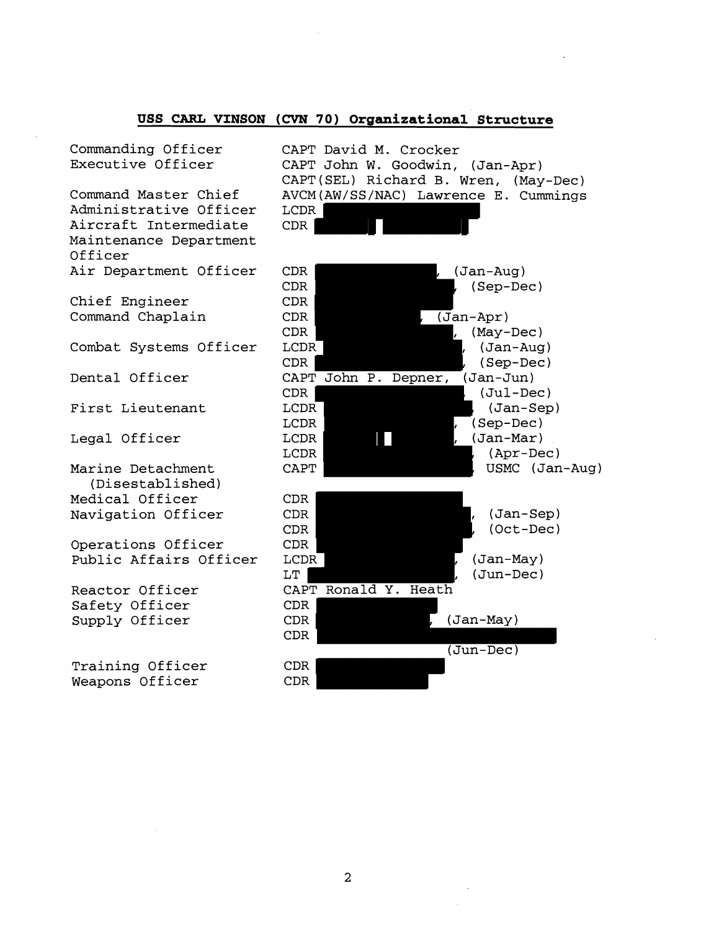# **USS CARL VINSON (CVN 70) Organizational Structure**

Commanding Officer Executive Officer

Command Master Chief Administrative Officer Aircraft Intermediate Maintenance Department Officer Air Department Officer

Chief Engineer Command Chaplain

Combat Systems Officer

Dental Officer

First Lieutenant

Legal Officer

Marine Detachment (Disestablished) Medical Officer Navigation Officer

Operations Officer Public Affairs Officer

Reactor Officer Safety Officer Supply Officer

Training Officer Weapons Officer

CAPT David M. Crocker CAPT John W. Goodwin, (Jan-Apr) CAPT(SEL) Richard B. Wren, (May-Dec) AVCM(AW/SS/NAC) Lawrence E. Cummings LCDR CDR

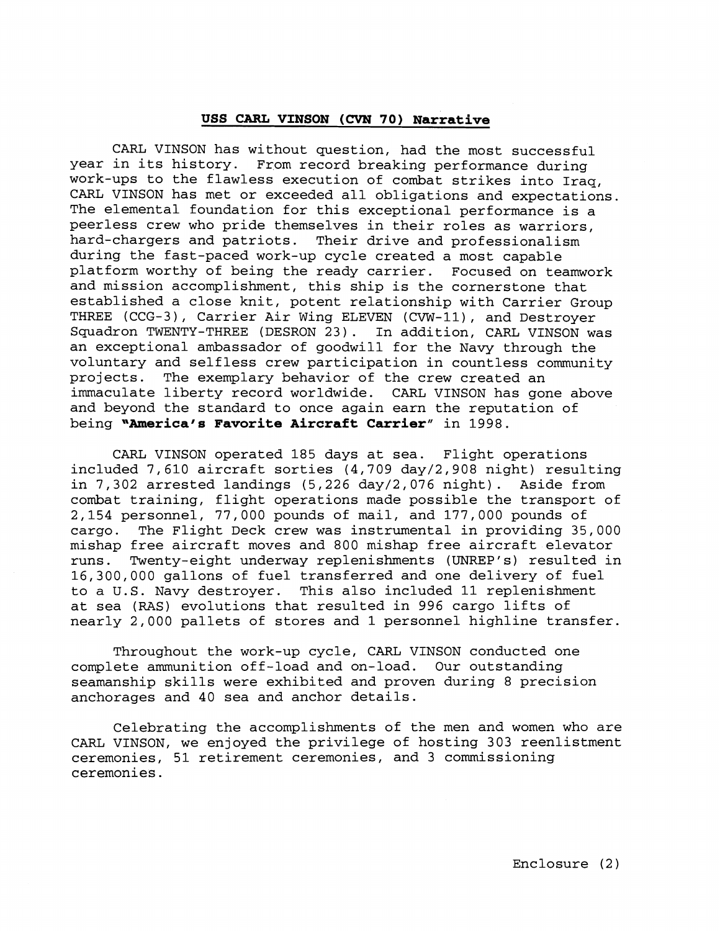# **USS CARL VINSON (CVN 70) Narrative**

CARL VINSON has without question, had the most successful year in its history. From record breaking performance during work-ups to the flawless execution of combat strikes into Iraq, CARL VINSON has met or exceeded all obligations and expectations The elemental foundation for this exceptional performance is a peerless crew who pride themselves in their roles as warriors, hard-chargers and patriots. Their drive and professionalism during the fast-paced work-up cycle created a most capable platform worthy of being the ready carrier. Focused on teamwork and mission accomplishment, this ship is the cornerstone that established a close knit, potent relationship with Carrier Group THREE (CCG-3), Carrier Air Wing ELEVEN (CVW-ll), and Destroyer Squadron TWENTY-THREE (DESRON 23). In addition, CARL VINSON was an exceptional ambassador of goodwill for the Navy through the voluntary and selfless crew participation in countless community projects. The exemplary behavior of the crew created an immaculate liberty record worldwide. CARL VINSON has gone above and beyond the standard to once again earn the reputation of being **"America's Favorite Aircraft Carrier**" in 1998.

CARL VINSON operated 185 days at sea. Flight operations included 7,610 aircraft sorties (4,709 day/2,908 night) resulting in 7,302 arrested landings (5,226 day/2,076 night). Aside from combat training, flight operations made possible the transport of 2,154 personnel, 77,000 pounds of mail, and 177,000 pounds of cargo. The Flight Deck crew was instrumental in providing 35,000 mishap free aircraft moves and 800 mishap free aircraft elevator runs. Twenty-eight underway replenishments (UNREP's) resulted in 16,300,000 gallons of fuel transferred and one delivery of fuel to a U.S. Navy destroyer. This also included 11 replenishment at sea (RAS) evolutions that resulted in 996 cargo lifts of nearly 2,000 pallets of stores and 1 personnel highline transfer.

Throughout the work-up cycle, CARL VINSON conducted one complete ammunition off-load and on-load. Our outstanding seamanship skills were exhibited and proven during 8 precision anchorages and 40 sea and anchor details.

Celebrating the accomplishments of the men and women who are CARL VINSON, we enjoyed the privilege of hosting 303 reenlistment ceremonies, 51 retirement ceremonies, and 3 commissioning ceremonies.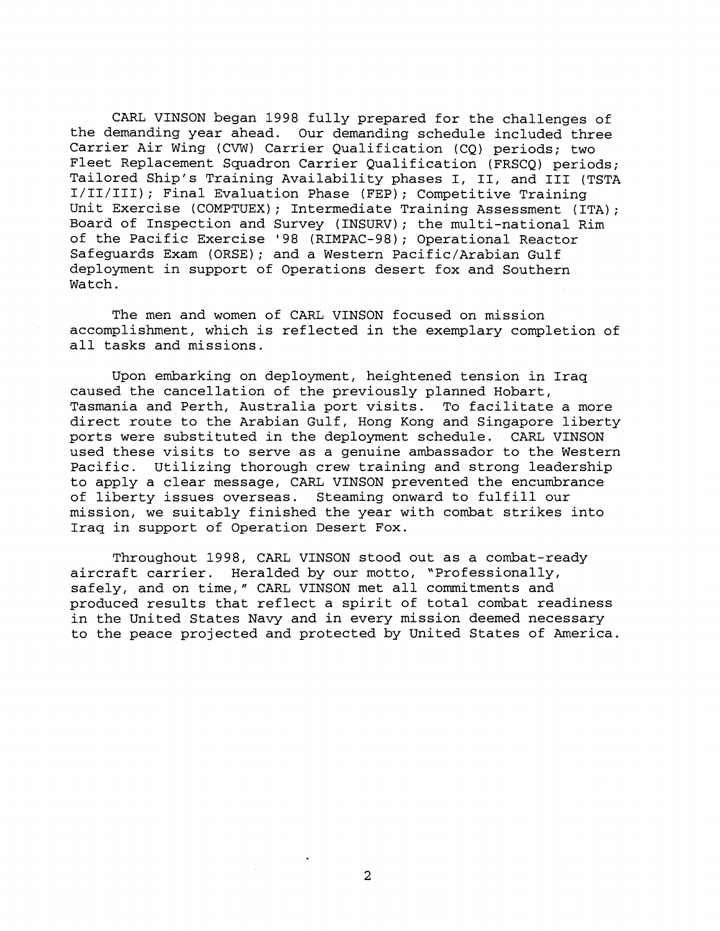CARL VINSON began 1998 fully prepared for the challenges of the demanding year ahead. Our demanding schedule included three Carrier Air Wing (CVW) Carrier Qualification (CQ) periods; two Fleet Replacement Squadron Carrier Qualification (FRSCQ) periods; Tailored Ship's Training Availability phases I, 11, and I11 (TSTA I/II/III); Final Evaluation Phase (FEP); Competitive Training Unit Exercise (COMPTUEX); Intermediate Training Assessment (ITA); Board of Inspection and Survey (INSURV); the multi-national Rim of the Pacific Exercise '98 (RIMPAC-98); Operational Reactor Safeguards Exam (ORSE); and a Western Pacific/Arabian Gulf deployment in support of Operations desert fox and Southern Watch.

The men and women of CARL VINSON focused on mission accomplishment, which is reflected in the exemplary completion of all tasks and missions.

Upon embarking on deployment, heightened tension in Iraq caused the cancellation of the previously planned Hobart, Tasmania and Perth, Australia port visits. To facilitate a more direct route to the Arabian Gulf, Hong Kong and Singapore liberty ports were substituted in the deployment schedule. CARL VINSON used these visits to serve as a genuine ambassador to the Western Pacific. Utilizing thorough crew training and strong leadership to apply a clear message, CARL VINSON prevented the encumbrance of liberty issues overseas. Steaming onward to fulfill our mission, we suitably finished the year with combat strikes into Iraq in support of Operation Desert Fox.

Throughout 1998, CARL VINSON stood out as a combat-ready aircraft carrier. Heralded by our motto, "Professionally, safely, and on time," CARL VINSON met all commitments and produced results that reflect a spirit of total combat readiness in the United States Navy and in every mission deemed necessary to the peace projected and protected by United States of America.

 $\overline{2}$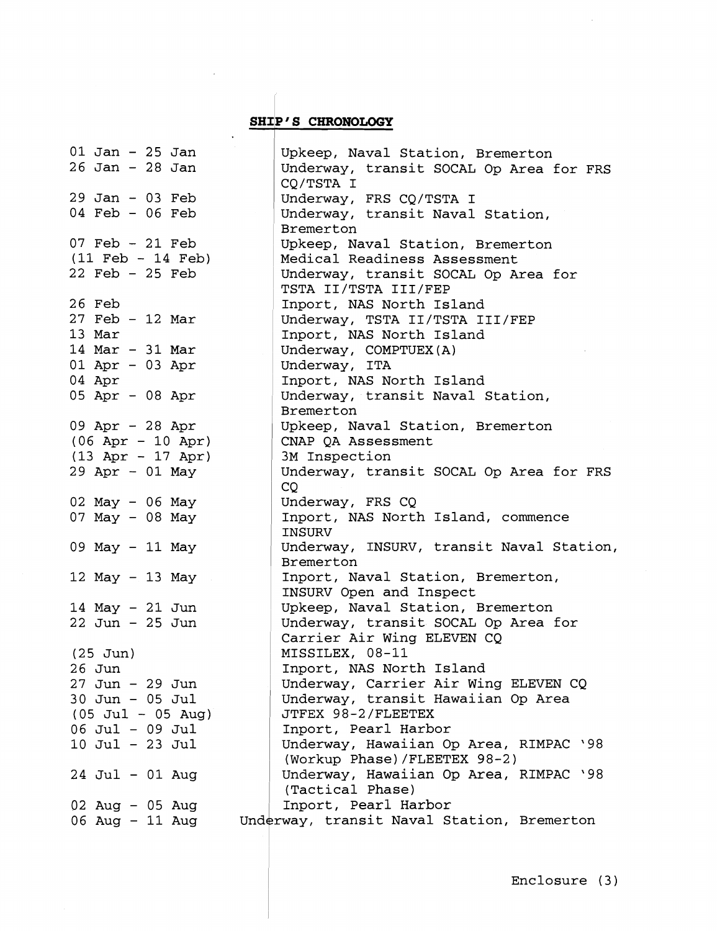# **SHIP'S CHRONOLOGY**

and a b

 $\sim$ 

| $01$ Jan - 25 Jan<br>$26$ Jan - $28$ Jan | Upkeep, Naval Station, Bremerton<br>Underway, transit SOCAL Op Area for FRS |
|------------------------------------------|-----------------------------------------------------------------------------|
|                                          | CQ/TSTA I                                                                   |
| $29$ Jan - 03 Feb                        | Underway, FRS CQ/TSTA I                                                     |
| $04$ Feb - 06 Feb                        | Underway, transit Naval Station,                                            |
|                                          | Bremerton                                                                   |
| $07$ Feb - $21$ Feb                      | Upkeep, Naval Station, Bremerton                                            |
| $(11 \text{ Feb} - 14 \text{ Feb})$      | Medical Readiness Assessment                                                |
| $22$ Feb - $25$ Feb                      | Underway, transit SOCAL Op Area for<br>TSTA II/TSTA III/FEP                 |
| 26 Feb                                   | Inport, NAS North Island                                                    |
| $27$ Feb - 12 Mar                        | Underway, TSTA II/TSTA III/FEP                                              |
| 13 Mar                                   | Inport, NAS North Island                                                    |
| 14 Mar - 31 Mar                          | Underway, COMPTUEX(A)                                                       |
| $01$ Apr - 03 Apr                        | Underway, ITA                                                               |
| 04 Apr                                   | Inport, NAS North Island                                                    |
| 05 Apr - 08 Apr                          | Underway, transit Naval Station,                                            |
|                                          | Bremerton                                                                   |
| 09 Apr - 28 Apr                          | Upkeep, Naval Station, Bremerton                                            |
| $(06$ Apr - 10 Apr)                      | CNAP QA Assessment                                                          |
| $(13$ Apr - 17 Apr)<br>$29$ Apr - 01 May | 3M Inspection<br>Underway, transit SOCAL Op Area for FRS                    |
|                                          | CQ                                                                          |
| 02 May - 06 May                          | Underway, FRS CQ                                                            |
| 07 May $-$ 08 May                        | Inport, NAS North Island, commence                                          |
|                                          | INSURV                                                                      |
| 09 May - 11 May                          | Underway, INSURV, transit Naval Station,<br>Bremerton                       |
| 12 May - 13 May                          | Inport, Naval Station, Bremerton,                                           |
|                                          | INSURV Open and Inspect                                                     |
| $14$ May - $21$ Jun                      | Upkeep, Naval Station, Bremerton                                            |
| $22$ Jun - $25$ Jun                      | Underway, transit SOCAL Op Area for                                         |
|                                          | Carrier Air Wing ELEVEN CQ                                                  |
| $(25$ Jun)                               | MISSILEX, 08-11                                                             |
| 26 Jun                                   | Inport, NAS North Island                                                    |
| $27$ Jun - $29$ Jun                      | Underway, Carrier Air Wing ELEVEN CQ                                        |
| $30$ Jun - 05 Jul                        | Underway, transit Hawaiian Op Area<br>JTFEX 98-2/FLEETEX                    |
| $(05 \text{ Jul} - 05 \text{ Aug})$      |                                                                             |
| 06 Jul - 09 Jul                          | Inport, Pearl Harbor<br>Underway, Hawaiian Op Area, RIMPAC '98              |
| 10 Jul - 23 Jul                          | (Workup Phase)/FLEETEX 98-2)                                                |
| $24$ Jul - 01 Aug                        | Underway, Hawaiian Op Area, RIMPAC '98                                      |
|                                          | (Tactical Phase)                                                            |
| $02$ Aug - $05$ Aug                      | Inport, Pearl Harbor                                                        |
| 06 Aug - 11 Aug                          | Underway, transit Naval Station, Bremerton                                  |
|                                          |                                                                             |

 $\sim 10^6$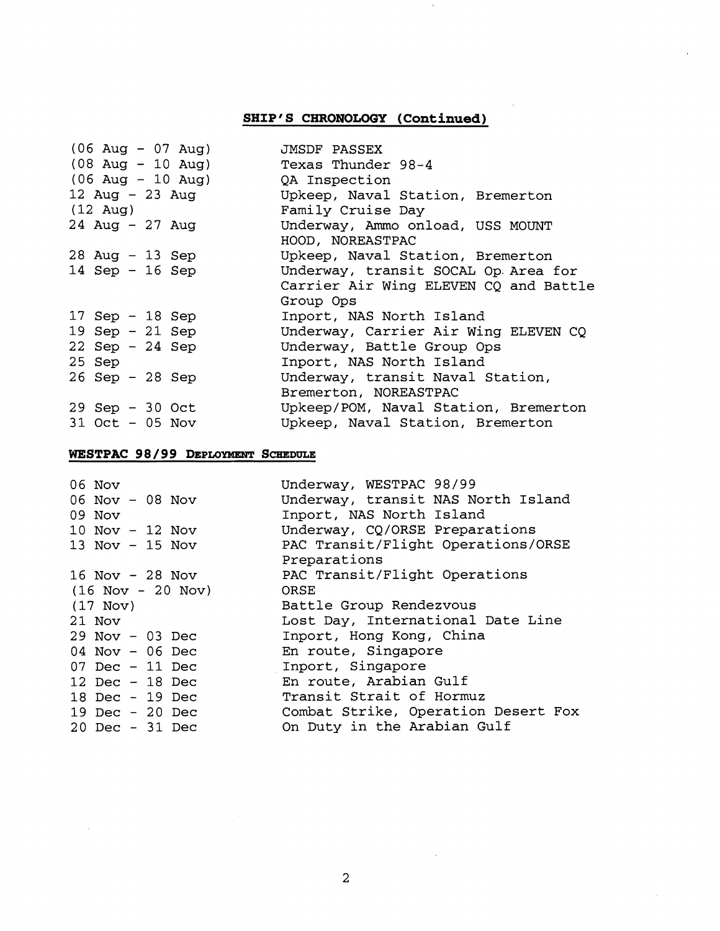# **SHIP'S CHRONOLOGY (Continued)**

 $\epsilon$ 

| $(06 \text{ Aug} - 07 \text{ Aug})$<br>$(08 \text{ Aug} - 10 \text{ Aug})$<br>$(06 \text{ Aug} - 10 \text{ Aug})$<br>12 Aug - 23 Aug<br>$(12 \text{ Aug})$ | JMSDF PASSEX<br>Texas Thunder 98-4<br>QA Inspection<br>Upkeep, Naval Station, Bremerton<br>Family Cruise Day |
|------------------------------------------------------------------------------------------------------------------------------------------------------------|--------------------------------------------------------------------------------------------------------------|
| $24$ Aug - $27$ Aug                                                                                                                                        | Underway, Ammo onload, USS MOUNT<br>HOOD, NOREASTPAC                                                         |
| $28$ Aug - 13 Sep                                                                                                                                          | Upkeep, Naval Station, Bremerton                                                                             |
| 14 Sep - 16 Sep                                                                                                                                            | Underway, transit SOCAL Op. Area for<br>Carrier Air Wing ELEVEN CO and Battle<br>Group Ops                   |
| 17 Sep $-$ 18 Sep                                                                                                                                          | Inport, NAS North Island                                                                                     |
| 19 Sep $-21$ Sep                                                                                                                                           | Underway, Carrier Air Wing ELEVEN CQ                                                                         |
| $22$ Sep - $24$ Sep                                                                                                                                        | Underway, Battle Group Ops                                                                                   |
| 25 Sep                                                                                                                                                     | Inport, NAS North Island                                                                                     |
| $26$ Sep - $28$ Sep                                                                                                                                        | Underway, transit Naval Station,<br>Bremerton, NOREASTPAC                                                    |
| $29$ Sep - 30 Oct                                                                                                                                          | Upkeep/POM, Naval Station, Bremerton                                                                         |
| $31$ Oct $-$ 05 Nov                                                                                                                                        | Upkeep, Naval Station, Bremerton                                                                             |

# **WESTPAC 98** / **99 DEPLOYMENT SCHEDULE**

 $\bar{z}$ 

| 06 Nov                              | Underway, WESTPAC 98/99             |
|-------------------------------------|-------------------------------------|
| $06$ Nov - 08 Nov                   | Underway, transit NAS North Island  |
| 09 Nov                              | Inport, NAS North Island            |
| $10$ Nov - $12$ Nov                 | Underway, CQ/ORSE Preparations      |
| 13 Nov $-$ 15 Nov                   | PAC Transit/Flight Operations/ORSE  |
|                                     | Preparations                        |
| 16 Nov $-$ 28 Nov                   | PAC Transit/Flight Operations       |
| $(16 \text{ Nov} - 20 \text{ Nov})$ | ORSE                                |
| $(17$ Nov)                          | Battle Group Rendezvous             |
| 21 Nov                              | Lost Day, International Date Line   |
| $29$ Nov - 03 Dec                   | Inport, Hong Kong, China            |
| $04$ Nov - 06 Dec                   | En route, Singapore                 |
| $07$ Dec - 11 Dec                   | Inport, Singapore                   |
| 12 Dec $-$ 18 Dec                   | En route, Arabian Gulf              |
| 18 Dec - 19 Dec                     | Transit Strait of Hormuz            |
| 19 Dec - $20$ Dec                   | Combat Strike, Operation Desert Fox |
| 20 Dec - 31 Dec                     | On Duty in the Arabian Gulf         |

 $\sim$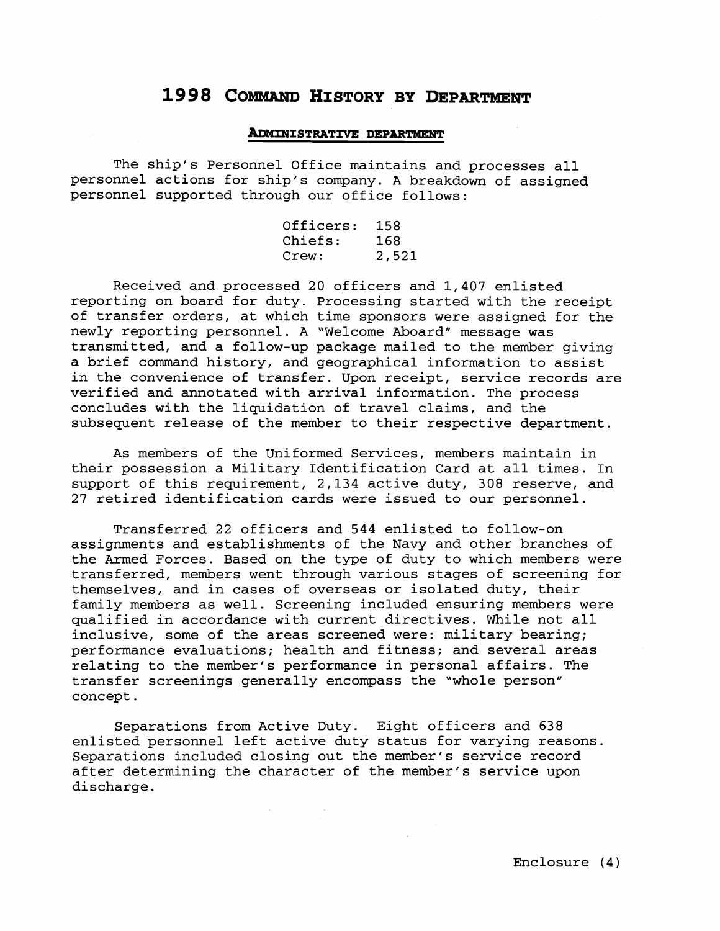# 1998 COMMAND HISTORY BY DEPARTMENT

#### **ADMINISTRATIVE DEPARTMENT**

The ship's Personnel Office maintains and processes all personnel actions for ship's company. A breakdown of assigned personnel supported through our office follows:

| Officers: | 158   |
|-----------|-------|
| Chiefs:   | 168   |
| Crew:     | 2,521 |

Received and processed 20 officers and 1,407 enlisted reporting on board for duty. Processing started with the receipt of transfer orders, at which time sponsors were assigned for the newly reporting personnel. A "Welcome Aboard" message was transmitted, and a follow-up package mailed to the member giving a brief command history, and geographical information to assist in the convenience of transfer. Upon receipt, service records are verified and annotated with arrival information. The process concludes with the liquidation of travel claims, and the subsequent release of the member to their respective department.

As members of the Uniformed Services, members maintain in their possession a Military Identification Card at all times. In support of this requirement, 2,134 active duty, 308 reserve, and 27 retired identification cards were issued to our personnel.

Transferred 22 officers and 544 enlisted to follow-on assignments and establishments of the Navy and other branches of the Armed Forces. Based on the type of duty to which members were transferred, members went through various stages of screening for themselves, and in cases of overseas or isolated duty, their family members as well. Screening included ensuring members were qualified in accordance with current directives. While not all inclusive, some of the areas screened were: military bearing; performance evaluations; health and fitness; and several areas relating to the member's performance in personal affairs. The transfer screenings generally encompass the "whole person" concept.

Separations from Active Duty. Eight officers and 638 enlisted personnel left active duty status for varying reasons. Separations included closing out the member's service record after determining the character of the member's service upon discharge.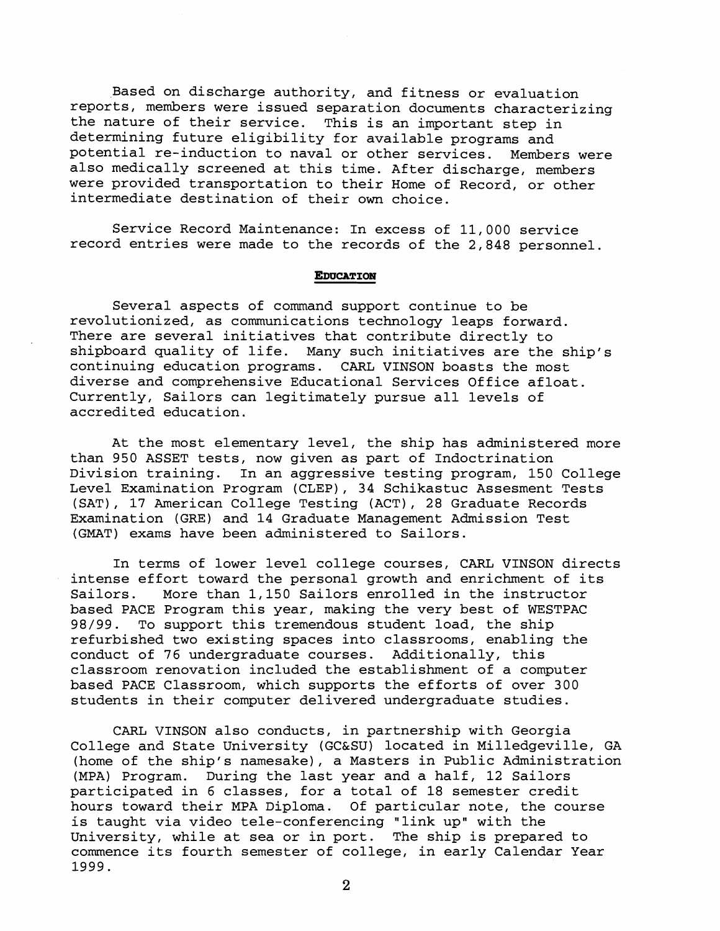Based on discharge authority, and fitness or evaluation reports, members were issued separation documents characterizing the nature of their service. This is an important step in determining future eligibility for available programs and potential re-induction to naval or other services. Members were also medically screened at this time. After discharge, members were provided transportation to their Home of Record, or other intermediate destination of their own choice.

Service Record Maintenance: In excess of 11,000 service record entries were made to the records of the 2,848 personnel.

## **EDUCATION**

Several aspects of command support continue to be revolutionized, as communications technology leaps forward. There are several initiatives that contribute directly to shipboard quality of life. Many such initiatives are the ship's continuing education programs. CARL VINSON boasts the most diverse and comprehensive Educational Services Office afloat. Currently, Sailors can legitimately pursue all levels of accredited education.

At the most elementary level, the ship has administered more than 950 ASSET tests, now given as part of Indoctrination Division training. In an aggressive testing program, 150 College Level Examination Program (CLEP), 34 Schikastuc Assesment Tests (SAT), **17** American College Testing (ACT), 28 Graduate Records Examination (GRE) and 14 Graduate Management Admission Test (GMAT) exams have been administered to Sailors.

In terms of lower level college courses, CARL VINSON directs intense effort toward the personal growth and enrichment of its Sailors. More than 1,150 Sailors enrolled in the instructor based PACE Program this year, making the very best of WESTPAC 98/99. To support this tremendous student load, the ship refurbished two existing spaces into classrooms, enabling the conduct of **76** undergraduate courses. Additionally, this classroom renovation included the establishment of a computer based PACE Classroom, which supports the efforts of over 300 students in their computer delivered undergraduate studies.

CARL VINSON also conducts, in partnership with Georgia College and State University (GC&SU) located in Milledgeville, GA (home of the ship's namesake), a Masters in Public Administration (MPA) Program. During the last year and a half, 12 Sailors participated in **6** classes, for a total of 18 semester credit hours toward their MPA Diploma. Of particular note, the course is taught via video tele-conferencing "link up" with the University, while at sea or in port. The ship is prepared to commence its fourth semester of college, in early Calendar Year 1999.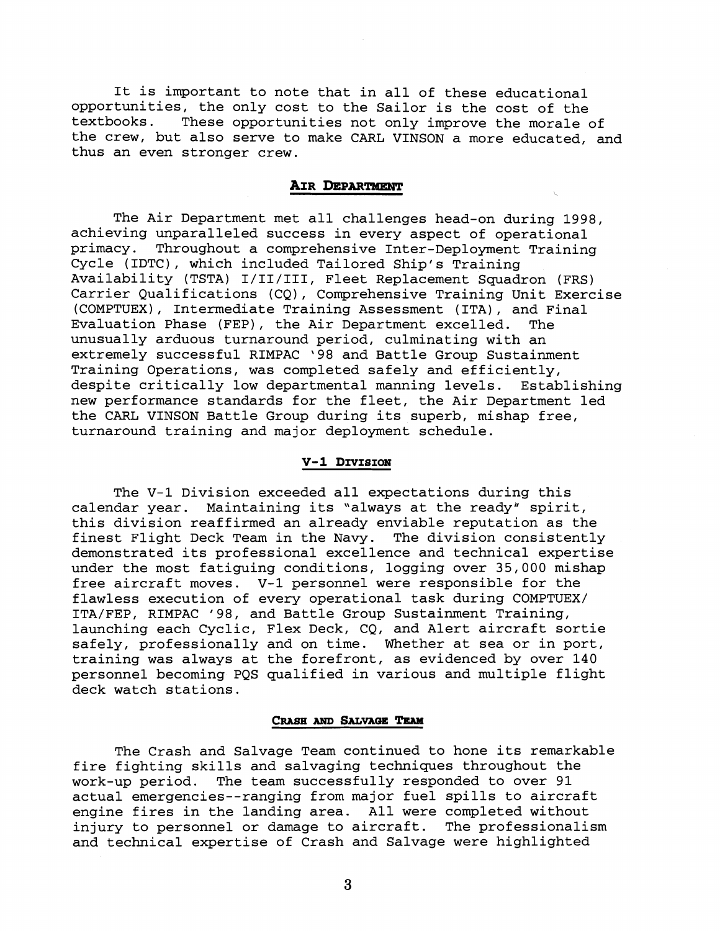It is important to note that in all of these educational opportunities, the only cost to the Sailor is the cost of the textbooks. These opportunities not only improve the morale of the crew, but also serve to make CARL VINSON a more educated, and thus an even stronger crew.

# AIR DEPARTMENT

The Air Department met all challenges head-on during 1998, achieving unparalleled success in every aspect of operational primacy. Throughout a comprehensive Inter-Deployment Training Cycle (IDTC), which included Tailored Ship's Training Availability (TSTA) I/II/III, Fleet Replacement Squadron (FRS) Carrier Qualifications (CQ), Comprehensive Training Unit Exercise (COMPTUEX), Intermediate Training Assessment (ITA), and Final Evaluation Phase (FEP), the Air Department excelled. The unusually arduous turnaround period, culminating with an extremely successful RIMPAC '98 and Battle Group Sustainment Training Operations, was completed safely and efficiently, despite critically low departmental manning levels. Establishing new performance standards for the fleet, the Air Department led the CARL VINSON Battle Group during its superb, mishap free, turnaround training and major deployment schedule.

# V-1 DIVISION

The V-1 Division exceeded all expectations during this calendar year. Maintaining its "always at the ready" spirit, this division reaffirmed an already enviable reputation as the finest Flight Deck Team in the Navy. The division consistently demonstrated its professional excellence and technical expertise under the most fatiguing conditions, logging over 35,000 mishap free aircraft moves. V-1 personnel were responsible for the flawless execution of every operational task during COMPTUEX/ ITA/FEP, RIMPAC '98, and Battle Group Sustainment Training, launching each Cyclic, Flex Deck, CQ, and Alert aircraft sortie safely, professionally and on time. Whether at sea or in port, training was always at the forefront, as evidenced by over 140 personnel becoming PQS qualified in various and multiple flight deck watch stations.

#### CRASH AND SALVAGE TEAM

The Crash and Salvage Team continued to hone its remarkable fire fighting skills and salvaging techniques throughout the work-up period. The team successfully responded to over 91 actual emergencies--ranging from major fuel spills to aircraft engine fires in the landing area. All were completed without<br>injury to personnel or damage to aircraft. The professionalism injury to personnel or damage to aircraft. and technical expertise of Crash and Salvage were highlighted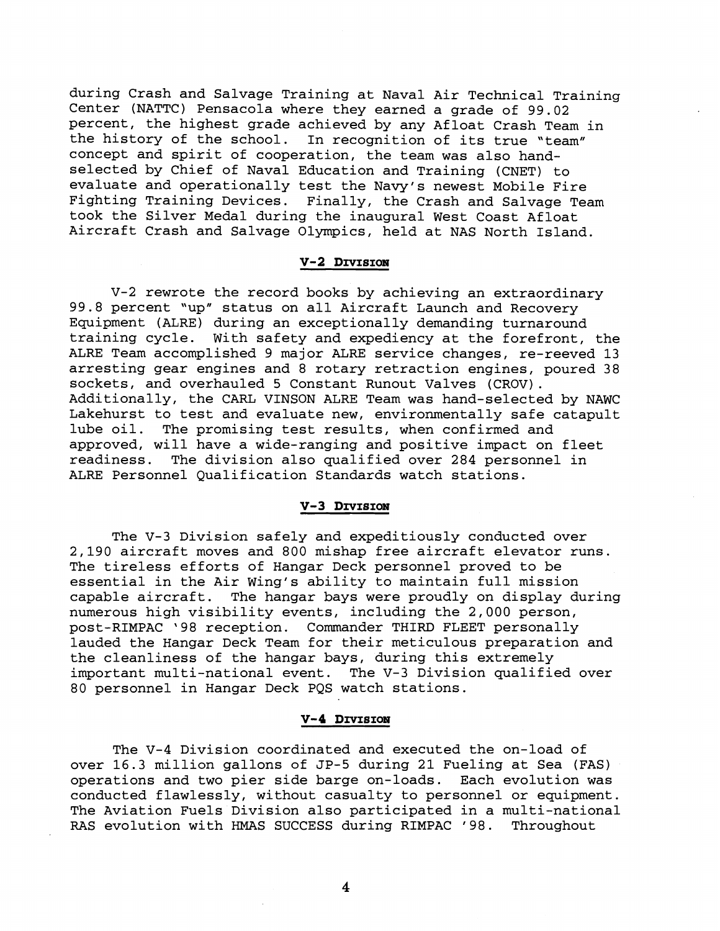during Crash and Salvage Training at Naval Air Technical Training Center (NATTC) Pensacola where they earned a grade of 99.02 percent, the highest grade achieved by any Afloat Crash Team in the history of the school. In recognition of its true "team" concept and spirit of cooperation, the team was also handselected by Chief of Naval Education and Training (CNET) to evaluate and operationally test the Navy's newest Mobile Fire Fighting Training Devices. Finally, the Crash and Salvage Team took the Silver Medal during the inaugural West Coast Afloat Aircraft Crash and Salvage Olympics, held at NAS North Island.

#### V-2 DIVISION

V-2 rewrote the record books by achieving an extraordinary 99.8 percent "up" status on all Aircraft Launch and Recovery Equipment (ALRE) during an exceptionally demanding turnaround training cycle. With safety and expediency at the forefront, the ALRE Team accomplished 9 major ALRE service changes, re-reeved 13 arresting gear engines and 8 rotary retraction engines, poured 38 sockets, and overhauled 5 Constant Runout Valves (CROV). Additionally, the CARL VINSON ALRE Team was hand-selected by NAWC Lakehurst to test and evaluate new, environmentally safe catapult lube oil. The promising test results, when confirmed and approved, will have a wide-ranging and positive impact on fleet<br>readiness. The division also qualified over 284 personnel in The division also qualified over 284 personnel in ALRE Personnel Qualification Standards watch stations.

## V-3 DIVISION

The V-3 Division safely and expeditiously conducted over 2,190 aircraft moves and 800 mishap free aircraft elevator runs. The tireless efforts of Hangar Deck personnel proved to be essential in the Air Wing's ability to maintain full mission capable aircraft. The hangar bays were proudly on display during numerous high visibility events, including the 2,000 person, post-RIMPAC '98 reception. Commander THIRD FLEET personally lauded the Hangar Deck Team for their meticulous preparation and the cleanliness of the hangar bays, during this extremely important multi-national event. The V-3 Division qualified over 80 personnel in Hangar Deck PQS watch stations.

# V-4 DIVISION

The V-4 Division coordinated and executed the on-load of over 16.3 million gallons of JP-5 during 21 Fueling at Sea (FAS) operations and two pier side barge on-loads. Each evolution was conducted flawlessly, without casualty to personnel or equipment. The Aviation Fuels Division also participated in a multi-national RAS evolution with HMAS SUCCESS during RIMPAC '98. Throughout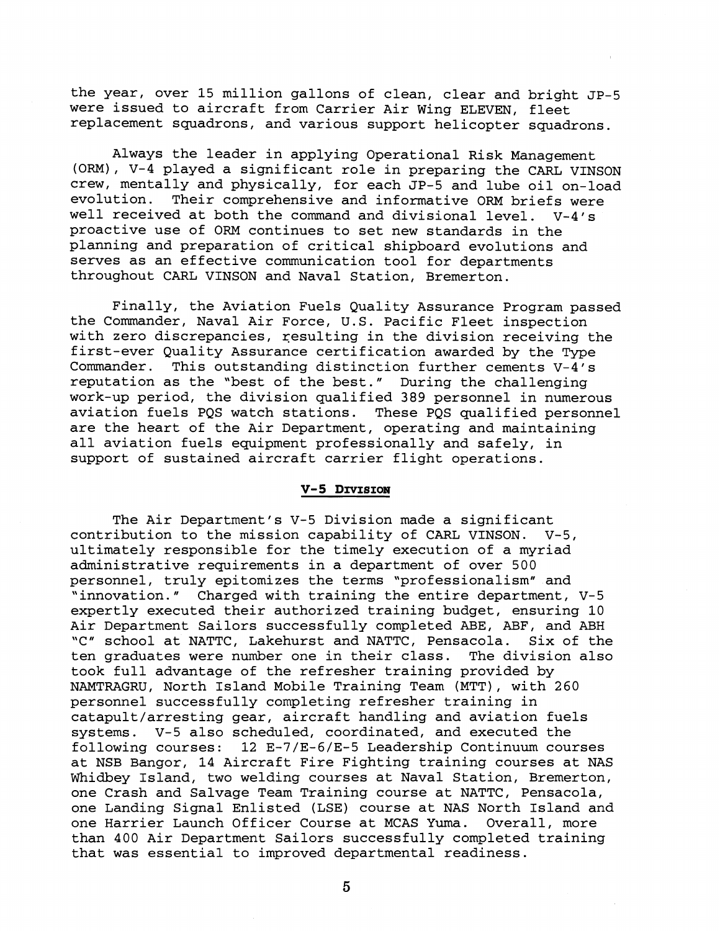the year, over 15 million gallons of clean, clear and bright JP-5 were issued to aircraft from Carrier Air Wing ELEVEN, fleet replacement squadrons, and various support helicopter squadrons.

Always the leader in applying Operational Risk Management (ORM), V-4 played a significant role in preparing the CARL VINSON crew, mentally and physically, for each JP-5 and lube oil on-load evolution. Their comprehensive and informative ORM briefs were well received at both the command and divisional level.  $V-4/s$ proactive use of ORM continues to set new standards in the planning and preparation of critical shipboard evolutions and serves as an effective communication tool for departments throughout CARL VINSON and Naval Station, Bremerton.

Finally, the Aviation Fuels Quality Assurance Program passed the Commander, Naval Air Force, U.S. Pacific Fleet inspection with zero discrepancies, resulting in the division receiving the first-ever Quality Assurance certification awarded by the Type Commander. This outstanding distinction further cements V-4's reputation as the "best of the best." During the challenging work-up period, the division qualified 389 personnel in numerous aviation fuels PQS watch stations. These PQS qualified personnel are the heart of the Air Department, operating and maintaining all aviation fuels equipment professionally and safely, in support of sustained aircraft carrier flight operations.

#### V-5 DIVISION

The Air Department's V-5 Division made a significant contribution to the mission capability of CARL VINSON. V-5, ultimately responsible for the timely execution of a myriad administrative requirements in a department of over 500 personnel, truly epitomizes the terms "professionalism" and 'innovation." Charged with training the entire department, V-5 expertly executed their authorized training budget, ensuring 10 Air Department Sailors successfully completed ABE, ABF, and ABH<br>"C" school at NATTC, Lakehurst and NATTC, Pensacola. Six of the "C" school at NATTC, Lakehurst and NATTC, Pensacola. ten graduates were number one in their class. The division also took full advantage of the refresher training provided by NAMTRAGRU, North Island Mobile Training Team (MTT), with 260 personnel successfully completing refresher training in catapult/arresting gear, aircraft handling and aviation fuels systems. V-5 also scheduled, coordinated, and executed the following courses: 12 E-7/E-6/E-5 Leadership Continuum courses at NSB Bangor, 14 Aircraft Fire Fighting training courses at NAS Whidbey Island, two welding courses at Naval Station, Bremerton, one Crash and Salvage Team Training course at NATTC, Pensacola, one Landing Signal Enlisted (LSE) course at NAS North Island and one Harrier Launch Officer Course at MCAS Yuma. Overall, more than 400 Air Department Sailors successfully completed training that was essential to improved departmental readiness.

 $\overline{5}$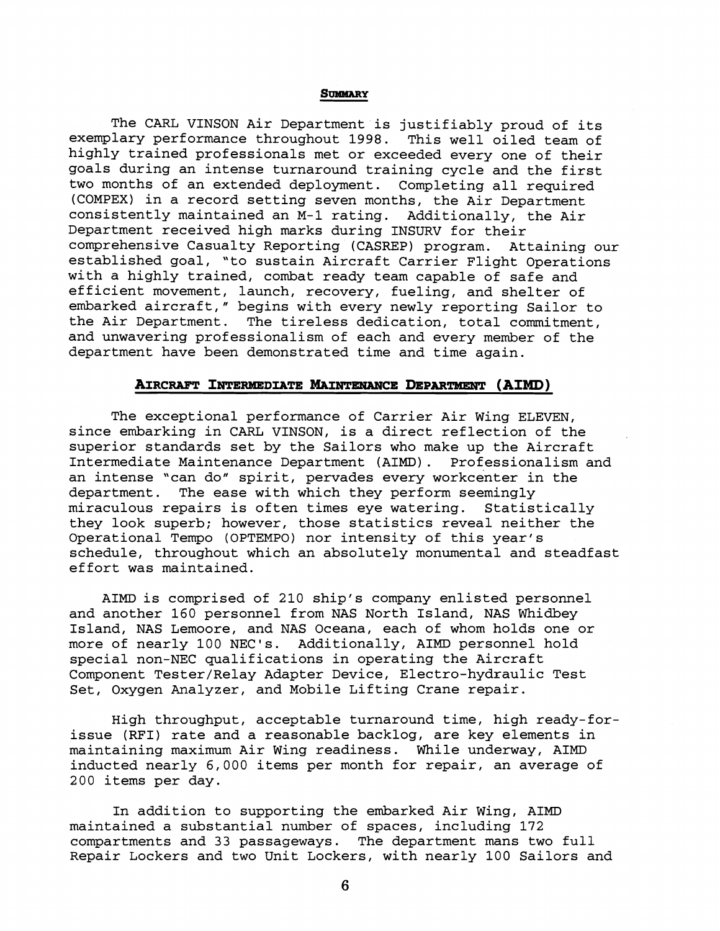#### **SUMMARY**

The CARL VINSON Air Department is justifiably proud of its exemplary performance throughout 1998. This well oiled team of highly trained professionals met or exceeded every one of their goals during an intense turnaround training cycle and the first two months of an extended deployment. Completing all required (COMPEX) in a record setting seven months, the Air Department consistently maintained an M-1 rating. Additionally, the Air Department received high marks during INSURV for their comprehensive Casualty Reporting (CASREP) program. Attaining our established goal, 'to sustain Aircraft Carrier Flight Operations with a highly trained, combat ready team capable of safe and efficient movement, launch, recovery, fueling, and shelter of embarked aircraft," begins with every newly reporting Sailor to the Air Department. The tireless dedication, total commitment, and unwavering professionalism of each and every member of the department have been demonstrated time and time again.

# **AIRCRAFT INTERMEDIATE MAINTENANCE DEPARTMENT (AIMD)**

The exceptional performance of Carrier Air Wing ELEVEN, since enbarking in CARL VINSON, is a direct reflection of the superior standards set by the Sailors who make up the Aircraft Intermediate Maintenance Department (AIMD) . Professionalism and an intense 'can do" spirit, pervades every workcenter in the department. The ease with which they perform seemingly<br>miraculous repairs is often times eye watering. Statistically miraculous repairs is often times eye watering. they look superb; however, those statistics reveal neither the Operational Tempo (OPTEMPO) nor intensity of this year's schedule, throughout which an absolutely monumental and steadfast effort was maintained.

AIMD is comprised of 210 ship's company enlisted personnel and another 160 personnel from NAS North Island, NAS Whidbey Island, NAS Lemoore, and NAS Oceana, each of whom holds one or more of nearly 100 NEC's. Additionally, AIMD personnel hold special non-NEC qualifications in operating the Aircraft Component Tester/Relay Adapter Device, Electro-hydraulic Test Set, Oxygen Analyzer, and Mobile Lifting Crane repair.

High throughput, acceptable turnaround time, high ready-forissue (RFI) rate and a reasonable backlog, are key elements in maintaining maximum Air Wing readiness. While underway, AIMD inducted nearly 6,000 items per month for repair, an average of 200 items per day.

In addition to supporting the embarked Air Wing, AIMD maintained a substantial number of spaces, including 172 compartments and 33 passageways. The department mans two full Repair Lockers and two Unit Lockers, with nearly 100 Sailors and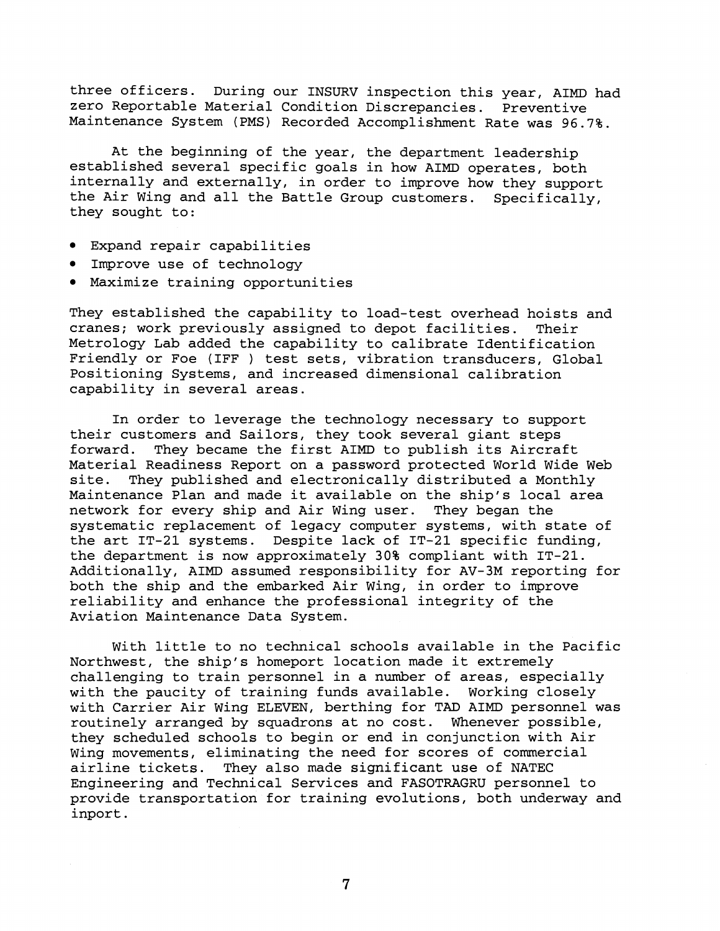three officers. During our INSURV inspection this year, AIMD had zero Reportable Material Condition Discrepancies. Preventive Maintenance System (PMS) Recorded Accomplishment Rate was 96.7%.

At the beginning of the year, the department leadership established several specific goals in how AIMD operates, both internally and externally, in order to improve how they support the Air Wing and all the Battle Group customers. Specifically, they sought to:

- Expand repair capabilities
- Improve use of technology
- Maximize training opportunities

They established the capability to load-test overhead hoists and cranes; work previously assigned to depot facilities. Their Metrology Lab added the capability to calibrate Identification Friendly or Foe (IFF ) test sets, vibration transducers, Global Positioning Systems, and increased dimensional calibration capability in several areas.

In order to leverage the technology necessary to support their customers and Sailors, they took several giant steps forward. They became the first AIMD to publish its Aircraft Material Readiness Report on a password protected World Wide Web site. They published and electronically distributed a Monthly Maintenance Plan and made it available on the ship's local area network for every ship and Air Wing user. They began the systematic replacement of legacy computer systems, with state of the art IT-21 systems. Despite lack of IT-21 specific funding, the department is now approximately 30% compliant with IT-21. Additionally, AIMD assumed responsibility for AV-3M reporting for both the ship and the embarked Air Wing, in order to improve reliability and enhance the professional integrity of the Aviation Maintenance Data System.

With little to no technical schools available in the Pacific Northwest, the ship's homeport location made it extremely challenging to train personnel in a number of areas, especially with the paucity of training funds available. Working closely with Carrier Air Wing ELEVEN, berthing for TAD AIMD personnel was routinely arranged by squadrons at no cost. Whenever possible, they scheduled schools to begin or end in conjunction with Air Wing movements, eliminating the need for scores of commercial airline tickets. They also made significant use of NATEC Engineering and Technical Services and FASOTRAGRU personnel to provide transportation for training evolutions, both underway and inport.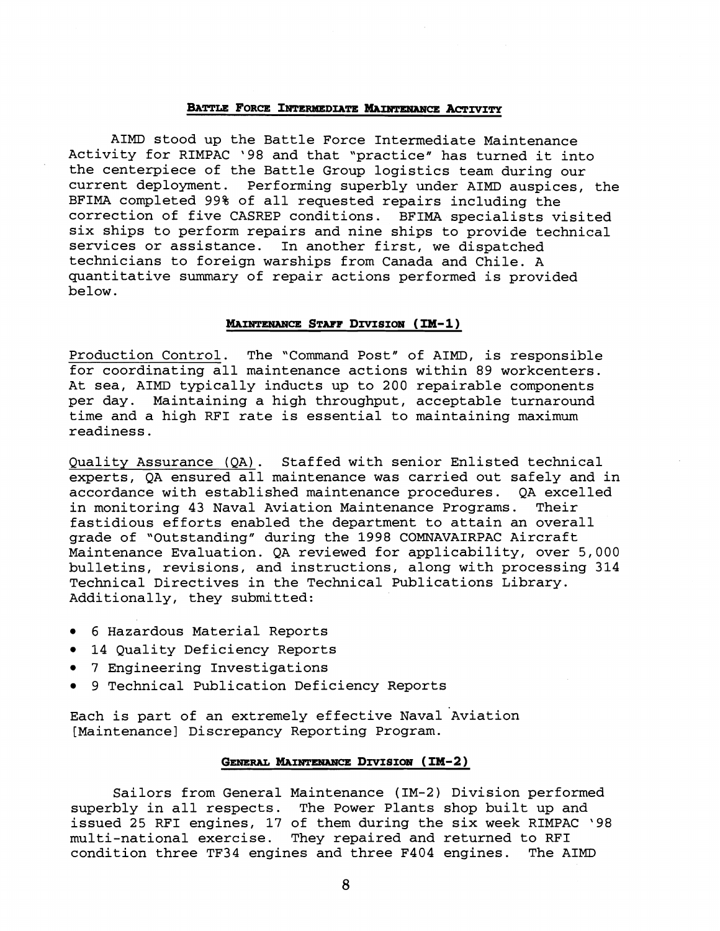## BATTLE FORCE INTERMEDIATE MAINTENANCE ACTIVITY

AIMD stood up the Battle Force Intermediate Maintenance Activity for RIMPAC '98 and that "practice" has turned it into the centerpiece of the Battle Group logistics team during our current deployment. Performing superbly under AIMD auspices, the BFIMA completed 99% of all requested repairs including the correction of five CASREP conditions. BFIMA specialists visited six ships to perform repairs and nine ships to provide technical services or assistance. In another first, we dispatched technicians to foreign warships from Canada and Chile. A quantitative summary of repair actions performed is provided below.

#### **MAINTENANCE STAFF DIVISION (IM-1)**

Production Control. The "Command Post" of AIMD, is responsible for coordinating all maintenance actions within 89 workcenters. At sea, AIMD typically inducts up to 200 repairable components per day. Maintaining a high throughput, acceptable turnaround time and a high RFI rate is essential to maintaining maximum readiness.

Quality Assurance (QA) . Staffed with senior Enlisted technical experts, QA ensured all maintenance was carried out safely and in accordance with established maintenance procedures. QA exce<br>in monitoring 43 Naval Aviation Maintenance Programs. Their in monitoring 43 Naval Aviation Maintenance Programs. fastidious efforts enabled the department to attain an overall grade of "Outstanding" during the 1998 COMNAVAIRPAC Aircraft Maintenance Evaluation. QA reviewed for applicability, over 5,000 bulletins, revisions, and instructions, along with processing 314 Technical Directives in the Technical Publications Library. Additionally, they submitted:

- 6 Hazardous Material Reports
- 14 Quality Deficiency Reports
- 7 Engineering Investigations
- 9 Technical Publication Deficiency Reports

Each is part of an extremely effective Naval Aviation [Maintenance] Discrepancy Reporting Program.

# GENERAL MAINTENANCE DIVISION (IM-2)

Sailors from General Maintenance (IM-2) Division performed superbly in all respects. The Power Plants shop built up and issued 25 RFI engines, 17 of them during the six week RIMPAC '98 multi-national exercise. They repaired and returned to RFI condition three TF34 engines and three F404 engines.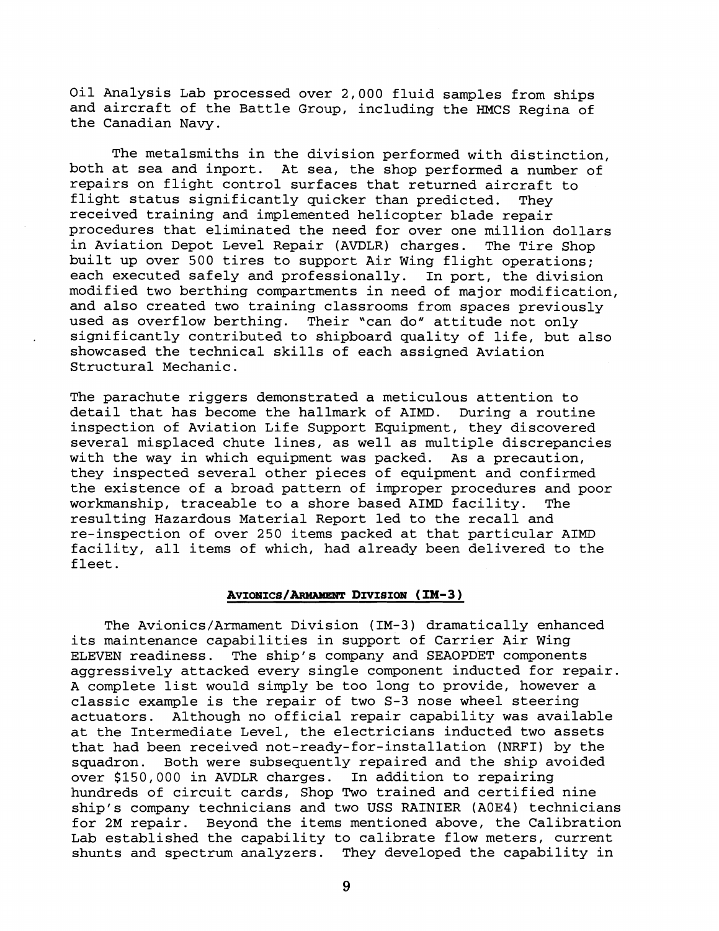Oil Analysis Lab processed over 2,000 fluid samples from ships and aircraft of the Battle Group, including the HMCS Regina of the Canadian Navy.

The metalsmiths in the division performed with distinction, both at sea and inport. At sea, the shop performed a number of repairs on flight control surfaces that returned aircraft to flight status significantly quicker than predicted. They received training and implemented helicopter blade repair procedures that eliminated the need for over one million dollars in Aviation Depot Level Repair (AVDLR) charges. The Tire Shop built up over 500 tires to support Air Wing flight operations; each executed safely and professionally. In port, the division modified two berthing compartments in need of major modification, and also created two training classrooms from spaces previously used as overflow berthing. Their "can do" attitude not only significantly contributed to shipboard quality of life, but also showcased the technical skills of each assigned Aviation Structural Mechanic.

The parachute riggers demonstrated a meticulous attention to detail that has become the hallmark of AIMD. During a routine inspection of Aviation Life Support Equipment, they discovered several misplaced chute lines, as well as multiple discrepancies with the way in which equipment was packed. As a precaution, they inspected several other pieces of equipment and confirmed the existence of a broad pattern of improper procedures and poor workmanship, traceable to a shore based AIMD facility. The resulting Hazardous Material Report led to the recall and re-inspection of over 250 items packed at that particular AIMD facility, all items of which, had already been delivered to the fleet.

# AVIONICS/ARMAMENT DIVISION (IM-3)

The Avionics/Armament Division (IM-3) dramatically enhanced its maintenance capabilities in support of Carrier Air Wing ELEVEN readiness. The ship's company and SEAOPDET components aggressively attacked every single component inducted for repair. A complete list would simply be too long to provide, however a classic example is the repair of two S-3 nose wheel steering actuators. Although no official repair capability was available at the Intermediate Level, the electricians inducted two assets that had been received not-ready-for-installation (NRFI) by the squadron. Both were subsequently repaired and the ship avoided over \$150,000 in AVDLR charges. In addition to repairing hundreds of circuit cards, Shop Two trained and certified nine ship's company technicians and two USS RAINIER (AOE4) technicians for 2M repair. Beyond the items mentioned above, the Calibration Lab established the capability to calibrate flow meters, current shunts and spectrum analyzers. They developed the capability in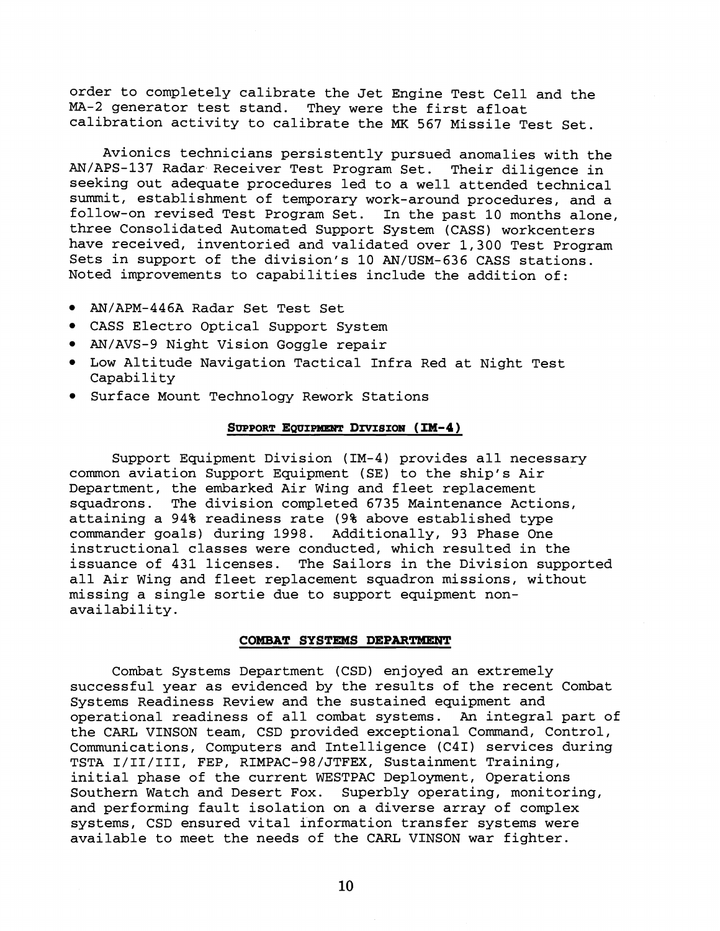order to completely calibrate the Jet Engine Test Cell and the MA-2 generator test stand. They were the first afloat calibration activity to calibrate the **MK** 567 Missile Test Set.

Avionics technicians persistently pursued anomalies with the AN/APS-137 Radar Receiver Test Program Set. Their diligence in seeking out adequate procedures led to a well attended technical summit, establishment of temporary work-around procedures, and a follow-on revised Test Program Set. In the past 10 months alone, three Consolidated Automated Support System (CASS) workcenters have received, inventoried and validated over 1,300 Test Program Sets in support of the division's 10 AN/USM-636 CASS stations. Noted improvements to capabilities include the addition of:

- AN/APM-446A Radar Set Test Set
- CASS Electro Optical Support System
- AN/AVS-9 Night Vision Goggle repair
- Low Altitude Navigation Tactical Infra Red at Night Test Capability
- Surface Mount Technology Rework Stations

# SUPPORT EQUIPMENT DIVISION (IM-4)

Support Equipment Division (IM-4) provides all necessary common aviation Support Equipment (SE) to the ship's Air Department, the embarked Air Wing and fleet replacement squadrons. The division completed 6735 Maintenance Actions, attaining a 94% readiness rate (9% above established type commander goals) during 1998. Additionally, 93 Phase One instructional classes were conducted, which resulted in the issuance of 431 licenses. The Sailors in the Division supported all Air Wing and fleet replacement squadron missions, without missing a single sortie due to support equipment nonavailability.

# **COMBAT SYSTEMS DEPARTMENT**

Combat Systems Department (CSD) enjoyed an extremely successful year as evidenced by the results of the recent Combat Systems Readiness Review and the sustained equipment and operational readiness of all combat systems. **An** integral part of the CARL VINSON team, CSD provided exceptional Command, Control, Communications, Computers and Intelligence (C4I) services during TSTA I/II/III, FEP, RIMPAC-98/JTFEX, Sustainment Training, initial phase of the current WESTPAC Deployment, Operations Southern Watch and Desert Fox. Superbly operating, monitoring, and performing fault isolation on a diverse array of complex systems, CSD ensured vital information transfer systems were available to meet the needs of the CARL VINSON war fighter.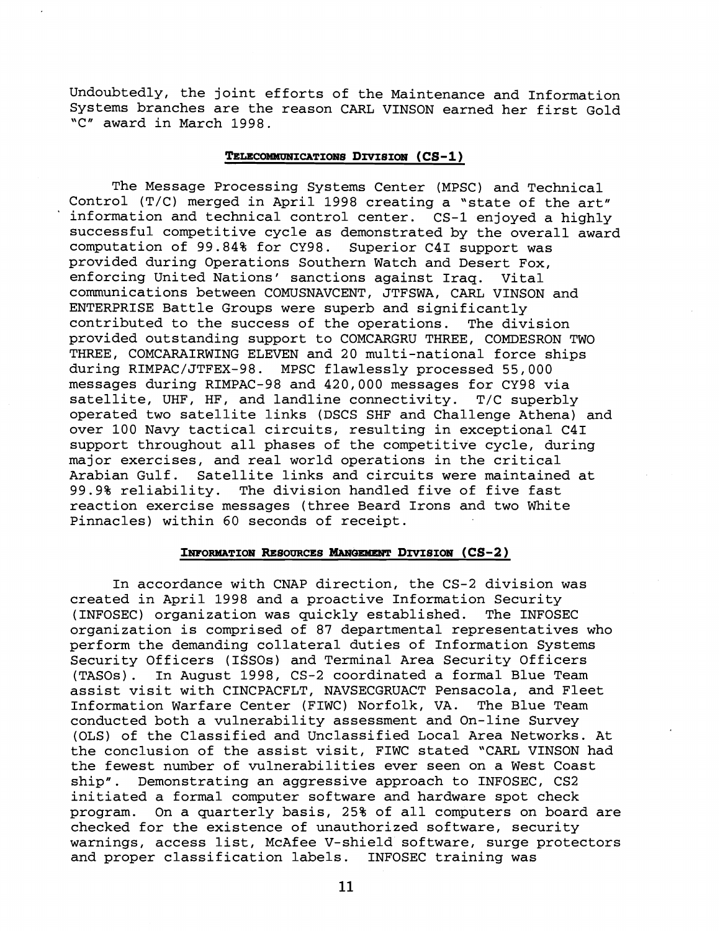Undoubtedly, the joint efforts of the Maintenance and Information Systems branches are the reason CARL VINSON earned her first Gold 'C" award in March 1998.

# TELECOMMUNICATIONS DIVISION (CS-1)

The Message Processing Systems Center (MPSC) and Technical Control  $(T/C)$  merged in April 1998 creating a "state of the art" information and technical control center. CS-1 enjoyed a highly successful competitive cycle as demonstrated by the overall award computation of 99.84% for CY98. Superior C41 support was provided during Operations Southern Watch and Desert Fox, enforcing United Nations' sanctions against Iraq. Vital comunications between COMUSNAVCENT, JTFSWA, CARL VINSON and ENTERPRISE Battle Groups were superb and significantly contributed to the success of the operations. The division provided outstanding support to COMCARGRU THREE, COMDESRON TWO THREE, COMCARAIRWING ELEVEN and 20 multi-national force ships during RIMPAC/JTFEX-98. MPSC flawlessly processed 55,000 messages during RIMPAC-98 and 420,000 messages for CY98 via satellite, UHF, HF, and landline connectivity. T/C superbly operated two satellite links (DSCS SHF and Challenge Athena) and over 100 Navy tactical circuits, resulting in exceptional C41 support throughout all phases of the competitive cycle, during major exercises, and real world operations in the critical Arabian Gulf. Satellite links and circuits were maintained at 99.9% reliability. The division handled five of five fast reaction exercise messages (three Beard Irons and two White Pinnacles) within 60 seconds of receipt.

## **INFORMATION RESOURCES MANGEMENT DIVISION (CS-2)**

In accordance with CNAP direction, the CS-2 division was created in April 1998 and a proactive Information Security (INFOSEC) organization was quickly established. The INFOSEC organization is comprised of 87 departmental representatives who perform the demanding collateral duties of Information Systems Security Officers (ISSOS) and Terminal Area Security Officers (TASOs). In August 1998, CS-2 coordinated a formal Blue Team assist visit with CINCPACFLT, NAVSECGRUACT Pensacola, and Fleet Information Warfare Center (FIWC) Norfolk, VA. The Blue Team conducted both a vulnerability assessment and On-line Survey (OLS) of the Classified and Unclassified Local Area Networks. At the conclusion of the assist visit, FIWC stated "CARL VINSON had the fewest number of vulnerabilities ever seen on a West Coast ship". Demonstrating an aggressive approach to INFOSEC, CS2 initiated a formal computer software and hardware spot check program. On a quarterly basis, 25% of all computers on board are checked for the existence of unauthorized software, security warnings, access list, McAfee V-shield software, surge protectors and proper classification labels. INFOSEC training was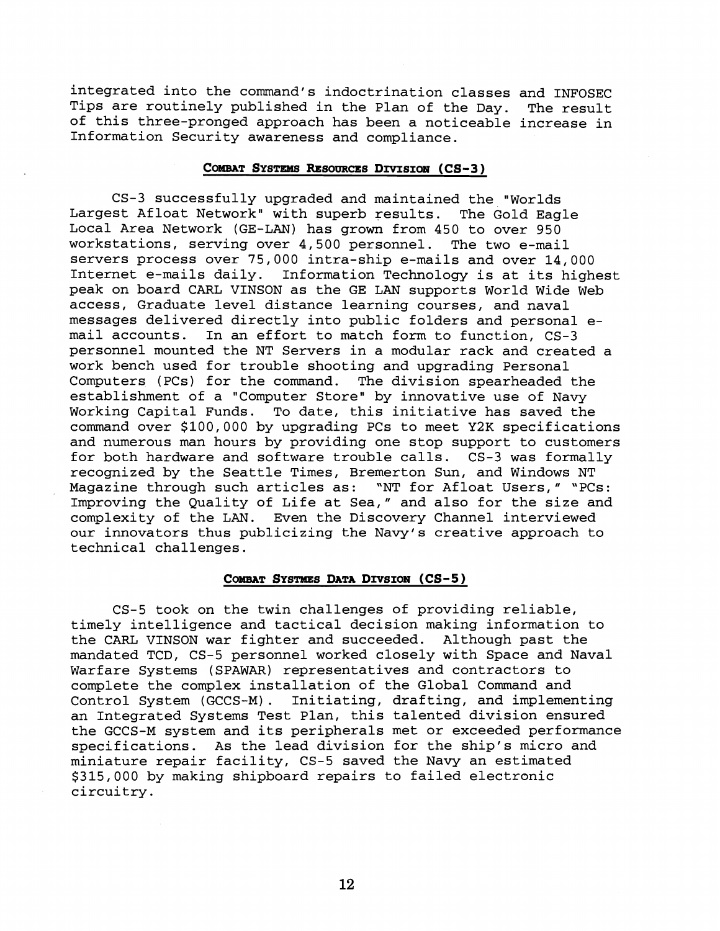integrated into the command's indoctrination classes and INFOSEC Tips are routinely published in the Plan of the Day. The result of this three-pronged approach has been a noticeable increase in Information Security awareness and compliance.

# COMBAT SYSTEMS RESOURCES DIVISION (CS-3)

CS-3 successfully upgraded and maintained the "Worlds Largest Afloat Network" with superb results. The Gold Eagle Local Area Network (GE-LAN) has grown from 450 to over 950 workstations, serving over 4,500 personnel. The two e-mail servers process over 75,000 intra-ship e-mails and over 14,000 Internet e-mails daily. Information Technology is at its highest peak on board CARL VINSON as the GE LAN supports World Wide Web access, Graduate level distance learning courses, and naval messages delivered directly into public folders and personal email accounts. In an effort to match form to function, CS-3 personnel mounted the NT Servers in a modular rack and created a work bench used for trouble shooting and upgrading Personal Computers (PCs) for the command. The division spearheaded the establishment of a "Computer Store" by innovative use of Navy Working Capital Funds. To date, this initiative has saved the command over \$100,000 by upgrading PCs to meet Y2K specifications and numerous man hours by providing one stop support to customers for both hardware and software trouble calls. CS-3 was formally recognized by the Seattle Times, Bremerton Sun, and Windows NT Magazine through such articles as: "NT for Afloat Users," "PCs: Improving the Quality of Life at Sea," and also for the size and complexity of the LAN. Even the Discovery Channel interviewed our innovators thus publicizing the Navy's creative approach to technical challenges.

# COMBAT SYSTMES DATA DIVSION (CS-5)

CS-5 took on the twin challenges of providing reliable, timely intelligence and tactical decision making information to the CARL VINSON war fighter and succeeded. Although past the mandated TCD, CS-5 personnel worked closely with Space and Naval Warfare Systems (SPAWAR) representatives and contractors to complete the complex installation of the Global Command and Control System (GCCS-M) . Initiating, drafting, and implementing an Integrated Systems Test Plan, this talented division ensured the GCCS-M system and its peripherals met or exceeded performance specifications. As the lead division for the ship's micro and miniature repair facility, CS-5 saved the Navy an estimated \$315,000 by making shipboard repairs to failed electronic circuitry.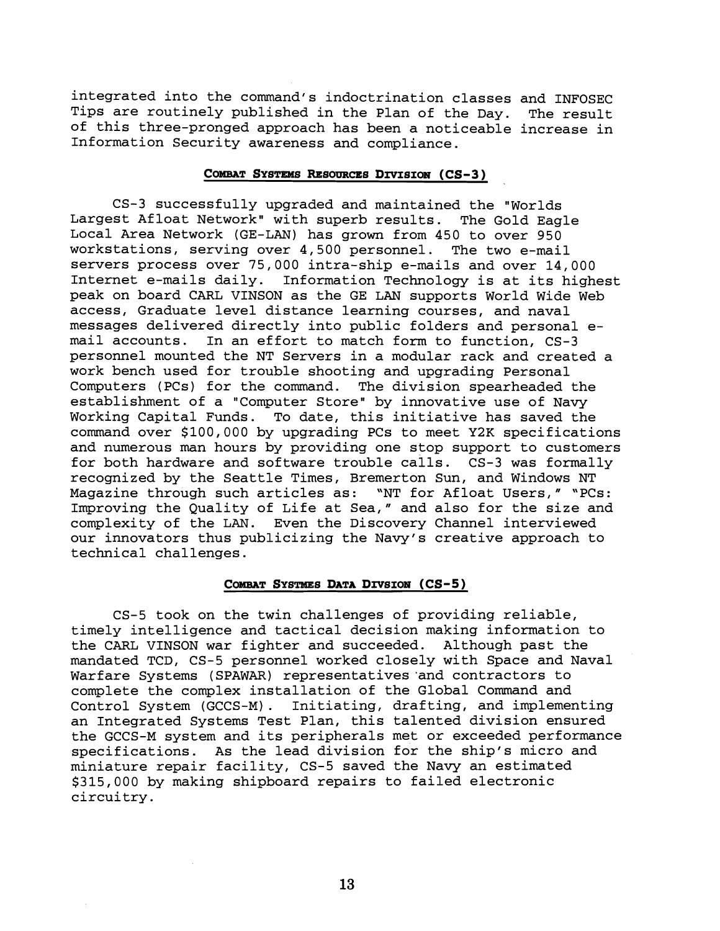integrated into the command's indoctrination classes and INFOSEC Tips are routinely published in the Plan of the Day. The result of this three-pronged approach has been a noticeable increase in Information Security awareness and compliance.

# COMBAT SYSTEMS RESOURCES DIVISION (CS-3)

CS-3 successfully upgraded and maintained the "Worlds Largest Afloat Network" with superb results. The Gold Eagle Local Area Network (GE-LAN) has grown from 450 to over 950 workstations, serving over 4,500 personnel. The two e-mail servers process over 75,000 intra-ship e-mails and over 14,000 Internet e-mails daily. Information Technology is at its highest peak on board CARL VINSON as the GE LAN supports World Wide Web access, Graduate level distance learning courses, and naval messages delivered directly into public folders and personal e-<br>mail accounts. In an effort to match form to function. CS-3 In an effort to match form to function, CS-3 personnel mounted the NT Servers in a modular rack and created a work bench used for trouble shooting and upgrading Personal Computers (PCs) for the command. The division spearheaded the establishment of a "Computer Store" by innovative use of Navy Working Capital Funds. To date, this initiative has saved the command over \$100,000 by upgrading PCs to meet Y2K specifications and numerous man hours by providing one stop support to customers for both hardware and software trouble calls. CS-3 was formally recognized by the Seattle Times, Bremerton Sun, and Windows NT Magazine through such articles as: "NT for Afloat Users," "PCs: Improving the Quality of Life at Sea," and also for the size and complexity of the LAN. Even the Discovery Channel interviewed our innovators thus publicizing the Navy's creative approach to technical challenges.

# COMBAT SYSTMES DATA DIVSION (CS-5)

CS-5 took on the twin challenges of providing reliable, timely intelligence and tactical decision making information to the CARL VINSON war fighter and succeeded. Although past the mandated TCD, CS-5 personnel worked closely with Space and Naval Warfare Systems (SPAWAR) representatives 'and contractors to complete the complex installation of the Global Command and Control System (GCCS-M) . Initiating, drafting, and implementing an Integrated Systems Test Plan, this talented division ensured the GCCS-M system and its peripherals met or exceeded performance specifications. As the lead division for the ship's micro and miniature repair facility, CS-5 saved the Navy an estimated \$315,000 by making shipboard repairs to failed electronic circuitry.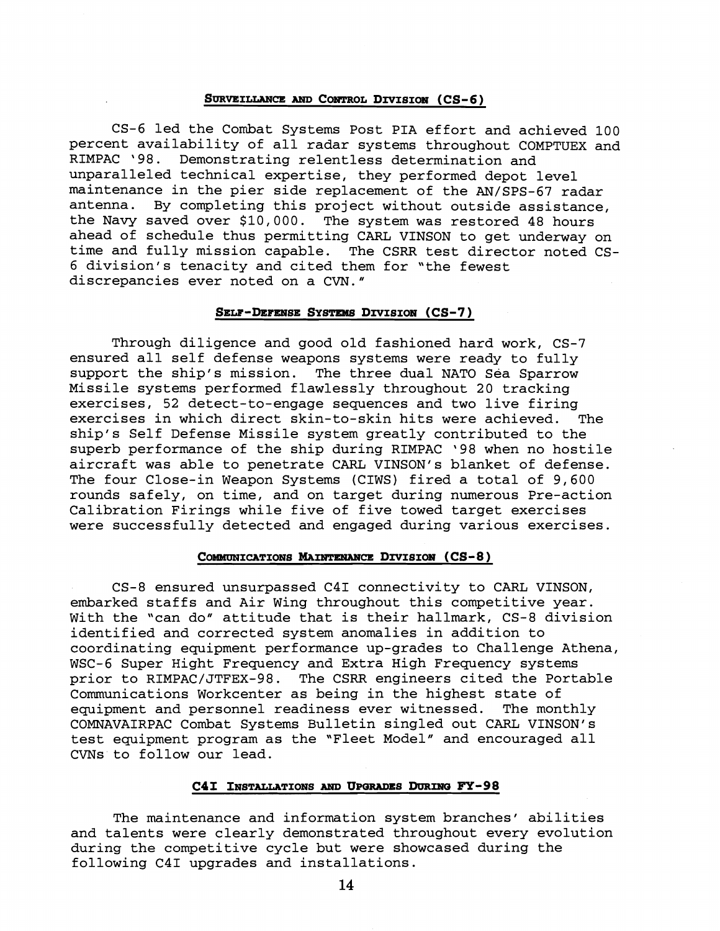## **SURVEILLANCE AND CONTROL DIVISION (CS-6)**

CS-6 led the Combat Systems Post PIA effort and achieved 100 percent availability of all radar systems throughout COMPTUEX and RIMPAC '98. Demonstrating relentless determination and unparalleled technical expertise, they performed depot level maintenance in the pier side replacement of the AN/SPS-67 radar antenna. By completing this project without outside assistance, the Navy saved over \$10,000. The system was restored 48 hours ahead of schedule thus permitting CARL VINSON to get underway on time and fully mission capable. The CSRR test director noted CS-6 division's tenacity and cited them for "the fewest discrepancies ever noted on a CVN."

### SELF-DEFENSE SYSTEMS DIVISION (CS-7)

Through diligence and good old fashioned hard work, CS-7 ensured all self defense weapons systems were ready to fully support the ship's mission. The three dual NATO Sea Sparrow Missile systems performed flawlessly throughout 20 tracking exercises, 52 detect-to-engage sequences and two live firing exercises in which direct skin-to-skin hits were achieved. The ship's Self Defense Missile system greatly contributed to the superb performance of the ship during RIMPAC '98 when no hostile aircraft was able to penetrate CARL VINSON's blanket of defense. The four Close-in Weapon Systems (CIWS) fired a total of 9,600 rounds safely, on time, and on target during numerous Pre-action Calibration Firings while five of five towed target exercises were successfully detected and engaged during various exercises.

## COMMUNICATIONS MAINTENANCE DIVISION (CS-8)

CS-8 ensured unsurpassed C41 connectivity to CARL VINSON, embarked staffs and Air Wing throughout this competitive year. With the "can do" attitude that is their hallmark, CS-8 division identified and corrected system anomalies in addition to coordinating equipment performance up-grades to Challenge Athena, WSC-6 Super Hight Frequency and Extra High Frequency systems prior to RIMPAC/JTFEX-98. The CSRR engineers cited the Portable Communications Workcenter as being in the highest state of equipment and personnel readiness ever witnessed. The monthly COMNAVAIRPAC Combat Systems Bulletin singled out CARL VINSON's test equipment program as the "Fleet Model" and encouraged all CVNs to follow our lead.

#### C4I INSTALLATIONS AND UPGRADES DURING FY-98

The maintenance and information system branches' abilities and talents were clearly demonstrated throughout every evolution during the competitive cycle but were showcased during the following C41 upgrades and installations.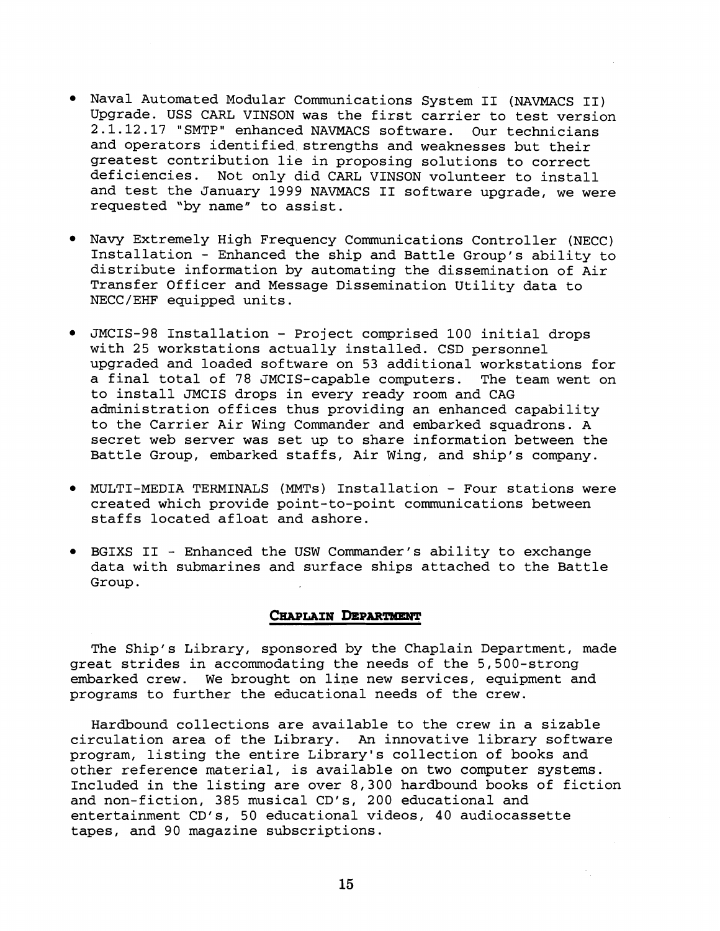- Naval Automated Modular Communications System I1 (NAVMACS 11) Upgrade. USS CARL VINSON was the first carrier to test version 2.1.12.17 "SMTP" enhanced NAVMACS software. Our technicians and operators identified strengths and weaknesses but their greatest contribution lie in proposing solutions to correct deficiencies. Not only did CARL VINSON volunteer to install and test the January 1999 NAVMACS I1 software upgrade, we were requested 'by name" to assist.
- Navy Extremely High Frequency Communications Controller (NECC) Installation - Enhanced the ship and Battle Group's ability to distribute information by automating the dissemination of Air Transfer Officer and Message Dissemination Utility data to NECC/EHF equipped units.
- JMCIS-98 Installation Project comprised 100 initial drops with 25 workstations actually installed. CSD personnel upgraded and loaded software on 53 additional workstations for a final total of 78 JMCIS-capable computers. The team went on to install JMCIS drops in every ready room and CAG administration offices thus providing an enhanced capability to the Carrier Air Wing Commander and embarked squadrons. A secret web server was set up to share information between the Battle Group, embarked staffs, Air Wing, and ship's company.
- MULTI-MEDIA TERMINALS (MMTs) Installation Four stations were created which provide point-to-point communications between staffs located afloat and ashore.
- BGIXS I1 Enhanced the USW Commander's ability to exchange data with submarines and surface ships attached to the Battle Group.

# CHAPLAIN DEPARTMENT

The Ship's Library, sponsored by the Chaplain Department, made great strides in accommodating the needs of the 5,500-strong embarked crew. We brought on line new services, equipment and programs to further the educational needs of the crew.

Hardbound collections are available to the crew in a sizable circulation area of the Library. **An** innovative library software program, listing the entire Library's collection of books and other reference material, is available on two computer systems. Included in the listing are over 8,300 hardbound books of fiction and non-fiction, 385 musical CD's, 200 educational and entertainment CD's, 50 educational videos, 40 audiocassette tapes, and 90 magazine subscriptions.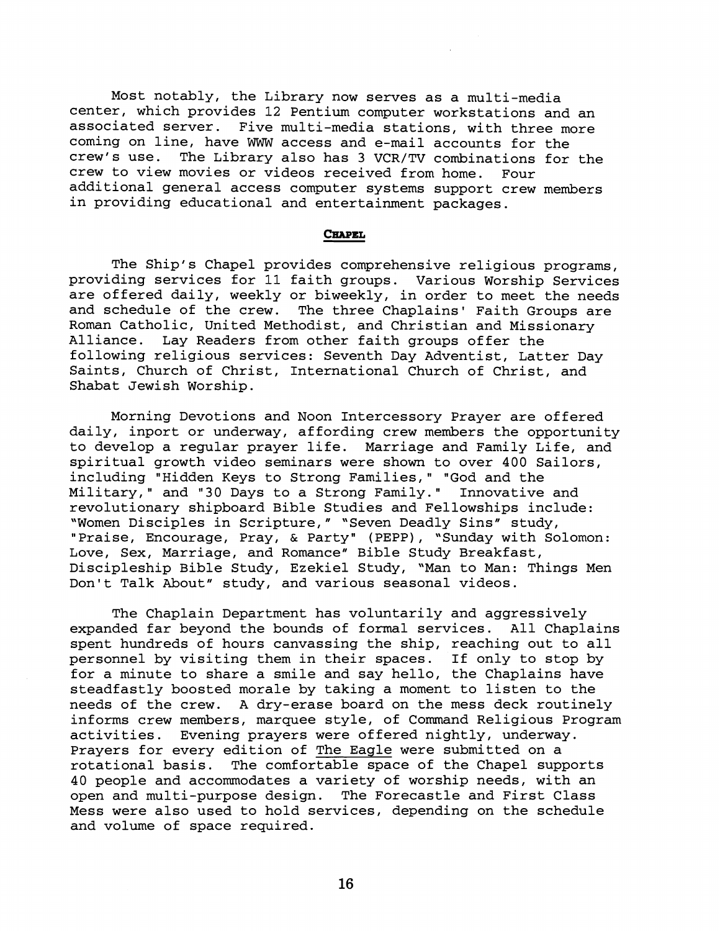Most notably, the Library now serves as a multi-media center, which provides 12 Pentium computer workstations and an associated server. Five multi-media stations, with three more coming on line, have WWW access and e-mail accounts for the crew's use. The Library also has 3 VCR/TV combinations for the crew to view movies or videos received from home. Four additional general access computer systems support crew members in providing educational and entertainment packages.

## **CHAPEL**

The Ship's Chapel provides comprehensive religious programs, providing services for 11 faith groups. Various Worship Services are offered daily, weekly or biweekly, in order to meet the needs and schedule of the crew. The three Chaplains' Faith Groups are Roman Catholic, United Methodist, and Christian and Missionary Alliance. Lay Readers from other faith groups offer the following religious services: Seventh Day Adventist, Latter Day Saints, Church of Christ, International Church of Christ, and Shabat Jewish Worship.

Morning Devotions and Noon Intercessory Prayer are offered daily, inport or underway, affording crew members the opportunity to develop a regular prayer life. Marriage and Family Life, and spiritual growth video seminars were shown to over 400 Sailors, including "Hidden Keys to Strong Families," "God and the<br>Military," and "30 Days to a Strong Family." Innovative and Military," and "30 Days to a Strong Family." revolutionary shipboard Bible Studies and Fellowships include: 'Women Disciples in Scripture," "Seven Deadly Sins" study, "Praise, Encourage, Pray, & Party" (PEPP), "Sunday with Solomon: Love, Sex, Marriage, and Romance" Bible Study Breakfast, Discipleship Bible Study, Ezekiel Study, "Man to Man: Things Men Don't Talk About" study, and various seasonal videos.

The Chaplain Department has voluntarily and aggressively expanded far beyond the bounds of formal services. All Chaplains spent hundreds of hours canvassing the ship, reaching out to all personnel by visiting them in their spaces. If only to stop by for a minute to share a smile and say hello, the Chaplains have steadfastly boosted morale by taking a moment to listen to the needs of the crew. A dry-erase board on the mess deck routinely informs crew members, marquee style, of Command Religious Program activities. Evening prayers were offered nightly, underway. Prayers for every edition of The Eagle were submitted on a rotational basis. The comfortable space of the Chapel supports 40 people and accommodates a variety of worship needs, with an open and multi-purpose design. The Forecastle and First Class Mess were also used to hold services, depending on the schedule and volume of space required.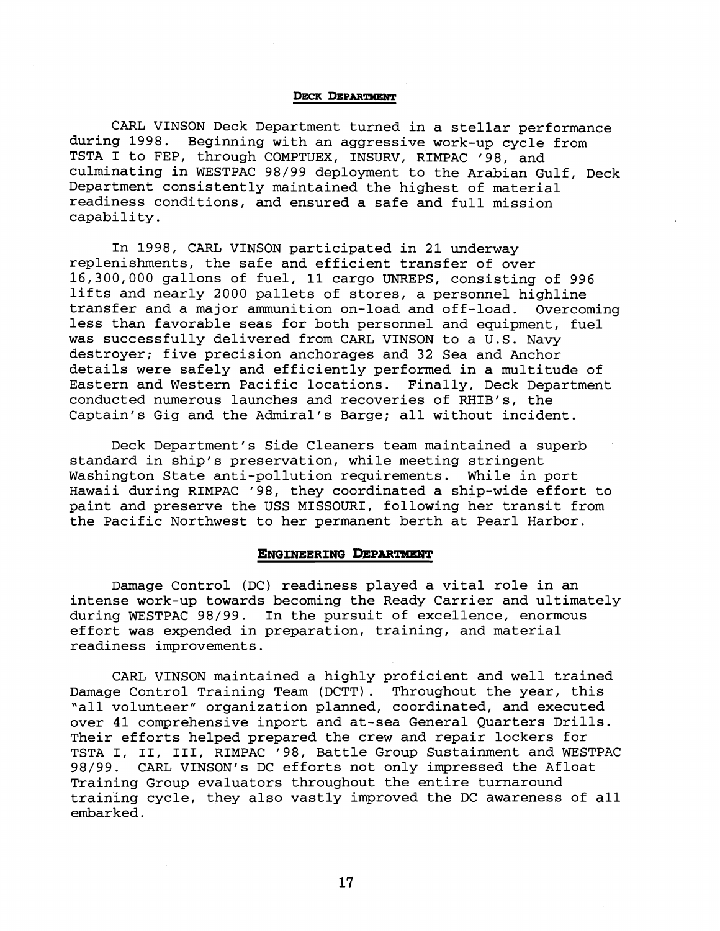#### **DECK DEPARTMENT**

CARL VINSON Deck Department turned in a stellar performance during 1998. Beginning with an aggressive work-up cycle from TSTA I to FEP, through COMPTUEX, INSURV, RIMPAC '98, and culminating in WESTPAC 98/99 deployment to the Arabian Gulf, Deck Department consistently maintained the highest of material readiness conditions, and ensured a safe and full mission capability.

In 1998, CARL VINSON participated in 21 underway replenishments, the safe and efficient transfer of over 16,300,000 gallons of fuel, 11 cargo UNREPS, consisting of 996 lifts and nearly 2000 pallets of stores, a personnel highline transfer and a major ammunition on-load and off-load. Overcoming less than favorable seas for both personnel and equipment, fuel was successfully delivered from CARL VINSON to a U.S. Navy destroyer; five precision anchorages and 32 Sea and Anchor details were safely and efficiently performed in a multitude of Eastern and Western Pacific locations. Finally, Deck Department conducted numerous launches and recoveries of RHIB's, the Captain's Gig and the Admiral's Barge; all without incident.

Deck Department's Side Cleaners team maintained a superb standard in ship's preservation, while meeting stringent Washington State anti-pollution requirements. While in port Hawaii during RIMPAC '98, they coordinated a ship-wide effort to paint and preserve the USS MISSOURI, following her transit from the Pacific Northwest to her permanent berth at Pearl Harbor.

#### **ENGINEERING DEPARTMENT**

Damage Control (DC) readiness played a vital role in an intense work-up towards becoming the Ready Carrier and ultimately during WESTPAC 98/99. In the pursuit of excellence, enormous effort was expended in preparation, training, and material readiness improvements.

CARL VINSON maintained a highly proficient and well trained Damage Control Training Team (DCTT). Throughout the year, this 'all volunteer" organization planned, coordinated, and executed over 41 comprehensive inport and at-sea General Quarters Drills. Their efforts helped prepared the crew and repair lockers for TSTA I, 11, 111, RIMPAC '98, Battle Group Sustainment and WESTPAC 98/99. CARL VINSON's DC efforts not only impressed the Afloat Training Group evaluators throughout the entire turnaround training cycle, they also vastly improved the DC awareness of all embarked.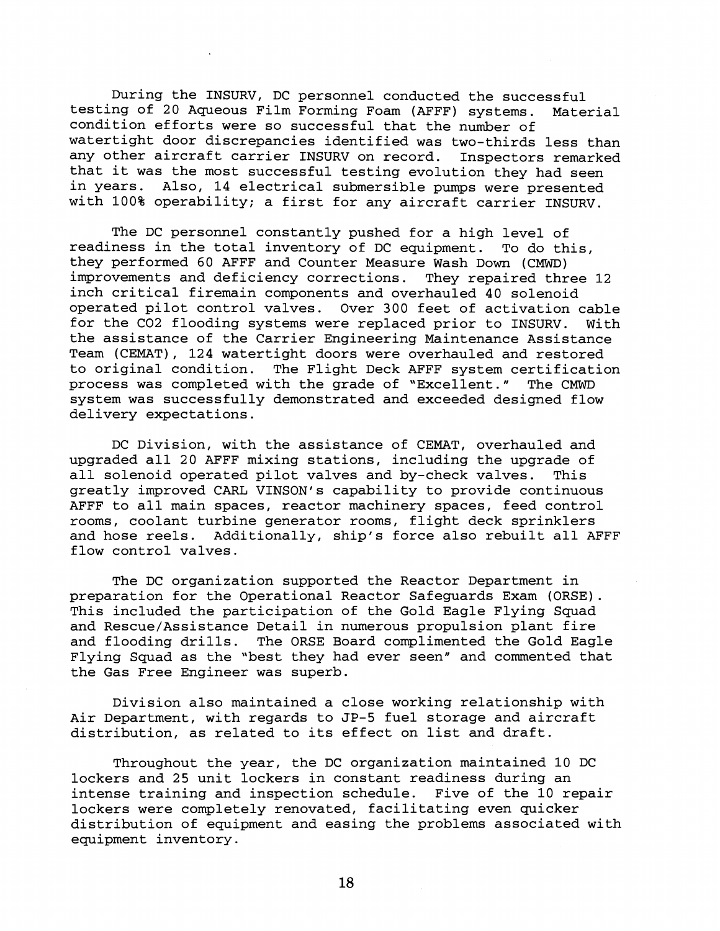During the INSURV, DC personnel conducted the successful testing of 20 Aqueous Film Forming Foam (AFFF) systems. Material condition efforts were so successful that the number of watertight door discrepancies identified was two-thirds less than any other aircraft carrier INSURV on record. Inspectors remarked that it was the most successful testing evolution they had seen<br>in years. Also. 14 electrical submersible pumps were presented Also, 14 electrical submersible pumps were presented with 100% operability; a first for any aircraft carrier INSURV.

The DC personnel constantly pushed for a high level of readiness in the total inventory of DC equipment. To do this, they performed 60 AFFF and Counter Measure Wash Down (CMWD) improvements and deficiency corrections. They repaired three 12 inch critical firemain components and overhauled 40 solenoid operated pilot control valves. Over 300 feet of activation cable for the C02 flooding systems were replaced prior to INSURV. With the assistance of the Carrier Engineering Maintenance Assistance Team (CEMAT), 124 watertight doors were overhauled and restored to original condition. The Flight Deck AFFF system certification process was completed with the grade of "Excellent." The CMWD system was successfully demonstrated and exceeded designed flow delivery expectations.

DC Division, with the assistance of CEMAT, overhauled and upgraded all 20 AFFF mixing stations, including the upgrade of all solenoid operated pilot valves and by-check valves. This greatly improved CARL VINSON's capability to provide continuous AFFF to all main spaces, reactor machinery spaces, feed control rooms, coolant turbine generator rooms, flight deck sprinklers and hose reels. Additionally, ship's force also rebuilt all AFFF flow control valves.

The DC organization supported the Reactor Department in preparation for the Operational Reactor Safeguards Exam (ORSE). This included the participation of the Gold Eagle Flying Squad and Rescue/Assistance Detail in numerous propulsion plant fire and flooding drills. The ORSE Board complimented the Gold Eagle Flying Squad as the "best they had ever seen" and commented that the Gas Free Engineer was superb.

Division also maintained a close working relationship with Air Department, with regards to JP-5 fuel storage and aircraft distribution, as related to its effect on list and draft.

Throughout the year, the DC organization maintained 10 DC lockers and 25 unit lockers in constant readiness during an intense training and inspection schedule. Five of the 10 repair lockers were completely renovated, facilitating even quicker distribution of equipment and easing the problems associated with equipment inventory.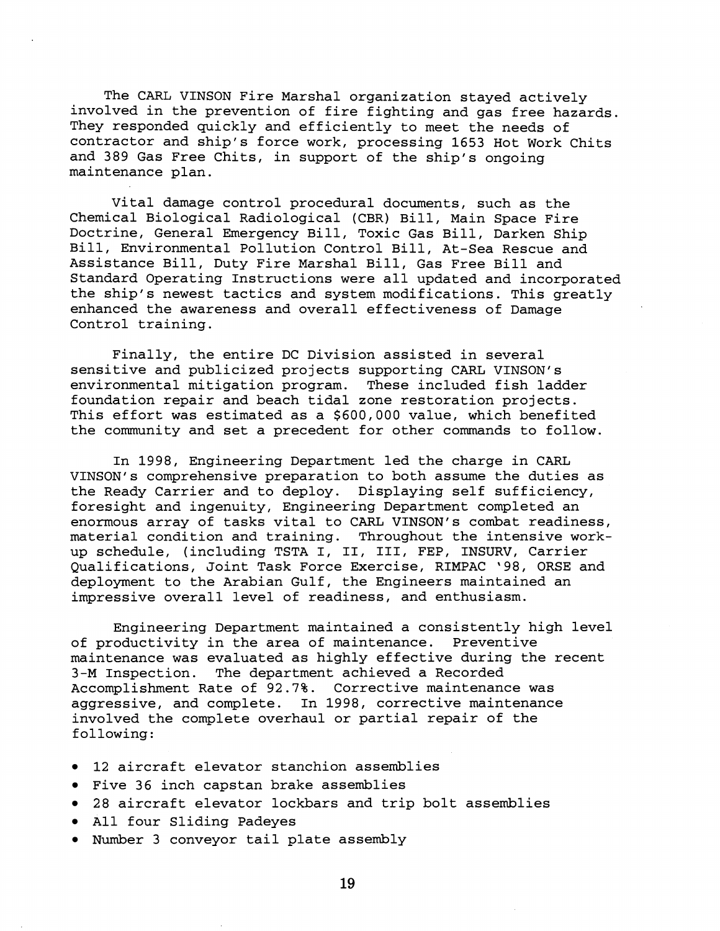The CARL VINSON Fire Marshal organization stayed actively involved in the prevention of fire fighting and gas free hazards. They responded quickly and efficiently to meet the needs of contractor and ship's force work, processing 1653 Hot Work Chits and 389 Gas Free Chits, in support of the ship's ongoing maintenance plan.

Vital damage control procedural documents, such as the Chemical Biological Radiological (CBR) Bill, Main Space Fire Doctrine, General Emergency Bill, Toxic Gas Bill, Darken Ship Bill, Environmental Pollution Control Bill, At-Sea Rescue and Assistance Bill, Duty Fire Marshal Bill, Gas Free Bill and Standard Operating Instructions were all updated and incorporated the ship's newest tactics and system modifications. This greatly enhanced the awareness and overall effectiveness of Damage Control training.

Finally, the entire DC Division assisted in several sensitive and publicized projects supporting CARL VINSON's environmental mitigation program. These included fish ladder foundation repair and beach tidal zone restoration projects. This effort was estimated as a \$600,000 value, which benefited the community and set a precedent for other commands to follow.

In 1998, Engineering Department led the charge in CARL VINSON's comprehensive preparation to both assume the duties as the Ready Carrier and to deploy. Displaying self sufficiency, foresight and ingenuity, Engineering Department completed an enormous array of tasks vital to CARL VINSON's combat readiness, material condition and training. Throughout the intensive workup schedule, (including TSTA I, 11, 111, FEP, INSURV, Carrier Qualifications, Joint Task Force Exercise, RIMPAC '98, ORSE and deployment to the Arabian Gulf, the Engineers maintained an impressive overall level of readiness, and enthusiasm.

Engineering Department maintained a consistently high level of productivity in the area of maintenance. Preventive maintenance was evaluated as highly effective during the recent 3-M Inspection. The department achieved a Recorded Accomplishment Rate of 92.7%. Corrective maintenance was aggressive, and complete. In 1998, corrective maintenance involved the complete overhaul or partial repair of the following:

- 12 aircraft elevator stanchion assemblies
- Five 36 inch capstan brake assemblies
- 28 aircraft elevator lockbars and trip bolt assemblies
- All four Sliding Padeyes
- Number 3 conveyor tail plate assembly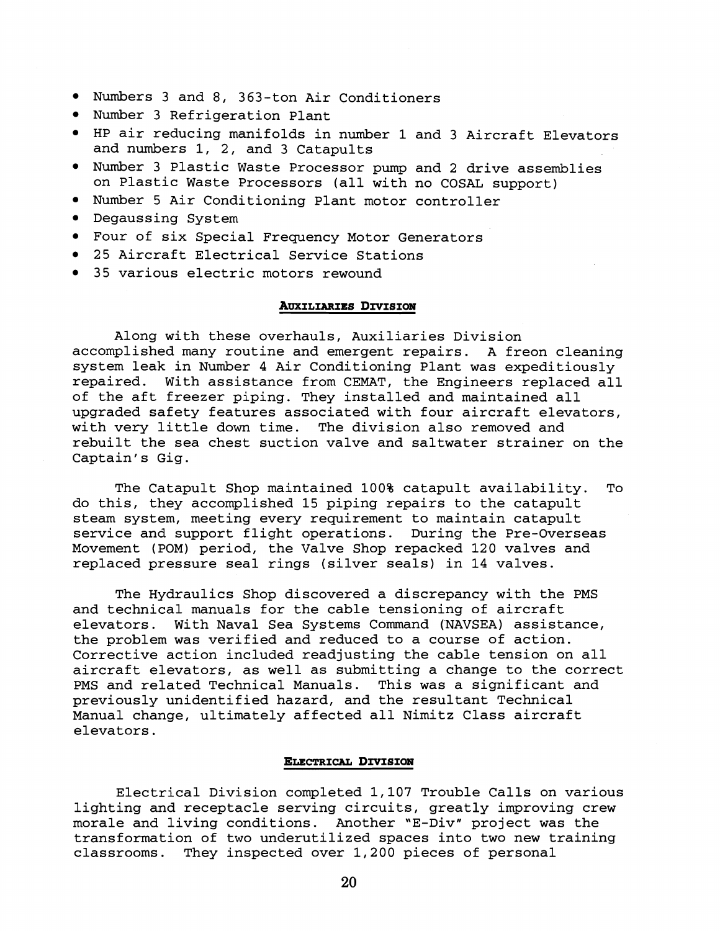- Numbers 3 and 8, 363-ton Air Conditioners
- Number 3 Refrigeration Plant
- HP air reducing manifolds in number 1 and 3 Aircraft Elevators and numbers 1, 2, and 3 Catapults
- Number 3 Plastic Waste Processor pump and 2 drive assemblies on Plastic Waste Processors (all with no COSAL support)
- Number 5 Air Conditioning Plant motor controller
- Degaussing System
- Four of six Special Frequency Motor Generators
- 25 Aircraft Electrical Service Stations
- 35 various electric motors rewound

# **AUXILIARIES DIVISION**

Along with these overhauls, Auxiliaries Division accomplished many routine and emergent repairs. A freon cleaning system leak in Number 4 Air Conditioning Plant was expeditiously repaired. With assistance from CEMAT, the Engineers replaced all of the aft freezer piping. They installed and maintained all upgraded safety features associated with four aircraft elevators, with very little down time. The division also removed and rebuilt the sea chest suction valve and saltwater strainer on the Captain's Gig.

The Catapult Shop maintained 100% catapult availability. To do this, they accomplished 15 piping repairs to the catapult steam system, meeting every requirement to maintain catapult service and support flight operations. During the Pre-Overseas Movement (POM) period, the Valve Shop repacked 120 valves and replaced pressure seal rings (silver seals) in 14 valves.

The Hydraulics Shop discovered a discrepancy with the PMS and technical manuals for the cable tensioning of aircraft elevators. With Naval Sea Systems Command (NAVSEA) assistance, the problem was verified and reduced to a course of action. Corrective action included readjusting the cable tension on all aircraft elevators, as well as submitting a change to the correct PMS and related Technical Manuals. This was a significant and previously unidentified hazard, and the resultant Technical Manual change, ultimately affected all Nimitz Class aircraft elevators.

#### **ELECTRICAL DIVISION**

Electrical Division completed 1,107 Trouble Calls on various lighting and receptacle serving circuits, greatly improving crew morale and living conditions. Another "E-Div" project was the transformation of two underutilized spaces into two new training classrooms. They inspected over 1,200 pieces of personal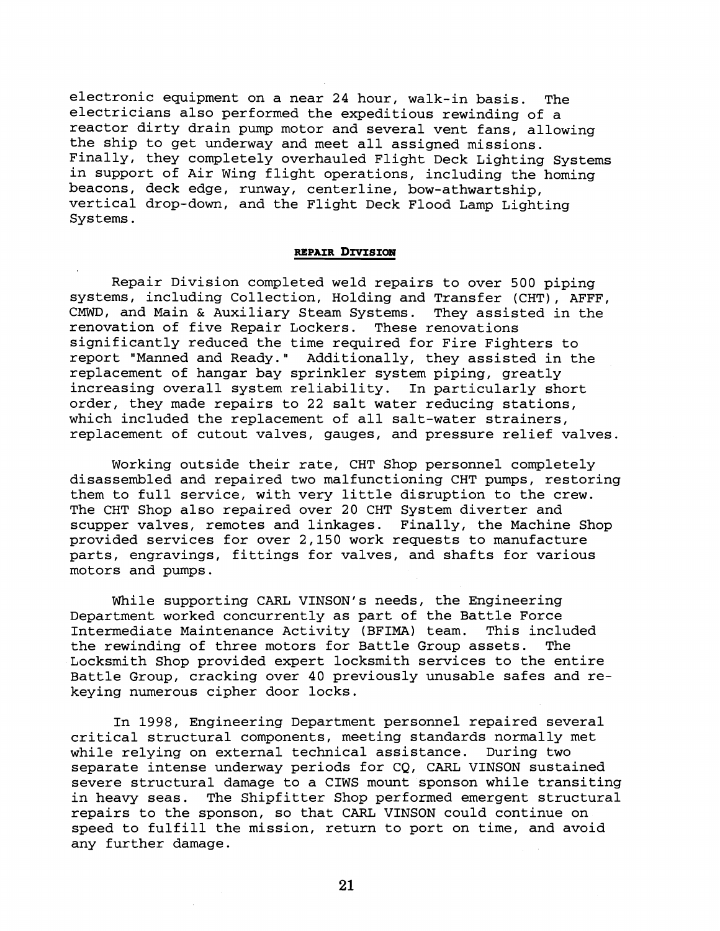electronic equipment on a near 24 hour, walk-in basis. The electricians also performed the expeditious rewinding of a reactor dirty drain pump motor and several vent fans, allowing the ship to get underway and meet all assigned missions. Finally, they completely overhauled Flight Deck Lighting Systems in support of Air Wing flight operations, including the homing beacons, deck edge, runway, centerline, bow-athwartship, vertical drop-down, and the Flight Deck Flood Lamp Lighting Systems.

#### **REPAIR DIVISION**

Repair Division completed weld repairs to over 500 piping systems, including Collection, Holding and Transfer (CHT), AFFF, CMWD, and Main & Auxiliary Steam Systems. They assisted in the renovation of five Repair Lockers. These renovations renovation of five Repair Lockers. significantly reduced the time required for Fire Fighters to report "Manned and Ready." Additionally, they assisted in the replacement of hangar bay sprinkler system piping, greatly increasing overall system reliability. In particularly short order, they made repairs to 22 salt water reducing stations, which included the replacement of all salt-water strainers, replacement of cutout valves, gauges, and pressure relief valves.

Working outside their rate, CHT Shop personnel completely disassembled and repaired two malfunctioning CHT pumps, restoring them to full service, with very little disruption to the crew. The CHT Shop also repaired over 20 CHT System diverter and scupper valves, remotes and linkages. Finally, the Machine Shop provided services for over 2,150 work requests to manufacture parts, engravings, fittings for valves, and shafts for various motors and pumps.

While supporting CARL VINSON's needs, the Engineering Department worked concurrently as part of the Battle Force Intermediate Maintenance Activity (BFIMA) team. This included the rewinding of three motors for Battle Group assets. The Locksmith Shop provided expert locksmith services to the entire Battle Group, cracking over 40 previously unusable safes and rekeying numerous cipher door locks.

In 1998, Engineering Department personnel repaired several critical structural components, meeting standards normally met while relying on external technical assistance. During two separate intense underway periods for CQ, CARL VINSON sustained severe structural damage to a CIWS mount sponson while transiting in heavy seas. The Shipfitter Shop performed emergent structural repairs to the sponson, so that CARL VINSON could continue on speed to fulfill the mission, return to port on time, and avoid any further damage.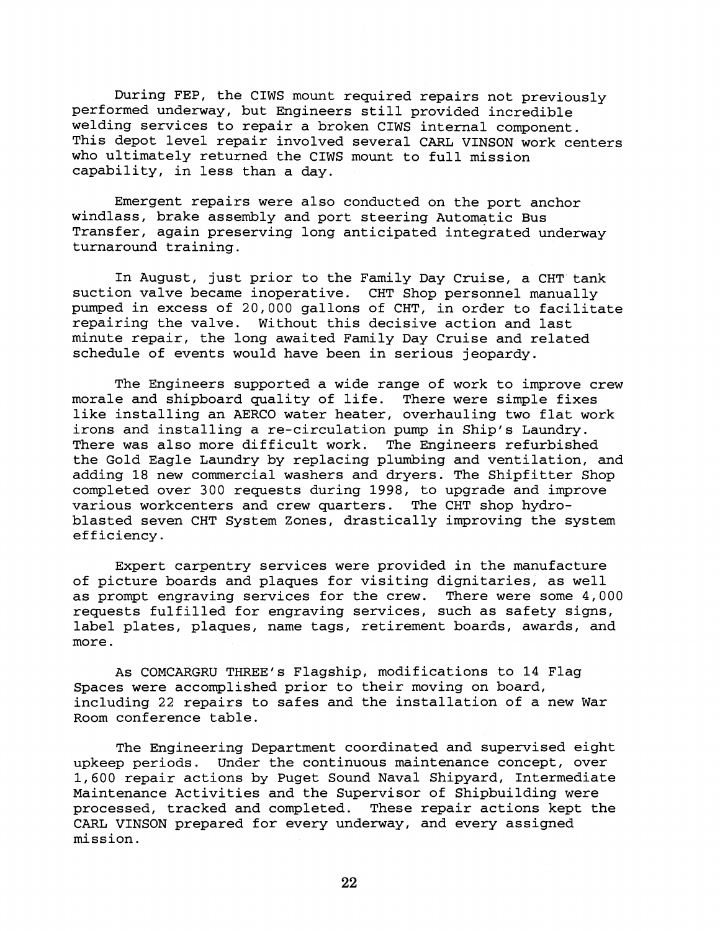During FEP, the CIWS mount required repairs not previously performed underway, but Engineers still provided incredible welding services to repair a broken CIWS internal component. This depot level repair involved several CARL VINSON work centers who ultimately returned the CIWS mount to full mission capability, in less than a day.

Emergent repairs were also conducted on the port anchor windlass, brake assembly and port steering Automatic Bus Transfer, again preserving long anticipated integrated underway turnaround training.

In August, just prior to the Family Day Cruise, a CHT tank suction valve became inoperative. CHT Shop personnel manually pumped in excess of 20,000 gallons of CHT, in order to facilitate repairing the valve. Without this decisive action and last minute repair, the long awaited Family Day Cruise and related schedule of events would have been in serious jeopardy.

The Engineers supported a wide range of work to improve crew morale and shipboard quality of life. There were simple fixes like installing an AERCO water heater, overhauling two flat work irons and installing a re-circulation pump in Ship's Laundry. There was also more difficult work. The Engineers refurbished the Gold Eagle Laundry by replacing plumbing and ventilation, and adding 18 new commercial washers and dryers. The Shipfitter Shop completed over 300 requests during 1998, to upgrade and improve various workcenters and crew quarters. The CHT shop hydroblasted seven CHT System Zones, drastically improving the system efficiency.

Expert carpentry services were provided in the manufacture of picture boards and plaques for visiting dignitaries, as well as prompt engraving services for the crew. There were some 4,000 requests fulfilled for engraving services, such as safety signs, label plates, plaques, name tags, retirement boards, awards, and more.

As COMCARGRU THREE'S Flagship, modifications to 14 Flag Spaces were accomplished prior to their moving on board, including 22 repairs to safes and the installation of a new War Room conference table.

The Engineering Department coordinated and supervised eight upkeep periods. Under the continuous maintenance concept, over 1,600 repair actions by Puget Sound Naval Shipyard, Intermediate Maintenance Activities and the Supervisor of Shipbuilding were processed, tracked and completed. These repair actions kept the CARL VINSON prepared for every underway, and every assigned mission.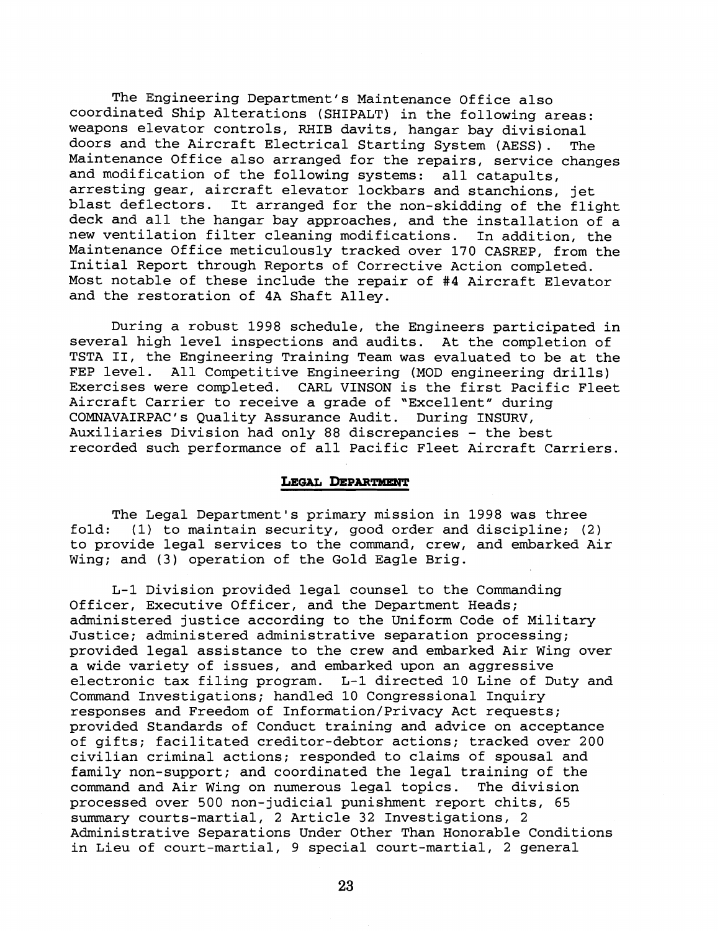The Engineering Department's Maintenance Office also coordinated Ship Alterations (SHIPALT) in the following areas: weapons elevator controls, RHIB davits, hangar bay divisional doors and the Aircraft Electrical Starting System (AESS). The Maintenance Office also arranged for the repairs, service changes and modification of the following systems: all catapults, arresting gear, aircraft elevator lockbars and stanchions, jet blast deflectors. It arranged for the non-skidding of the flight deck and all the hangar bay approaches, and the installation of a new ventilation filter cleaning modifications. In addition, the Maintenance Office meticulously tracked over 170 CASREP, from the Initial Report through Reports of Corrective Action completed. Most notable of these include the repair of **#4** Aircraft Elevator and the restoration of 4A Shaft Alley.

During a robust 1998 schedule, the Engineers participated in several high level inspections and audits. At the completion of TSTA 11, the Engineering Training Team was evaluated to be at the FEP level. All Competitive Engineering (MOD engineering drills) Exercises were completed. CARL VINSON is the first Pacific Fleet Aircraft Carrier to receive a grade of "Excellent" during COMNAVAIRPAC's Quality Assurance Audit. During INSURV, Auxiliaries Division had only 88 discrepancies - the best recorded such performance of all Pacific Fleet Aircraft Carriers.

## **LEGAL DEPARTMENT**

The Legal Department's primary mission in 1998 was three fold: (1) to maintain security, good order and discipline; (2) to provide legal services to the command, crew, and embarked Air Wing; and (3) operation of the Gold Eagle Brig.

L-1 Division provided legal counsel to the Commanding Officer, Executive Officer, and the Department Heads; administered justice according to the Uniform Code of Military Justice; administered administrative separation processing; provided legal assistance to the crew and embarked Air Wing over a wide variety of issues, and embarked upon an aggressive electronic tax filing program. L-1 directed 10 Line of Duty and Command Investigations; handled 10 Congressional Inquiry responses and Freedom of Information/Privacy Act requests; provided Standards of Conduct training and advice on acceptance of gifts; facilitated creditor-debtor actions; tracked over 200 civilian criminal actions; responded to claims of spousal and family non-support; and coordinated the legal training of the command and Air Wing on numerous legal topics. The division processed over 500 non-judicial punishment report chits, 65 summary courts-martial, 2 Article 32 Investigations, 2 Administrative Separations Under Other Than Honorable Conditions in Lieu of court-martial, 9 special court-martial, 2 general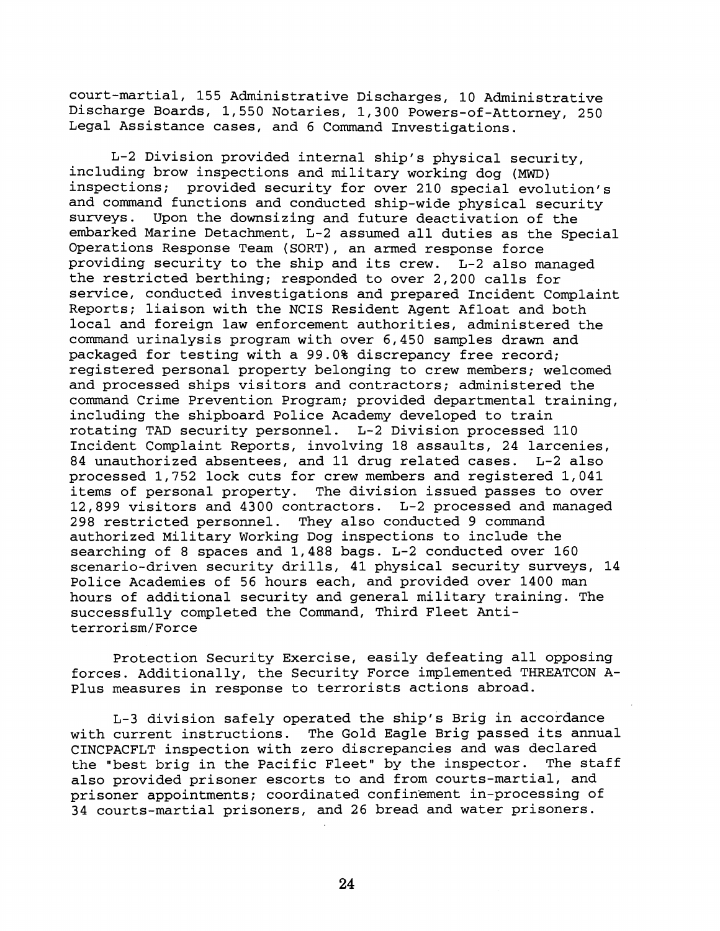court-martial, 155 Administrative Discharges, 10 Administrative Discharge Boards, 1,550 Notaries, 1,300 Powers-of-Attorney, 250 Legal Assistance cases, and 6 Command Investigations.

L-2 Division provided internal ship's physical security, including brow inspections and military working dog (MWD) inspections; provided security for over 210 special evolution's and command functions and conducted ship-wide physical security<br>surveys. Upon the downsizing and future deactivation of the Upon the downsizing and future deactivation of the embarked Marine Detachment, L-2 assumed all duties as the Special Operations Response Team (SORT), an armed response force providing security to the ship and its crew. L-2 also managed the restricted berthing; responded to over 2,200 calls for service, conducted investigations and prepared Incident Complaint Reports; liaison with the NCIS Resident Agent Afloat and both local and foreign law enforcement authorities, administered the command urinalysis program with over 6,450 samples drawn and packaged for testing with a 99.0% discrepancy free record; registered personal property belonging to crew members; welcomed and processed ships visitors and contractors; administered the command Crime Prevention Program; provided departmental training, including the shipboard Police Academy developed to train rotating TAD security personnel. L-2 Division processed 110 Incident Complaint Reports, involving 18 assaults, 24 larcenies, 84 unauthorized absentees, and 11 drug related cases. L-2 also processed 1,752 lock cuts for crew members and registered 1,041 items of personal property. The division issued passes to over 12,899 visitors and 4300 contractors. L-2 processed and managed 298 restricted personnel. They also conducted 9 command authorized Military Working Dog inspections to include the searching of 8 spaces and 1,488 bags. L-2 conducted over 160 scenario-driven security drills, 41 physical security surveys, 14 Police Academies of 56 hours each, and provided over 1400 man hours of additional security and general military training. The successfully completed the Command, Third Fleet Antiterrorism/Force

Protection Security Exercise, easily defeating all opposing forces. Additionally, the Security Force implemented THREATCON A-Plus measures in response to terrorists actions abroad.

L-3 division safely operated the ship's Brig in accordance with current instructions. The Gold Eagle Brig passed its annual CINCPACFLT inspection with zero discrepancies and was declared<br>the "best brig in the Pacific Fleet" by the inspector. The staff the "best brig in the Pacific Fleet" by the inspector. also provided prisoner escorts to and from courts-martial, and prisoner appointments; coordinated confinement in-processing of 34 courts-martial prisoners, and 26 bread and water prisoners.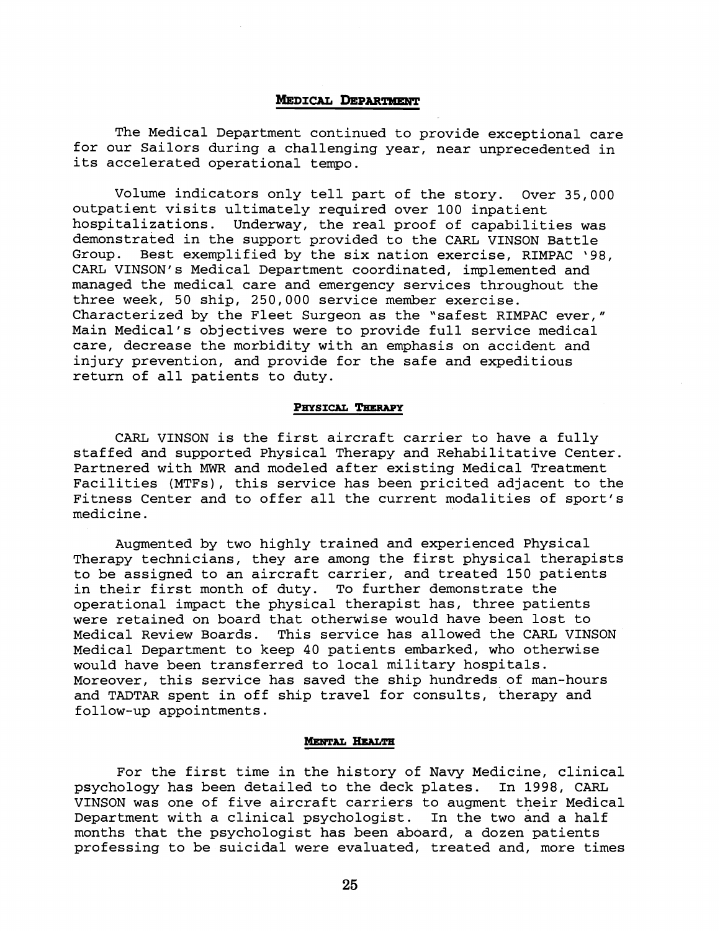# MEDICAL DEPARTMENT

The Medical Department continued to provide exceptional care for our Sailors during a challenging year, near unprecedented in its accelerated operational tempo.

Volume indicators only tell part of the story. Over 35,000 outpatient visits ultimately required over 100 inpatient hospitalizations. Underway, the real proof of capabilities was demonstrated in the support provided to the CARL VINSON Battle Group. Best exemplified by the six nation exercise, RIMPAC '98, CARL VINSON's Medical Department coordinated, implemented and managed the medical care and emergency services throughout the three week, 50 ship, 250,000 service member exercise. Characterized by the Fleet Surgeon as the 'safest RIMPAC ever," Main Medical's objectives were to provide full service medical care, decrease the morbidity with an emphasis on accident and injury prevention, and provide for the safe and expeditious return of all patients to duty.

#### PHYSICAL THERAPY

CARL VINSON is the first aircraft carrier to have a fully staffed and supported Physical Therapy and Rehabilitative Center. Partnered with **MWR** and modeled after existing Medical Treatment Facilities (MTFs), this service has been pricited adjacent to the Fitness Center and to offer all the current modalities of sport's medicine.

Augmented by two highly trained and experienced Physical Therapy technicians, they are among the first physical therapists to be assigned to an aircraft carrier, and treated 150 patients<br>in their first month of duty. To further demonstrate the in their first month of duty. operational impact the physical therapist has, three patients were retained on board that otherwise would have been lost to Medical Review Boards. This service has allowed the CARL VINSON Medical Department to keep 40 patients embarked, who otherwise would have been transferred to local military hospitals. Moreover, this service has saved the ship hundreds of man-hours and TADTAR spent in off ship travel for consults, therapy and follow-up appointments.

## **MENTAL HEALTH**

For the first time in the history of Navy Medicine, clinical psychology has been detailed to the deck plates. In 1998, CARL VINSON was one of five aircraft carriers to augment their Medical Department with a clinical psychologist. In the two and a half months that the psychologist has been aboard, a dozen patients professing to be suicidal were evaluated, treated and, more times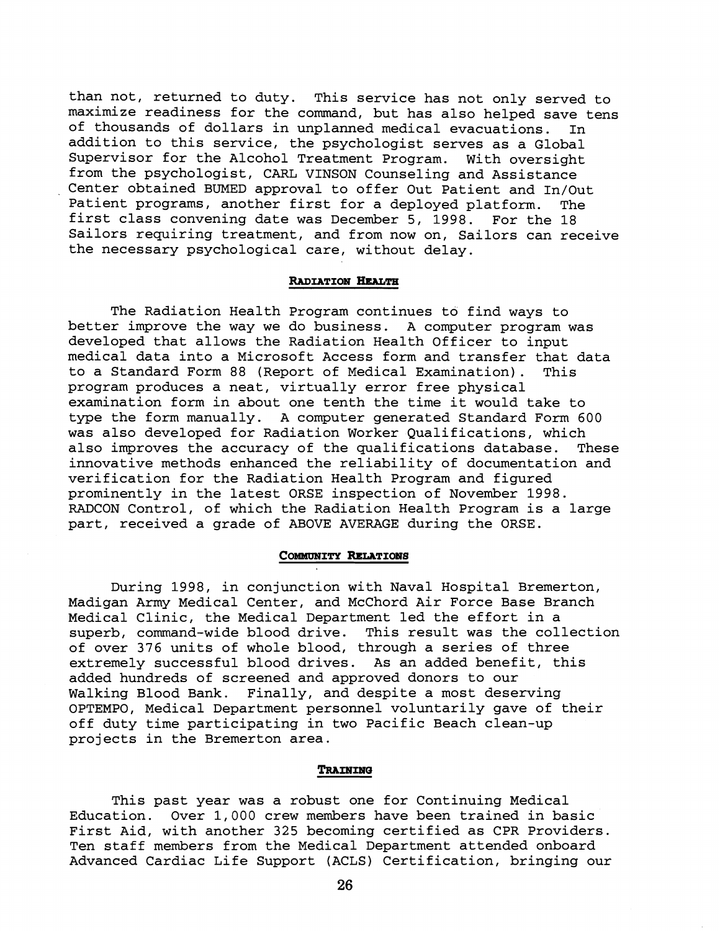than not, returned to duty. This service has not only served to maximize readiness for the command, but has also helped save tens of thousands of dollars in unplanned medical evacuations. In addition to this service, the psychologist serves as a Global Supervisor for the Alcohol Treatment Program. With oversight from the psychologist, CARL VINSON Counseling and Assistance Center obtained BUMED approval to offer Out Patient and In/Out Patient programs, another first for a deployed platform. The first class convening date was December 5, 1998. For the 18 Sailors requiring treatment, and from now on, Sailors can receive the necessary psychological care, without delay.

## RADIATION HEALTH

The Radiation Health Program continues to find ways to better improve the way we do business. A computer program was developed that allows the Radiation Health Officer to input medical data into a Microsoft Access form and transfer that data<br>to a Standard Form 88 (Report of Medical Examination). This to a Standard Form 88 (Report of Medical Examination). program produces a neat, virtually error free physical examination form in about one tenth the time it would take to type the form manually. A computer generated Standard Form 600 was also developed for Radiation Worker Qualifications, which also improves the accuracy of the qualifications database. These innovative methods enhanced the reliability of documentation and verification for the Radiation Health Program and figured prominently in the latest ORSE inspection of November 1998. RADCON Control, of which the Radiation Health Program is a large part, received a grade of ABOVE AVERAGE during the ORSE.

#### **COMMUNITY RELATIONS**

During 1998, in conjunction with Naval Hospital Bremerton, Madigan Army Medical Center, and McChord Air Force Base Branch Medical Clinic, the Medical Department led the effort in a superb, command-wide blood drive. This result was the collection of over 376 units of whole blood, through a series of three extremely successful blood drives. As an added benefit, this added hundreds of screened and approved donors to our Walking Blood Bank. Finally, and despite a most deserving OPTEMPO, Medical Department personnel voluntarily gave of their off duty time participating in two Pacific Beach clean-up projects in the Bremerton area.

#### TRAINING

This past year was a robust one for Continuing Medical Education. Over 1,000 crew members have been trained in basic First Aid, with another 325 becoming certified as CPR Providers. Ten staff members from the Medical Department attended onboard Advanced Cardiac Life Support (ACLS) Certification, bringing our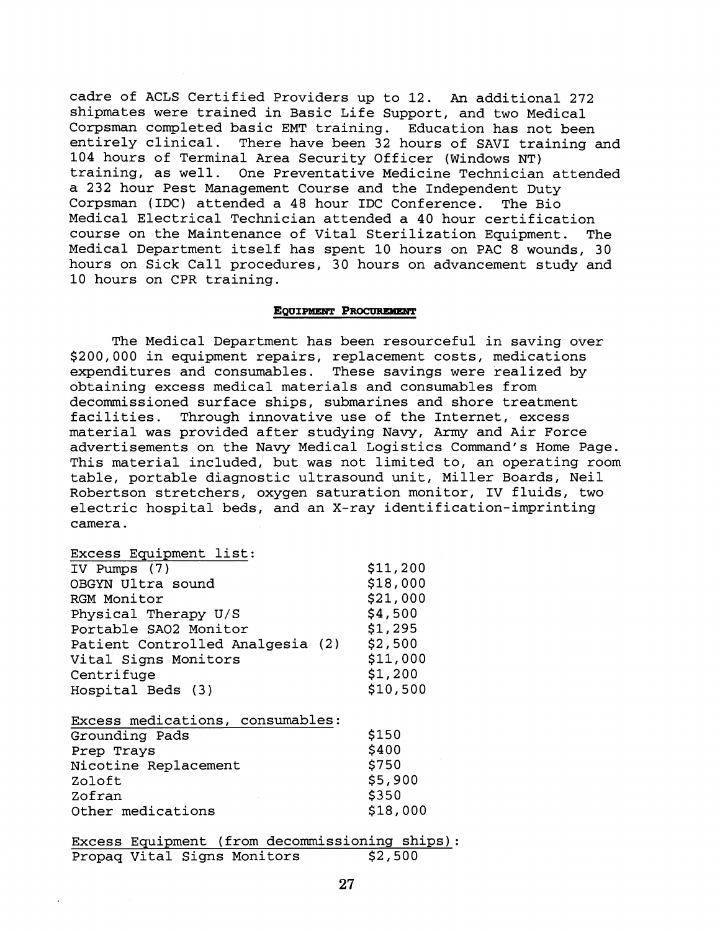cadre of ACLS Certified Providers up to 12. **An** additional 272 shipmates were trained in Basic Life Support, and two Medical Corpsman completed basic EMT training. Education has not been entirely clinical. There have been 32 hours of SAVI training and 104 hours of Terminal Area Security Officer (Windows NT) training, as well. One Preventative Medicine Technician attended a 232 hour Pest Management Course and the Independent Duty Corpsman (IDC) attended a 48 hour IDC Conference. The Bio Medical Electrical Technician attended a 40 hour certification course on the Maintenance of Vital Sterilization Equipment. The Medical Department itself has spent 10 hours on PAC 8 wounds, 30 hours on Sick Call procedures, 30 hours on advancement study and 10 hours on CPR training.

#### **EQUIPMENT PROCUREMENT**

The Medical Department has been resourceful in saving over \$200,000 in equipment repairs, replacement costs, medications expenditures and consumables. These savings were realized by obtaining excess medical materials and consumables from decommissioned surface ships, submarines and shore treatment facilities. Through innovative use of the Internet, excess material was provided after studying Navy, Army and Air Force advertisements on the Navy Medical Logistics Command's Home Page. This material included, but was not limited to, an operating room table, portable diagnostic ultrasound unit, Miller Boards, Neil Robertson stretchers, oxygen saturation monitor, IV fluids, two electric hospital beds, and an X-ray identification-imprinting camera.

# Excess Equipment list:

| IV Pumps (7)                     | \$11,200 |
|----------------------------------|----------|
| OBGYN Ultra sound                | \$18,000 |
| RGM Monitor                      | \$21,000 |
| Physical Therapy U/S             | \$4,500  |
| Portable SAO2 Monitor            | \$1,295  |
| Patient Controlled Analgesia (2) | \$2,500  |
| Vital Signs Monitors             | \$11,000 |
| Centrifuge                       | \$1,200  |
| Hospital Beds (3)                | \$10,500 |
| Excess medications, consumables: |          |
| Grounding Pads                   | \$150    |
| Prep Trays                       | \$400    |
| Nicotine Replacement             | \$750    |
| Zoloft                           | \$5,900  |
| Zofran                           | \$350    |
| Other medications                | \$18,000 |

Excess Equipment (from decommissioning ships):<br>Propag Vital Signs Monitors \$2,500 Propag Vital Signs Monitors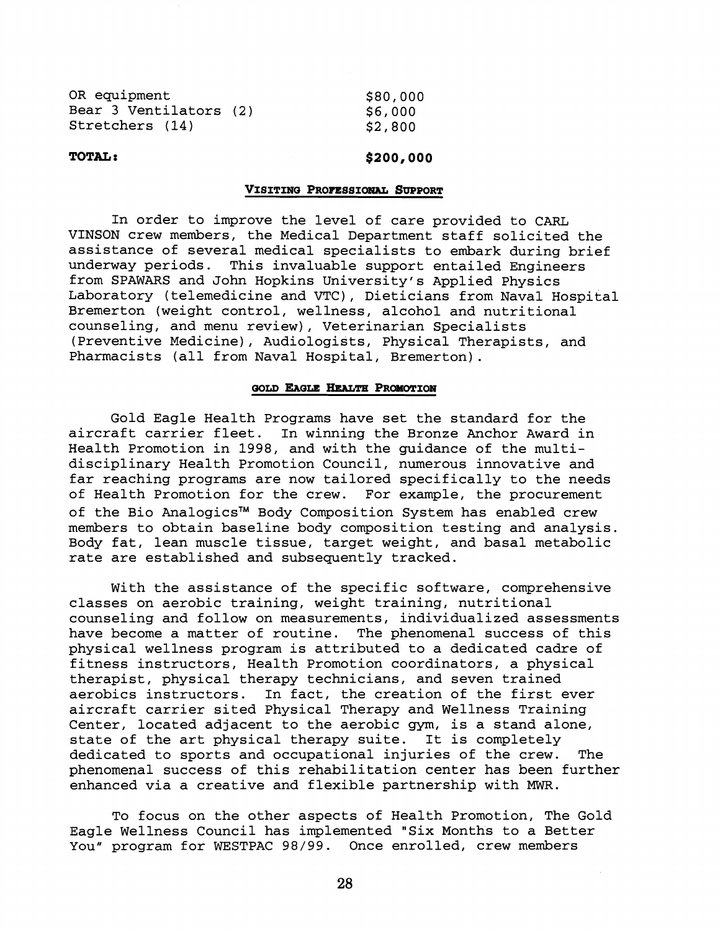| OR equipment           | \$80,000 |
|------------------------|----------|
| Bear 3 Ventilators (2) | \$6,000  |
| Stretchers (14)        | \$2,800  |

# **TOTAL** :

# \$200,000

## VISITING PROFESSIONAL SUPPORT

In order to improve the level of care provided to CARL VINSON crew members, the Medical Department staff solicited the assistance of several medical specialists to embark during brief underway periods. This invaluable support entailed Engineers from SPAWARS and John Hopkins University's Applied Physics Laboratory (telemedicine and VTC), Dieticians from Naval Hospital Bremerton (weight control, wellness, alcohol and nutritional counseling, and menu review), Veterinarian Specialists (Preventive Medicine), Audiologists, Physical Therapists, and Pharmacists (all from Naval Hospital, Bremerton).

#### GOLD EAGLE HEALTH PROMOTION

Gold Eagle Health Programs have set the standard for the aircraft carrier fleet. In winning the Bronze Anchor Award in Health Promotion in 1998, and with the guidance of the multidisciplinary Health Promotion Council, numerous innovative and far reaching programs are now tailored specifically to the needs of Health Promotion for the crew. For example, the procurement of the Bio AnalogicsTM Body Composition System has enabled crew members to obtain baseline body composition testing and analysis. Body fat, lean muscle tissue, target weight, and basal metabolic rate are established and subsequently tracked.

With the assistance of the specific software, comprehensive classes on aerobic training, weight training, nutritional counseling and follow on measurements, individualized assessments have become a matter of routine. The phenomenal success of this physical wellness program is attributed to a dedicated cadre of fitness instructors, Health Promotion coordinators, a physical therapist, physical therapy technicians, and seven trained aerobics instructors. In fact, the creation of the first ever aircraft carrier sited Physical Therapy and Wellness Training Center, located adjacent to the aerobic gym, is a stand alone, state of the art physical therapy suite. It is completely dedicated to sports and occupational injuries of the crew. The phenomenal success of this rehabilitation center has been further enhanced via a creative and flexible partnership with MWR.

To focus on the other aspects of Health Promotion, The Gold Eagle Wellness Council has implemented "Six Months to a Better You" program for WESTPAC 98/99. Once enrolled, crew members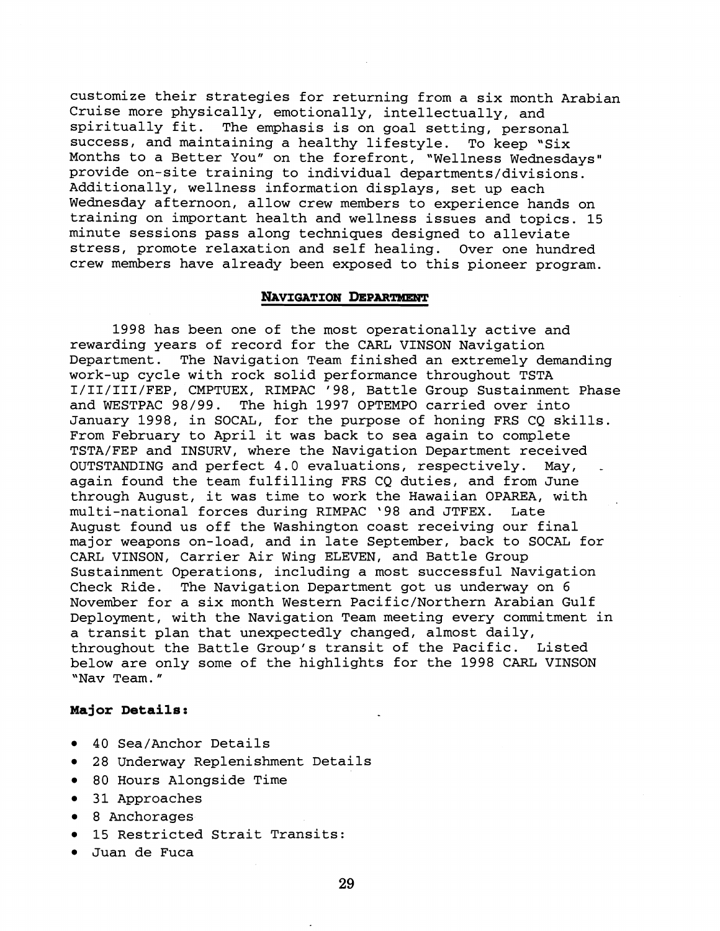customize their strategies for returning from a six month Arabian Cruise more physically, emotionally, intellectually, and spiritually fit. The emphasis is on goal setting, personal success, and maintaining a healthy lifestyle. To keep "Six Months to a Better You" on the forefront, "Wellness Wednesdays" provide on-site training to individual departments/divisions. Additionally, wellness information displays, set up each Wednesday afternoon, allow crew members to experience hands on training on important health and wellness issues and topics. 15 minute sessions pass along techniques designed to alleviate stress, promote relaxation and self healing. Over one hundred crew members have already been exposed to this pioneer program.

## **NAVIGATION DEPARTMENT**

1998 has been one of the most operationally active and rewarding years of record for the CARL VINSON Navigation Department. The Navigation Team finished an extremely demanding work-up cycle with rock solid performance throughout TSTA I/II/III/FEP, CMPTUEX, RIMPAC '98, Battle Group Sustainment Phase and WESTPAC 98/99. The high 1997 OPTEMPO carried over into January 1998, in SOCAL, for the purpose of honing FRS CQ skills. From February to April it was back to sea again to complete TSTA/FEP and INSURV, where the Navigation Department received OUTSTANDING and perfect  $4.0$  evaluations, respectively. May, again found the team fulfilling FRS CQ duties, and from June through August, it was time to work the Hawaiian OPAREA, with , multi-national forces during RIMPAC '98 and JTFEX. Late August found us off the Washington coast receiving our final major weapons on-load, and in late September, back to SOCAL for CARL VINSON, Carrier Air Wing ELEVEN, and Battle Group Sustainment Operations, including a most successful Navigation Check Ride. The Navigation Department got us underway on 6 November for a six month Western Pacific/Northern Arabian Gulf Deployment, with the Navigation Team meeting every commitment in a transit plan that unexpectedly changed, almost daily, throughout the Battle Group's transit of the Pacific. Listed below are only some of the highlights for the 1998 CARL VINSON "Nav Team."

# **Major Details:**

- 40 Sea/Anchor Details
- 28 Underway Replenishment Details
- 80 Hours Alongside Time
- 31 Approaches
- 8 Anchorages
- 15 Restricted Strait Transits:
- Juan de Fuca  $\bullet$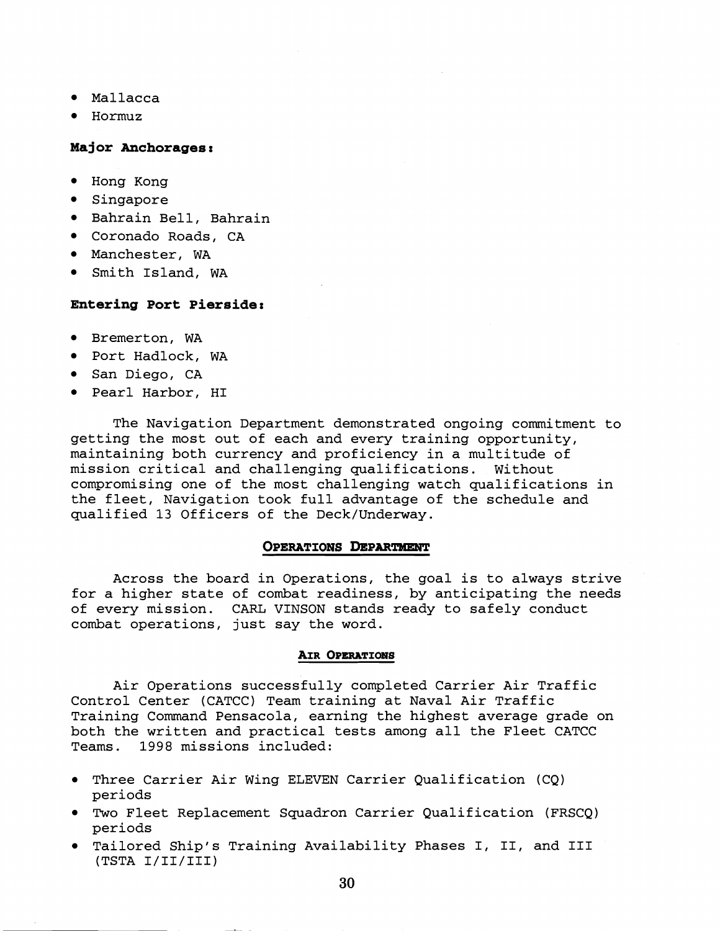- Mallacca
- Hormuz

# **Major Anchorages:**

- Hong Kong
- **•** Singapore
- Bahrain Bell, Bahrain
- Coronado Roads, CA
- Manchester, WA
- Smith Island, WA

# **Entering Port Pierside:**

- Bremerton, WA
- Port Hadlock, WA
- San Diego, CA
- Pearl Harbor, HI

The Navigation Department demonstrated ongoing commitment to getting the most out of each and every training opportunity, maintaining both currency and proficiency in a multitude of mission critical and challenging qualifications. Without compromising one of the most challenging watch qualifications in the fleet, Navigation took full advantage of the schedule and qualified 13 Officers of the Deck/Underway.

# **OPERATIONS DEPARTMENT**

Across the board in Operations, the goal is to always strive for a higher state of combat readiness, by anticipating the needs of every mission. CARL VINSON stands ready to safely conduct combat operations, just say the word.

## **AIR OPERATIONS**

Air Operations successfully completed Carrier Air Traffic Control Center (CATCC) Team training at Naval Air Traffic Training Command Pensacola, earning the highest average grade on both the written and practical tests among all the Fleet CATCC Teams. 1998 missions included:

- Three Carrier Air Wing ELEVEN Carrier Qualification (CQ) periods
- Two Fleet Replacement Squadron Carrier Qualification (FRSCQ) periods
- Tailored Ship's Training Availability Phases I, 11, and I11 (TSTA I/II/III)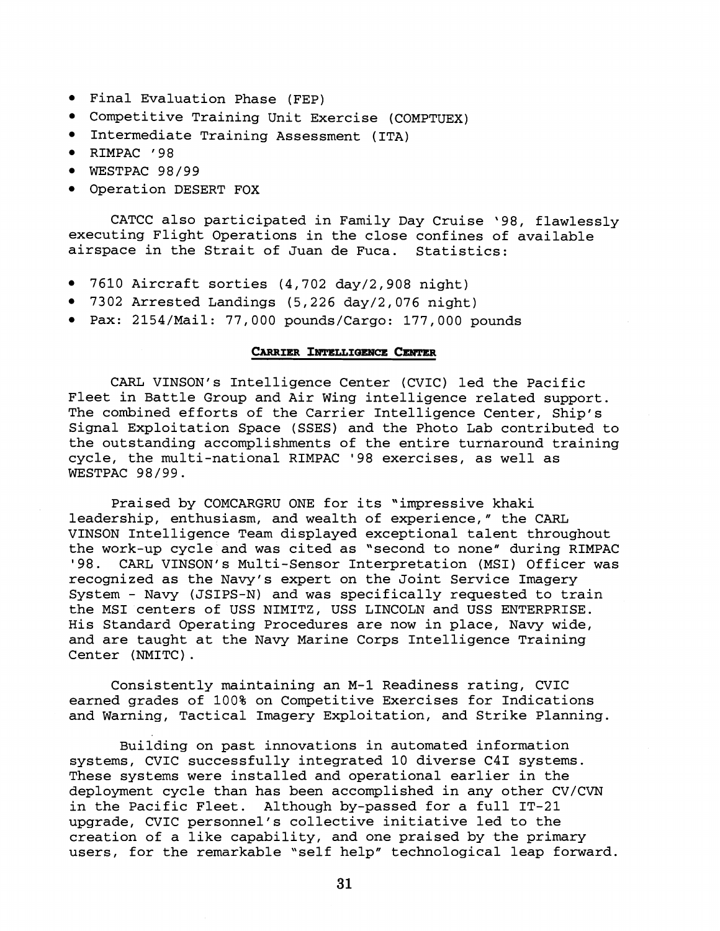- Final Evaluation Phase (FEP)
- Competitive Training Unit Exercise (COMPTUEX)
- Intermediate Training Assessment (ITA)
- RIMPAC '98
- $\bullet$  WESTPAC 98/99
- Operation DESERT FOX

CATCC also participated in Family Day Cruise '98, flawlessly executing Flight Operations in the close confines of available airspace in the Strait of Juan de Fuca. Statistics:

- 7610 Aircraft sorties (4,702 day/2,908 night)
- 7302 Arrested Landings (5,226 day/2,076 night)
- Pax: 2154/Mail: 77,000 pounds/Cargo: 177,000 pounds

## **CARRIER INTELLIGENCE CENTER**

CARL VINSON's Intelligence Center (CVIC) led the Pacific Fleet in Battle Group and Air Wing intelligence related support. The combined efforts of the Carrier Intelligence Center, Ship's Signal Exploitation Space (SSES) and the Photo Lab contributed to the outstanding accomplishments of the entire turnaround training cycle, the multi-national RIMPAC '98 exercises, as well as WESTPAC 98/99.

Praised by COMCARGRU ONE for its "impressive khaki leadership, enthusiasm, and wealth of experience," the CARL VINSON Intelligence Team displayed exceptional talent throughout the work-up cycle and was cited as "second to none" during RIMPAC '98. CARL VINSON's Multi-Sensor Interpretation (MSI) Officer was recognized as the Navy's expert on the Joint Service Imagery System - Navy (JSIPS-N) and was specifically requested to train the MSI centers of USS NIMITZ, USS LINCOLN and USS ENTERPRISE. His Standard Operating Procedures are now in place, Navy wide, and are taught at the Navy Marine Corps Intelligence Training Center (NMITC) .

Consistently maintaining an M-1 Readiness rating, CVIC earned grades of 100% on Competitive Exercises for Indications and Warning, Tactical Imagery Exploitation, and Strike Planning.

Building on past innovations in automated information systems, CVIC successfully integrated 10 diverse C41 systems. These systems were installed and operational earlier in the deployment cycle than has been accomplished in any other CV/CVN in the Pacific Fleet. Although by-passed for a full IT-21 upgrade, CVIC personnel's collective initiative led to the creation of a like capability, and one praised by the primary users, for the remarkable "self help" technological leap forward.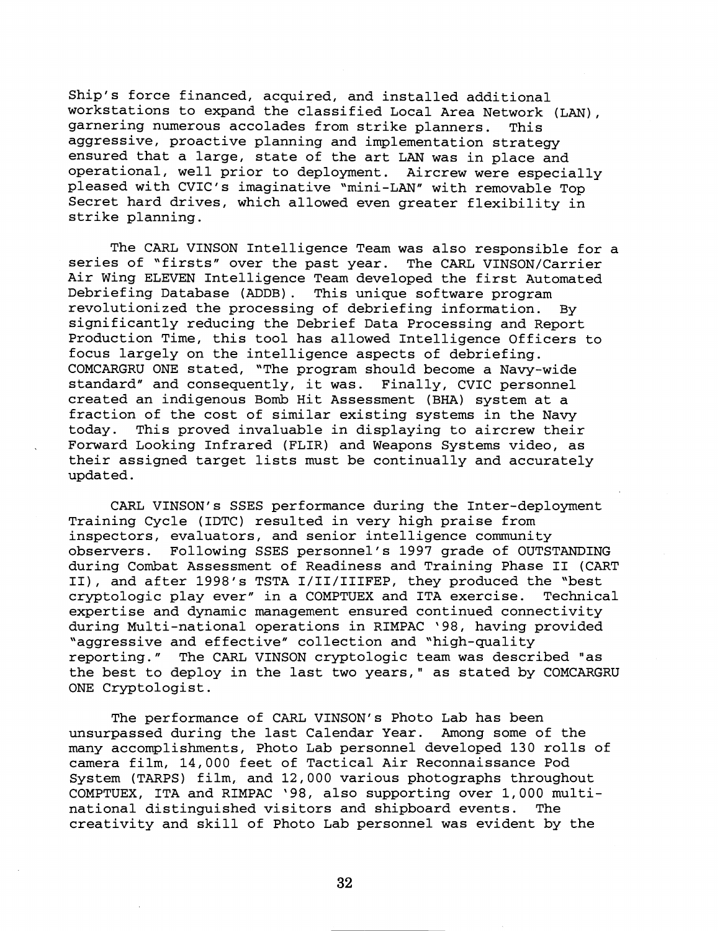Ship's force financed, acquired, and installed additional workstations to expand the classified Local Area Network (LAN), garnering numerous accolades from strike planners. This aggressive, proactive planning and implementation strategy ensured that a large, state of the art LAN was in place and operational, well prior to deployment. Aircrew were especially pleased with CVIC's imaginative "mini-LAN" with removable Top Secret hard drives, which allowed even greater flexibility in strike planning.

The CARL VINSON Intelligence Team was also responsible for a series of "firsts" over the past year. The CARL VINSON/Carrier Air Wing ELEVEN Intelligence Team developed the first Automated Debriefing Database (ADDB) . This unique software program revolutionized the processing of debriefing information. By significantly reducing the Debrief Data Processing and Report Production Time, this tool has allowed Intelligence Officers to focus largely on the intelligence aspects of debriefing. COMCARGRU ONE stated, "The program should become a Navy-wide standard" and consequently, it was. Finally, CVIC personnel standard" and consequently, it was. created an indigenous Bomb Hit Assessment (BHA) system at a fraction of the cost of similar existing systems in the Navy<br>today. This proved invaluable in displaving to aircrew their This proved invaluable in displaying to aircrew their Forward Looking Infrared (FLIR) and Weapons Systems video, as their assigned target lists must be continually and accurately updated.

CARL VINSON's SSES performance during the Inter-deployment Training Cycle (IDTC) resulted in very high praise from inspectors, evaluators, and senior intelligence community observers. Following SSES personnel's 1997 grade of OUTSTANDING during Combat Assessment of Readiness and Training Phase I1 (CART 11), and after 1998's TSTA I/II/IIIFEP, they produced the "best cryptologic play ever" in a COMPTUEX and ITA exercise. expertise and dynamic management ensured continued connectivity during Multi-national operations in RIMPAC '98, having provided "aggressive and effective" collection and "high-quality reporting." The CARL VINSON cryptologic team was described "as the best to deploy in the last two years," as stated by COMCARGRU ONE Cryptologist.

The performance of CARL VINSON's Photo Lab has been<br>passed during the last Calendar Year. Among some of the unsurpassed during the last Calendar Year. many accomplishments, Photo Lab personnel developed 130 rolls of camera film, 14,000 feet of Tactical Air Reconnaissance Pod System (TARPS) film, and 12,000 various photographs throughout COMPTUEX, ITA and RIMPAC '98, also supporting over 1,000 multinational distinguished visitors and shipboard events. The creativity and skill of Photo Lab personnel was evident by the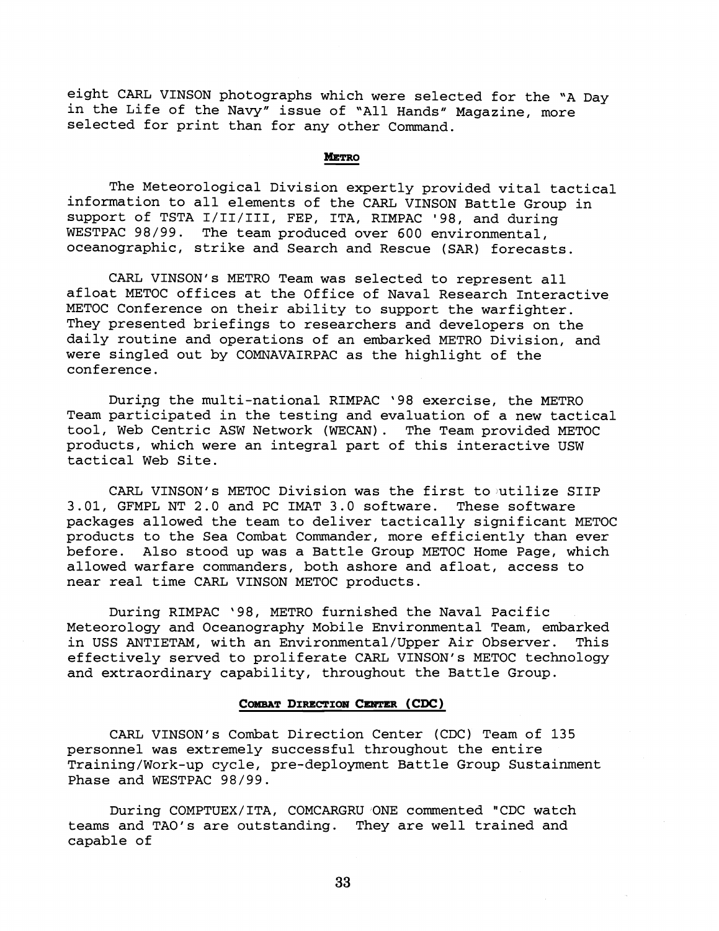eight CARL VINSON photographs which were selected for the 'A Day in the Life of the Navy" issue of 'All Hands" Magazine, more selected for print than for any other Command.

## **METRO**

The Meteorological Division expertly provided vital tactical information to all elements of the CARL VINSON Battle Group in support of TSTA I/II/III, FEP, ITA, RIMPAC '98, and during WESTPAC 98/99. The team produced over 600 environmental, oceanographic, strike and Search and Rescue (SAR) forecasts.

CARL VINSON's METRO Team was selected to represent all afloat METOC offices at the Office of Naval Research Interactive METOC Conference on their ability to support the warfighter. They presented briefings to researchers and developers on the daily routine and operations of an embarked METRO Division, and were singled out by COMNAVAIRPAC as the highlight of the conference.

During the multi-national RIMPAC '98 exercise, the METRO Team participated in the testing and evaluation of a new tactical tool, Web Centric ASW Network (WECAN). The Team provided METOC products, which were an integral part of this interactive USW tactical Web Site.

CARL VINSON's METOC Division was the first to utilize SIIP 3.01, GFMPL NT 2.0 and PC IMAT 3.0 software. These software packages allowed the team to deliver tactically significant METOC products to the Sea Combat Commander, more efficiently than ever before. Also stood up was a Battle Group METOC Home Page, which allowed warfare commanders, both ashore and afloat, access to near real time CARL VINSON METOC products.

During RIMPAC '98, METRO furnished the Naval Pacific Meteorology and Oceanography Mobile Environmental Team, embarked<br>in USS ANTIETAM, with an Environmental/Upper Air Observer. This in USS ANTIETAM, with an Environmental/Upper Air Observer. effectively served to proliferate CARL VINSON's METOC technology and extraordinary capability, throughout the Battle Group.

# COMBAT DIRECTION CENTER (CDC)

CARL VINSON's Combat Direction Center (CDC) Team of 135 personnel was extremely successful throughout the entire Training/Work-up cycle, pre-deployment Battle Group Sustainment Phase and WESTPAC 98/99.

During COMPTUEX/ITA, COMCARGRU ONE commented "CDC watch teams and TAO's are outstanding. They are well trained and capable of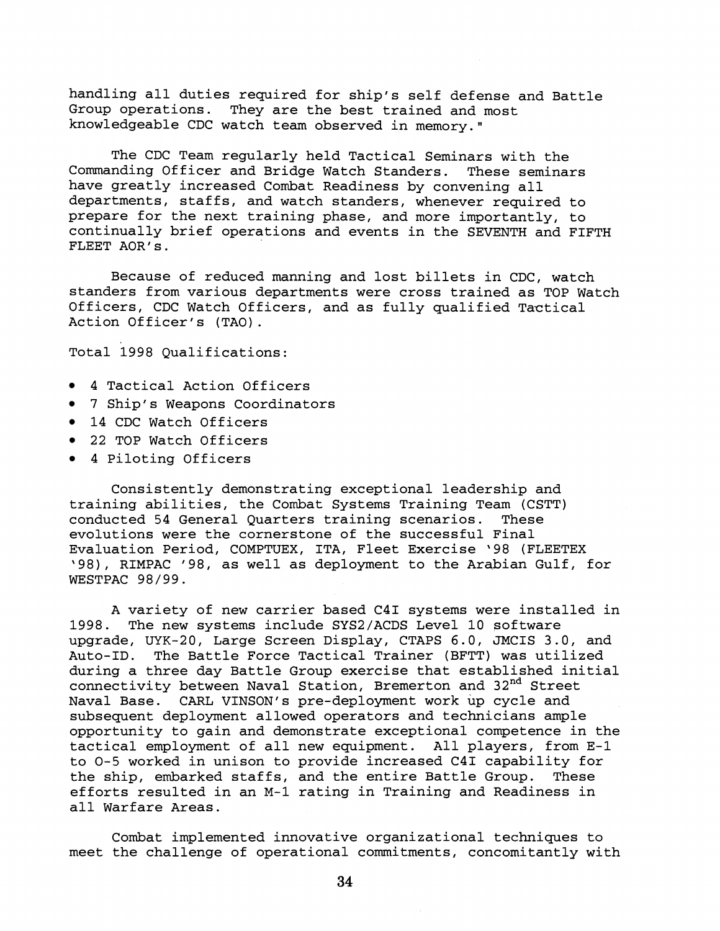handling all duties required for ship's self defense and Battle Group operations. They are the best trained and most knowledgeable CDC watch team observed in memory."

The CDC Team regularly held Tactical Seminars with the Commanding Officer and Bridge Watch Standers. These seminars have greatly increased Combat Readiness by convening all departments, staffs, and watch standers, whenever required to prepare for the next training phase, and more importantly, to continually brief operations and events in the SEVENTH and FIFTH FLEET AOR's.

Because of reduced manning and lost billets in CDC, watch standers from various departments were cross trained as TOP Watch Officers, CDC Watch Officers, and as fully qualified Tactical Action Officer's (TAO).

Total 1998 Qualifications:

- 4 Tactical Action Officers
- 7 Ship's Weapons Coordinators
- 14 CDC Watch Officers
- 22 TOP Watch Officers
- 4 Piloting Officers

Consistently demonstrating exceptional leadership and training abilities, the Combat Systems Training Team (CSTT) conducted 54 General Quarters training scenarios. These evolutions were the cornerstone of the successful Final Evaluation Period, COMPTUEX, ITA, Fleet Exercise '98 (FLEETEX \98), RIMPAC '98, as well as deployment to the Arabian Gulf, for WESTPAC 98/99.

A variety of new carrier based C41 systems were installed in 1998. The new systems include SYS2/ACDS Level 10 software upgrade, UYK-20, Large Screen Display, CTAPS 6.0, JMCIS 3.0, and Auto-ID. The Battle Force Tactical Trainer (BFTT) was utilized during a three day Battle Group exercise that established initial connectivity between Naval Station, Bremerton and 32<sup>nd</sup> Street Naval Base. CARL VINSON's pre-deployment work up cycle and subsequent deployment allowed operators and technicians ample opportunity to gain and demonstrate exceptional competence in the tactical employment of all new equipment. All players, from E-1 to 0-5 worked in unison to provide increased C41 capability for the ship, embarked staffs, and the entire Battle Group. These efforts resulted in an M-1 rating in Training and Readiness in all Warfare Areas.

Combat implemented innovative organizational techniques to meet the challenge of operational commitments, concomitantly with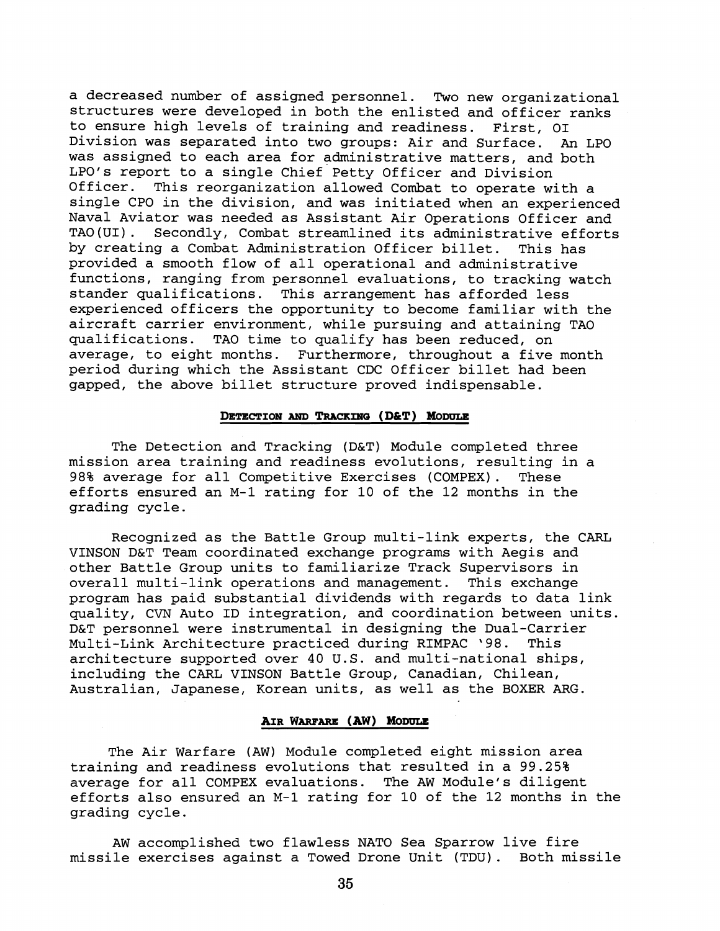a decreased number of assigned personnel. Two new organizational structures were developed in both the enlisted and officer ranks to ensure high levels of training and readiness. First, 01 Division was separated into two groups: Air and Surface. **An** LPO was assigned to each area for administrative matters, and both LPO's report to a single Chief Petty Officer and Division<br>Officer. This reorganization allowed Combat to operate w This reorganization allowed Combat to operate with a single CPO in the division, and was initiated when an experienced Naval Aviator was needed as Assistant Air Operations Officer and TAO(U1). Secondly, Combat streamlined its administrative efforts by creating a Combat Administration Officer billet. This has provided a smooth flow of all operational and administrative functions, ranging from personnel evaluations, to tracking watch stander qualifications. This arrangement has afforded less experienced officers the opportunity to become familiar with the aircraft carrier environment, while pursuing and attaining TAO qualifications. TAO time to qualify has been reduced, on average, to eight months. Furthermore, throughout a five month period during which the Assistant CDC Officer billet had been gapped, the above billet structure proved indispensable.

# **DETECTION AND TRACKING (D&T) MODULE**

The Detection and Tracking (D&T) Module completed three mission area training and readiness evolutions, resulting in a 98% average for all Competitive Exercises (COMPEX). These efforts ensured an M-1 rating for 10 of the 12 months in the grading cycle.

Recognized as the Battle Group multi-link experts, the CARL VINSON D&T Team coordinated exchange programs with Aegis and other Battle Group units to familiarize Track Supervisors in<br>overall multi-link operations and management. This exchange overall multi-link operations and management. program has paid substantial dividends with regards to data link quality, CVN Auto ID integration, and coordination between units. D&T personnel were instrumental in designing the Dual-Carrier<br>Multi-Link Architecture practiced during RIMPAC '98. This Multi-Link Architecture practiced during RIMPAC '98. architecture supported over 40 U.S. and multi-national ships, including the CARL VINSON Battle Group, Canadian, Chilean, Australian, Japanese, Korean units, as well as the BOXER ARG.

# **AIR WARFARE (AW) MODULE**

The Air Warfare (AW) Module completed eight mission area training and readiness evolutions that resulted in a 99.25% average for all COMPEX evaluations. The AW Module's diligent efforts also ensured an M-1 rating for 10 of the 12 months in the grading cycle.

AW accomplished two flawless NATO Sea Sparrow live fire missile exercises against a Towed Drone Unit (TDU) . Both missile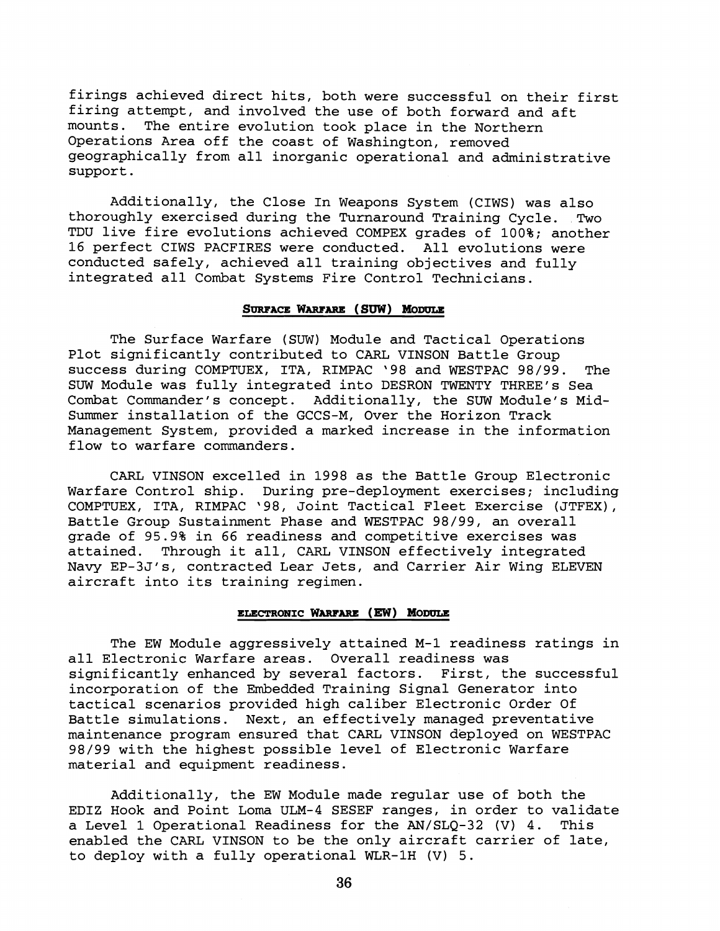firings achieved direct hits, both were successful on their first firing attempt, and involved the use of both forward and aft<br>mounts. The entire evolution took place in the Northern The entire evolution took place in the Northern Operations Area off the coast of Washington, removed geographically from all inorganic operational and administrative support .

Additionally, the Close In Weapons System (CIWS) was also thoroughly exercised during the Turnaround Training Cycle. Two TDU live fire evolutions achieved COMPEX grades of 100%; another 16 perfect CIWS PACFIRES were conducted. All evolutions were conducted safely, achieved all training objectives and fully integrated all Combat Systems Fire Control Technicians.

# SURFACE WARFARE (SUW) MODULE

The Surface Warfare (SUW) Module and Tactical Operations Plot significantly contributed to CARL VINSON Battle Group success during COMPTUEX, ITA, RIMPAC '98 and WESTPAC 98/99. The SUW Module was fully integrated into DESRON TWENTY THREE'S Sea Combat Commander's concept. Additionally, the SUW Module's Mid-Summer installation of the GCCS-M, Over the Horizon Track Management System, provided a marked increase in the information flow to warfare commanders.

CARL VINSON excelled in 1998 as the Battle Group Electronic Warfare Control ship. During pre-deployment exercises; including COMPTUEX, ITA, RIMPAC '98, Joint Tactical Fleet Exercise (JTFEX), Battle Group Sustainment Phase and WESTPAC 98/99, an overall grade of 95.9% in 66 readiness and competitive exercises was Through it all, CARL VINSON effectively integrated Navy EP-3J's, contracted Lear Jets, and Carrier Air Wing ELEVEN aircraft into its training regimen.

### **ELECTRONIC WARFARE (EW) MODULE**

The EW Module aggressively attained M-1 readiness ratings in all Electronic Warfare areas. Overall readiness was significantly enhanced by several factors. First, the successful incorporation of the Embedded Training Signal Generator into tactical scenarios provided high caliber Electronic Order Of Battle simulations. Next, an effectively managed preventative maintenance program ensured that CARL VINSON deployed on WESTPAC 98/99 with the highest possible level of Electronic Warfare material and equipment readiness.

Additionally, the EW Module made regular use of both the EDIZ Hook and Point Loma ULM-4 SESEF ranges, in order to validate a Level 1 Operational Readiness for the AN/SLQ-32 **(V)** 4. This enabled the CARL VINSON to be the only aircraft carrier of late, to deploy with a fully operational WLR-1H (V) 5.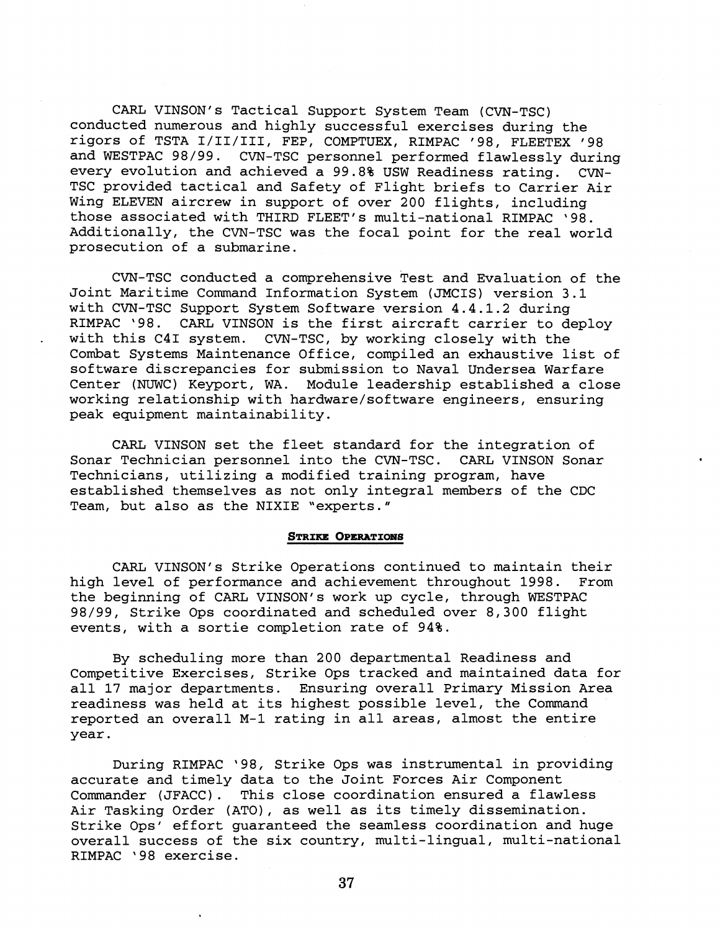CARL VINSON's Tactical Support System Team (CVN-TSC) conducted numerous and highly successful exercises during the rigors of TSTA I/II/III, FEP, COMPTUEX, RIMPAC '98, FLEETEX '98 and WESTPAC 98/99. CVN-TSC personnel performed flawlessly during every evolution and achieved a 99.8% USW Readiness rating. CVN-TSC provided tactical and Safety of Flight briefs to Carrier Air Wing ELEVEN aircrew in support of over 200 flights, including those associated with THIRD FLEET'S multi-national RIMPAC '98. Additionally, the CVN-TSC was the focal point for the real world prosecution of a submarine.

CVN-TSC conducted a comprehensive Test and Evaluation of the Joint Maritime Command Information System (JMCIS) version 3.1 with CVN-TSC Support System Software version 4.4.1.2 during<br>RIMPAC '98. CARL VINSON is the first aircraft carrier to de CARL VINSON is the first aircraft carrier to deploy with this C41 system. CVN-TSC, by working closely with the Combat Systems Maintenance Office, compiled an exhaustive list of software discrepancies for submission to Naval Undersea Warfare Center (NUWC) Keyport, WA. Module leadership established a close working relationship with hardware/software engineers, ensuring peak equipment maintainability.

CARL VINSON set the fleet standard for the integration of Sonar Technician personnel into the CW-TSC. CARL VINSON Sonar Technicians, utilizing a modified training program, have established themselves as not only integral members of the CDC Team, but also as the NIXIE "experts."

#### **STRIKE OPERATIONS**

CARL VINSON's Strike Operations continued to maintain their high level of performance and achievement throughout 1998. From the beginning of CARL VINSON's work up cycle, through WESTPAC 98/99, Strike Ops coordinated and scheduled over 8,300 flight events, with a sortie completion rate of 94%.

By scheduling more than 200 departmental Readiness and Competitive Exercises, Strike Ops tracked and maintained data for all 17 major departments. Ensuring overall Primary Mission Area readiness was held at its highest possible level, the Command reported an overall M-1 rating in all areas, almost the entire year.

During RIMPAC '98, Strike Ops was instrumental in providing accurate and timely data to the Joint Forces Air Component Commander (JFACC) . This close coordination ensured a flawless Air Tasking Order (ATO), as well as its timely dissemination. Strike Ops' effort guaranteed the seamless coordination and huge overall success of the six country, multi-lingual, multi-national RIMPAC '98 exercise.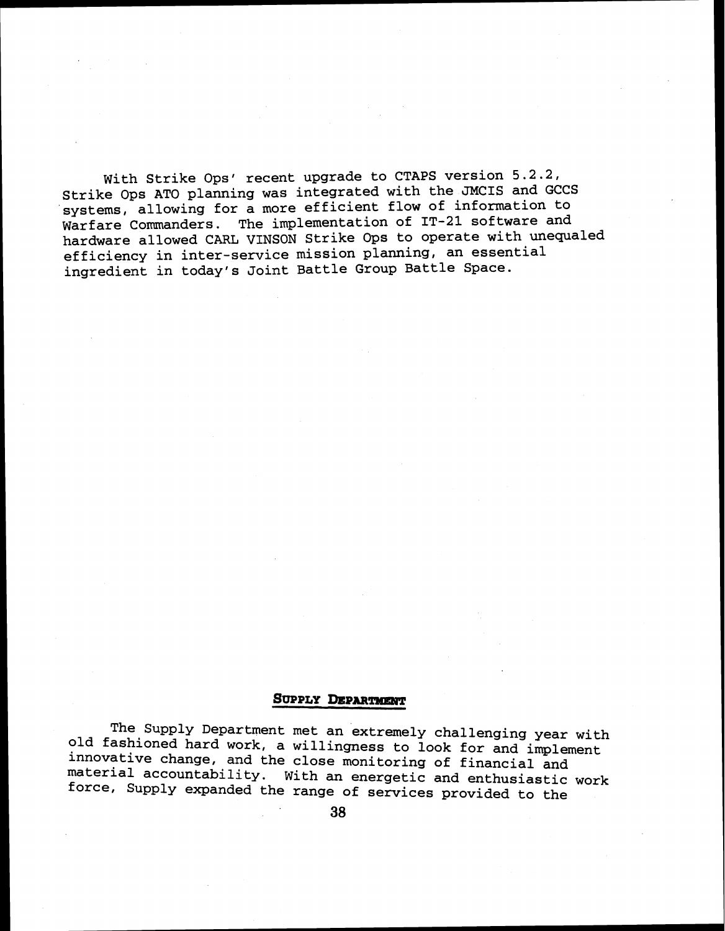With Strike Ops' recent upgrade to CTAPS version 5.2.2, Strike Ops AT0 planning was integrated with the JMCIS and GCCS systems, allowing for a more efficient flow of information to Warfare Commanders. The implementation of IT-21 software and hardware allowed CARL VINSON Strike Ops to operate with unequaled efficiency in inter-service mission planning, an essential ingredient in today's Joint Battle Group Battle Space.

## SUPPLY DEPARTMENT

The Supply Department met an extremely challenging year with old fashioned hard work, a willingness to look for and implement innovative change, and the close monitoring of financial and material accountability. With an energetic and enthusiastic work force, Supply expanded the range of services provided to the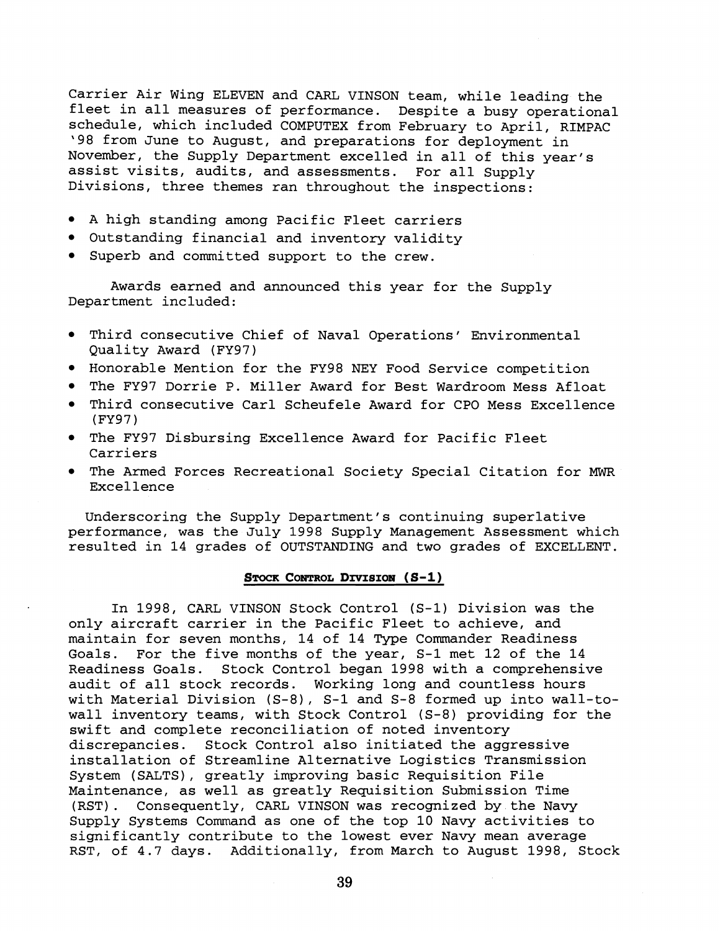Carrier Air Wing ELEVEN and CARL VINSON team, while leading the fleet in all measures of performance. Despite a busy operational schedule, which included COMPUTEX from February to April, RIMPAC '98 from June to August, and preparations for deployment in November, the Supply Department excelled in all of this year's assist visits, audits, and assessments. For all Supply Divisions, three themes ran throughout the inspections:

- A high standing among Pacific Fleet carriers
- Outstanding financial and inventory validity
- Superb and committed support to the crew.

Awards earned and announced this year for the Supply Department included:

- Third consecutive Chief of Naval Operations' Environmental Quality Award (FY97)
- Honorable Mention for the FY98 NEY Food Service competition
- The FY97 Dorrie P. Miller Award for Best Wardroom Mess Afloat
- Third consecutive Carl Scheufele Award for CPO Mess Excellence (FY97)
- The FY97 Disbursing Excellence Award for Pacific Fleet Carriers
- The Armed Forces Recreational Society Special Citation for *MWR*  Excellence

Underscoring the Supply Department's continuing superlative performance, was the July 1998 Supply Management Assessment which resulted in 14 grades of OUTSTANDING and two grades of EXCELLENT.

## STOCK CONTROL DIVISION (S-1)

In 1998, CARL VINSON Stock Control (S-1) Division was the only aircraft carrier in the Pacific Fleet to achieve, and maintain for seven months, 14 of 14 Type Commander Readiness Goals. For the five months of the year, S-1 met 12 of the 14 Readiness Goals. Stock Control began 1998 with a comprehensive audit of all stock records. Working long and countless hours with Material Division (S-8), S-1 and S-8 formed up into wall-towall inventory teams, with Stock Control (S-8) providing for the swift and complete reconciliation of noted inventory discrepancies. Stock Control also initiated the aggressive installation of Streamline Alternative Logistics Transmission System (SALTS), greatly improving basic Requisition File Maintenance, as well as greatly Requisition Submission Time (RST) . Consequently, CARL VINSON was recognized by the Navy Supply Systems Command as one of the top 10 Navy activities to significantly contribute to the lowest ever Navy mean average RST, of 4.7 days. Additionally, from March to August 1998, Stock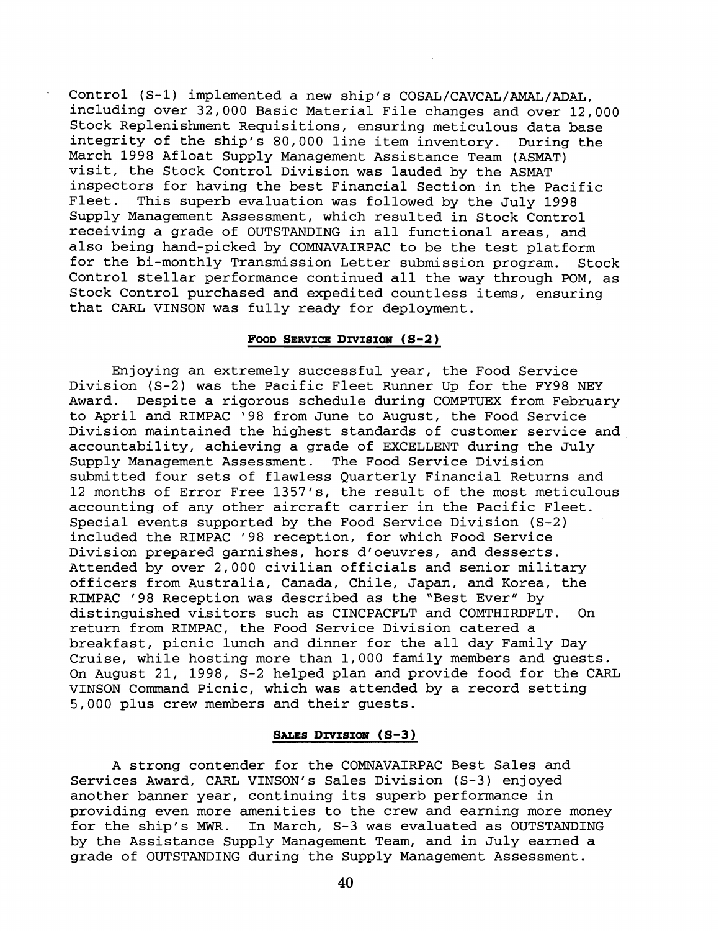Control (S-1) implemented a new ship's COSAL/CAVCAL/AMAL/ADAL, including over 32,000 Basic Material File changes and over 12,000 Stock Replenishment Requisitions, ensuring meticulous data base integrity of the ship's 80,000 line item inventory. During the March 1998 Afloat Supply Management Assistance Team (ASMAT) visit, the Stock Control Division was lauded by the ASMAT inspectors for having the best Financial Section in the Pacific This superb evaluation was followed by the July 1998 Supply Management Assessment, which resulted in Stock Control receiving a grade of OUTSTANDING in all functional areas, and also being hand-picked by COMNAVAIRPAC to be the test platform for the bi-monthly Transmission Letter submission program. Stock Control stellar performance continued all the way through POM, as Stock Control purchased and expedited countless items, ensuring that CARL VINSON was fully ready for deployment.

## FOOD SERVICE DIVISION  $(S-2)$

Enjoying an extremely successful year, the Food Service Division (S-2) was the Pacific Fleet Runner Up for the FY98 NEY<br>Award. Despite a rigorous schedule during COMPTUEX from Februa Despite a rigorous schedule during COMPTUEX from February to April and RIMPAC '98 from June to August, the Food Service Division maintained the highest standards of customer service and accountability, achieving a grade of EXCELLENT during the July Supply Management Assessment. The Food Service Division submitted four sets of flawless Quarterly Financial Returns and 12 months of Error Free 1357's, the result of the most meticulous accounting of any other aircraft carrier in the Pacific Fleet. Special events supported by the Food Service Division (S-2) included the RIMPAC '98 reception, for which Food Service Division prepared garnishes, hors d'oeuvres, and desserts. Attended by over 2,000 civilian officials and senior military officers from Australia, Canada, Chile, Japan, and Korea, the RIMPAC '98 Reception was described as the "Best Ever" by distinguished visitors such as CINCPACFLT and COMTHIRDFLT. On return from RIMPAC, the Food Service Division catered a breakfast, picnic lunch and dinner for the all day Family Day Cruise, while hosting more than 1,000 family members and guests. On August 21, 1998, S-2 helped plan and provide food for the CARL VINSON Command Picnic, which was attended by a record setting 5,000 plus crew members and their guests.

# SALES DIVISION (S-3)

A strong contender for the COMNAVAIRPAC Best Sales and Services Award, CARL VINSON's Sales Division (S-3) enjoyed another banner year, continuing its superb performance in providing even more amenities to the crew and earning more money for the ship's **MWR.** In March, S-3 was evaluated as OUTSTANDING by the Assistance Supply Management Team, and in July earned a grade of OUTSTANDING during the Supply Management Assessment.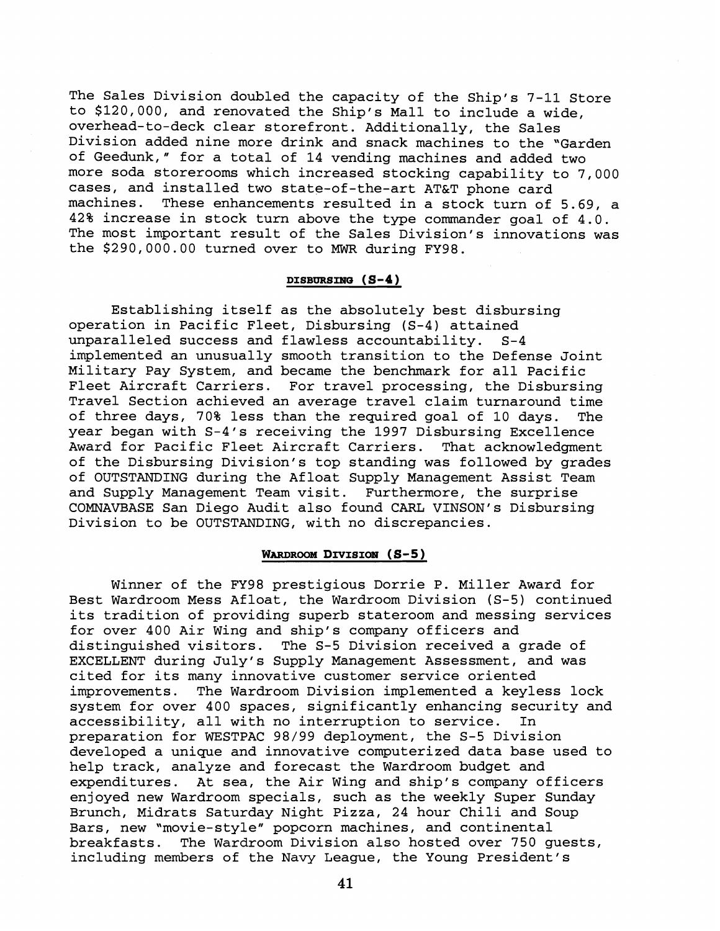The Sales Division doubled the capacity of the Ship's 7-11 Store to \$120,000, and renovated the Ship's Mall to include a wide, overhead-to-deck clear storefront. Additionally, the Sales Division added nine more drink and snack machines to the "Garden of Geedunk," for a total of 14 vending machines and added two more soda storerooms which increased stocking capability to 7,000 cases, and installed two state-of-the-art AT&T phone card machines. These enhancements resulted in a stock turn of 5.69, a 42% increase in stock turn above the type commander goal of 4.0. The most important result of the Sales Division's innovations was the \$290,000.00 turned over to **MWR** during FY98.

### DISBURSING  $(S-4)$

Establishing itself as the absolutely best disbursing operation in Pacific Fleet, Disbursing (S-4) attained unparalleled success and flawless accountability. S-4 implemented an unusually smooth transition to the Defense Joint Military Pay System, and became the benchmark for all Pacific Fleet Aircraft Carriers. For travel processing, the Disbursing Travel Section achieved an average travel claim turnaround time of three days, 70% less than the required goal of 10 days. The year began with S-4's receiving the 1997 Disbursing Excellence Award for Pacific Fleet Aircraft Carriers. That acknowledgment of the Disbursing Division's top standing was followed by grades of OUTSTANDING during the Afloat Supply Management Assist Team and Supply Management Team visit. Furthermore, the surprise COMNAVBASE San Diego Audit also found CARL VINSON's Disbursing Division to be OUTSTANDING, with no discrepancies.

## WARDROOM DIVISION (S-5)

Winner of the FY98 prestigious Dorrie P. Miller Award for Best Wardroom Mess Afloat, the Wardroom Division (S-5) continued its tradition of providing superb stateroom and messing services for over 400 Air Wing and ship's company officers and distinguished visitors. The S-5 Division received a grade of EXCELLENT during July's Supply Management Assessment, and was cited for its many innovative customer service oriented improvements. The Wardroom Division implemented a keyless lock system for over 400 spaces, significantly enhancing security and accessibility, all with no interruption to service. In preparation for WESTPAC 98/99 deployment, the S-5 Division developed a unique and innovative computerized data base used to help track, analyze and forecast the Wardroom budget and expenditures. At sea, the Air Wing and ship's company officers enjoyed new Wardroom specials, such as the weekly Super Sunday Brunch, Midrats Saturday Night Pizza, 24 hour Chili and Soup Bars, new "movie-style" popcorn machines, and continental breakfasts. The Wardroom Division also hosted over 750 guests, including members of the Navy League, the Young President's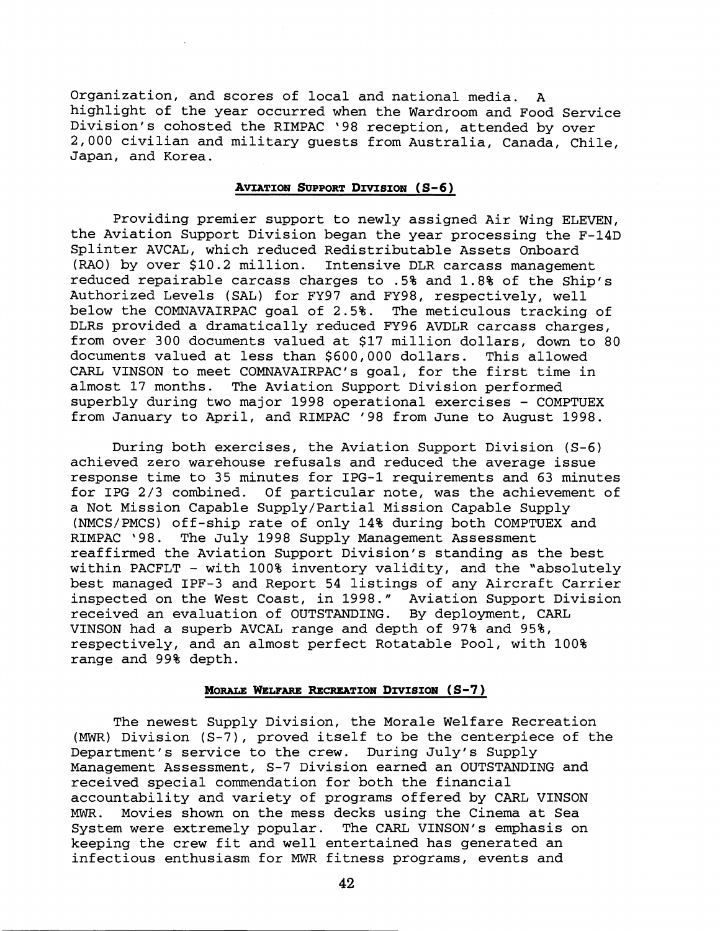Organization, and scores of local and national media. A highlight of the year occurred when the Wardroom and Food Service Division's cohosted the RIMPAC '98 reception, attended by over 2,000 civilian and military guests from Australia, Canada, Chile, Japan, and Korea.

## **AVIATION SUPPORT DIVISION (S-6)**

Providing premier support to newly assigned Air Wing ELEVEN, the Aviation Support Division began the year processing the F-14D Splinter AVCAL, which reduced Redistributable Assets Onboard (RAO) by over \$10.2 million. Intensive DLR carcass management reduced repairable carcass charges to .5% and 1.8% of the Ship's Authorized Levels (SAL) for FY97 and FY98, respectively, well below the COMNAVAIRPAC goal of 2.5%. The meticulous tracking of DLRs provided a dramatically reduced FY96 AVDLR carcass charges, from over 300 documents valued at \$17 million dollars, down to 80 documents valued at less than \$600,000 dollars. This allowed CARL VINSON to meet COMNAVAIRPAC's goal, for the first time in almost 17 months. The Aviation Support Division performed superbly during two major 1998 operational exercises - COMPTUEX from January to April, and RIMPAC '98 from June to August 1998.

During both exercises, the Aviation Support Division (S-6) achieved zero warehouse refusals and reduced the average issue response time to 35 minutes for IPG-1 requirements and 63 minutes for IPG 2/3 combined. Of particular note, was the achievement of a Not Mission Capable Supply/Partial Mission Capable Supply (NMCS/PMCS) off-ship rate of only 14% during both COMPTUEX and RIMPAC '98. The July 1998 Supply Management Assessment reaffirmed the Aviation Support Division's standing as the best within PACFLT - with 100% inventory validity, and the "absolutely best managed IPF-3 and Report 54 listings of any Aircraft Carrier inspected on the West Coast, in 1998." Aviation Support Division received an evaluation of OUTSTANDING. By deployment, CARL VINSON had a superb AVCAL range and depth of 97% and 95%, respectively, and an almost perfect Rotatable Pool, with 100% range and 99% depth.

#### MORALE WELFARE RECREATION DIVISION (S-7)

The newest Supply Division, the Morale Welfare Recreation (MWR) Division (S-7), proved itself to be the centerpiece of the Department's service to the crew. During July's Supply Management Assessment, S-7 Division earned an OUTSTANDING and received special commendation for both the financial accountability and variety of programs offered by CARL VINSON **MWR.** Movies shown on the mess decks using the Cinema at Sea System were extremely popular. keeping the crew fit and well entertained has generated an infectious enthusiasm for MWR fitness programs, events and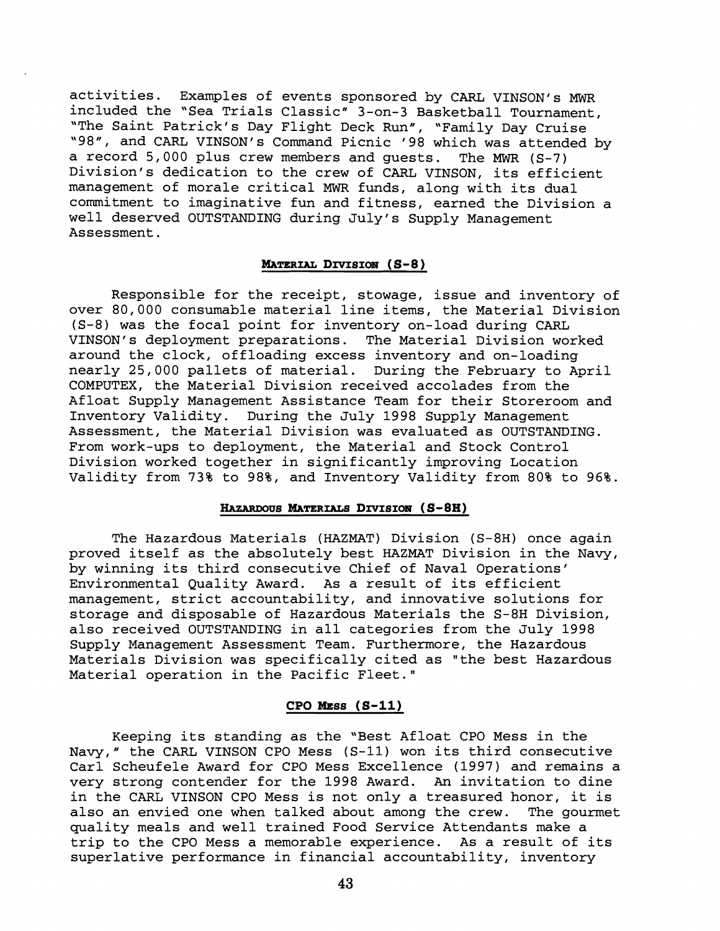activities. Examples of events sponsored by CARL VINSON's MWR included the 'Sea Trials Classic" 3-on-3 Basketball Tournament, "The Saint Patrick's Day Flight Deck Run", "Family Day Cruise "98", and CARL VINSON's Command Picnic '98 which was attended by a record 5,000 plus crew members and guests. The *MWR* (S-7) Division's dedication to the crew of CARL VINSON, its efficient management of morale critical **MWR** funds, along with its dual commitment to imaginative fun and fitness, earned the Division a well deserved OUTSTANDING during July's Supply Management Assessment.

### MATERIAL DIVISION (S-8)

Responsible for the receipt, stowage, issue and inventory of over 80,000 consumable material line items, the Material Division (S-8) was the focal point for inventory on-load during CARL VINSON's deployment preparations. The Material Division worked around the clock, offloading excess inventory and on-loading nearly 25,000 pallets of material. During the February to April COMPUTEX, the Material Division received accolades from the Afloat Supply Management Assistance Team for their Storeroom and Inventory Validity. During the July 1998 Supply Management Assessment, the Material Division was evaluated as OUTSTANDING. From work-ups to deployment, the Material and Stock Control Division worked together in significantly improving Location Validity from 73% to 98%, and Inventory Validity from 80% to 96%.

# HAZARDOUS MATERIALS DIVISION (S-8H)

The Hazardous Materials (HAZMAT) Division (S-8H) once again proved itself as the absolutely best HAZMAT Division in the Navy, by winning its third consecutive Chief of Naval Operations' Environmental Quality Award. As a result of its efficient management, strict accountability, and innovative solutions for storage and disposable of Hazardous Materials the S-8H Division, also received OUTSTANDING in all categories from the July 1998 Supply Management Assessment Team. Furthermore, the Hazardous Materials Division was specifically cited as "the best Hazardous Material operation in the Pacific Fleet."

# **CPO MESS (S-11)**

Keeping its standing as the "Best Afloat CPO Mess in the Navy," the CARL VINSON CPO Mess (S-11) won its third consecutive Carl Scheufele Award for CPO Mess Excellence (1997) and remains a very strong contender for the 1998 Award. **An** invitation to dine in the CARL VINSON CPO Mess is not only a treasured honor, it is also an envied one when talked about among the crew. The gourmet quality meals and well trained Food Service Attendants make a trip to the CPO Mess a memorable experience. As a result of its superlative performance in financial accountability, inventory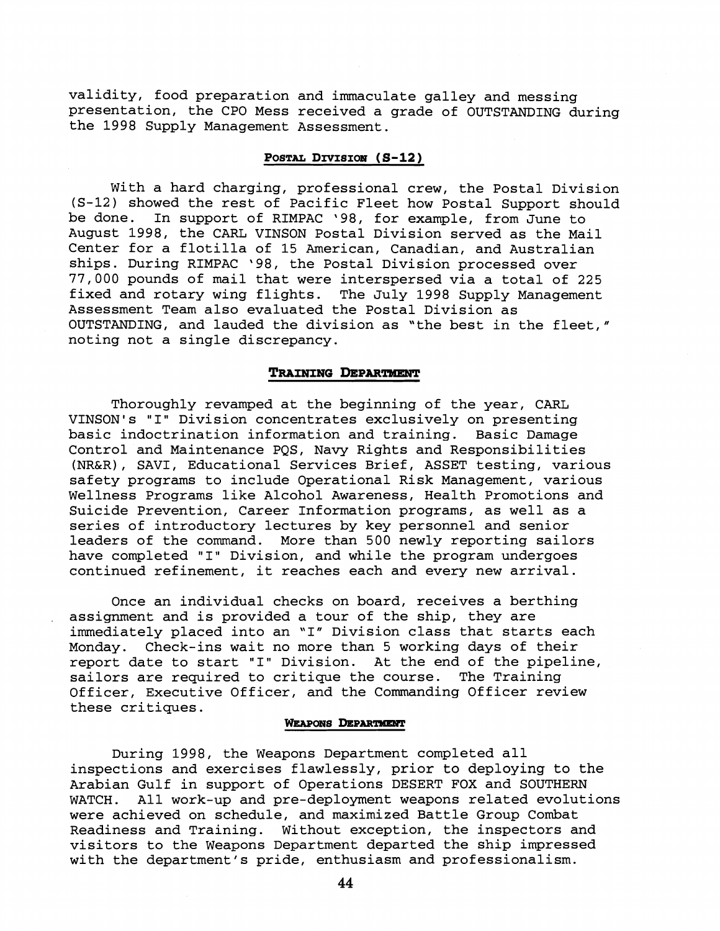validity, food preparation and immaculate galley and messing presentation, the CPO Mess received a grade of OUTSTANDING during the 1998 Supply Management Assessment.

# POSTAL DIVISION (S-12)

With a hard charging, professional crew, the Postal Division (S-12) showed the rest of Pacific Fleet how Postal Support should be done. In support of RIMPAC '98, for example, from June to August 1998, the CARL VINSON Postal Division served as the Mail Center for a flotilla of 15 American, Canadian, and Australian ships. During RIMPAC '98, the Postal Division processed over 77,000 pounds of mail that were interspersed via a total of 225 fixed and rotary wing flights. The July 1998 Supply Management Assessment Team also evaluated the Postal Division as OUTSTANDING, and lauded the division as "the best in the fleet," noting not a single discrepancy.

# **TRAINING DEPARTMENT**

Thoroughly revamped at the beginning of the year, CARL VINSON's "I" Division concentrates exclusively on presenting basic indoctrination information and training. Basic Damage Control and Maintenance PQS, Navy Rights and Responsibilities (NR&R), SAVI, Educational Services Brief, ASSET testing, various safety programs to include Operational Risk Management, various Wellness Programs like Alcohol Awareness, Health Promotions and Suicide Prevention, Career Information programs, as well as a series of introductory lectures by key personnel and senior leaders of the comand. More than 500 newly reporting sailors have completed "I" Division, and while the program undergoes continued refinement, it reaches each and every new arrival.

Once an individual checks on board, receives a berthing assignment and is provided a tour of the ship, they are immediately placed into an "I" Division class that starts each Monday. Check-ins wait no more than 5 working days of their report date to start "I" Division. At the end of the pipeline, sailors are required to critique the course. The Training Officer, Executive Officer, and the Commanding Officer review these critiques.

#### **WEAPONS DEPARTMENT**

During 1998, the Weapons Department completed all inspections and exercises flawlessly, prior to deploying to the Arabian Gulf in support of Operations DESERT FOX and SOUTHERN WATCH. All work-up and pre-deployment weapons related evolutions were achieved on schedule, and maximized Battle Group Combat Readiness and Training. Without exception, the inspectors and visitors to the Weapons Department departed the ship impressed with the department's pride, enthusiasm and professionalism.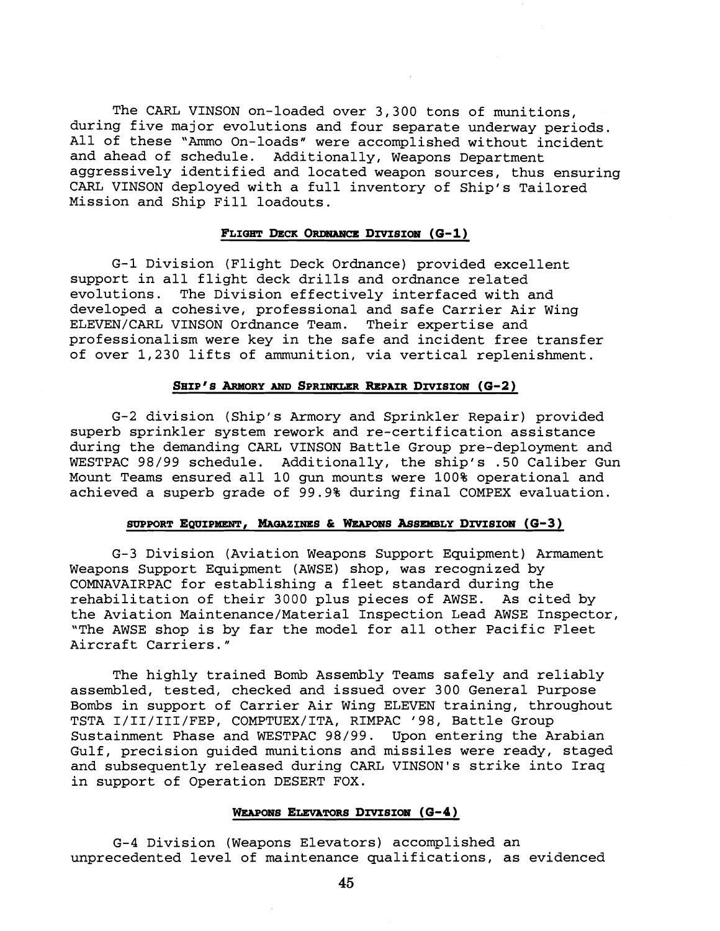The CARL VINSON on-loaded over 3,300 tons of munitions, during five major evolutions and four separate underway periods. All of these "Ammo On-loads" were accomplished without incident and ahead of schedule. Additionally, Weapons Department aggressively identified and located weapon sources, thus ensuring CARL VINSON deployed with a full inventory of Ship's Tailored Mission and Ship Fill loadouts.

# FLIGHT DECK ORDNANCE DIVISION (G-1)

G-1 Division (Flight Deck Ordnance) provided excellent support in all flight deck drills and ordnance related evolutions. The Division effectively interfaced with and developed a cohesive, professional and safe Carrier Air Wing ELEVEN/CARL VINSON Ordnance Team. Their expertise and professionalism were key in the safe and incident free transfer of over 1,230 lifts of ammunition, via vertical replenishment.

# **SHIP'S ARMORY AND SPRINKLER REPAIR DIVISION (G-2)**

G-2 division (Ship's Armory and Sprinkler Repair) provided superb sprinkler system rework and re-certification assistance during the demanding CARL VINSON Battle Group pre-deployment and WESTPAC 98/99 schedule. Additionally, the ship's .50 Caliber Gun Mount Teams ensured all 10 gun mounts were 100% operational and achieved a superb grade of 99.9% during final COMPEX evaluation.

# **SUPPORT EQUIPMENT, MAQAZINES** & **WEAPONS ASSEMEILY DIVISION (0-3** )

G-3 Division (Aviation Weapons Support Equipment) Armament Weapons Support Equipment (AWSE) shop, was recognized by COMNAVAIRPAC for establishing a fleet standard during the rehabilitation of their 3000 plus pieces of AWSE. As cited by the Aviation Maintenance/Material Inspection Lead AWSE Inspector, "The AWSE shop is by far the model for all other Pacific Fleet Aircraft Carriers."

The highly trained Bomb Assembly Teams safely and reliably assembled, tested, checked and issued over 300 General Purpose Bombs in support of Carrier Air Wing ELEVEN training, throughout TSTA I/II/III/FEP, COMPTUEX/ITA, RIMPAC '98, Battle Group Sustainment Phase and WESTPAC 98/99. Upon entering the Arabian Gulf, precision guided munitions and missiles were ready, staged and subsequently released during CARL VINSON's strike into Iraq in support of Operation DESERT FOX.

# WEAPONS ELEVATORS DIVISION (G-4)

G-4 Division (Weapons Elevators) accomplished an unprecedented level of maintenance qualifications, as evidenced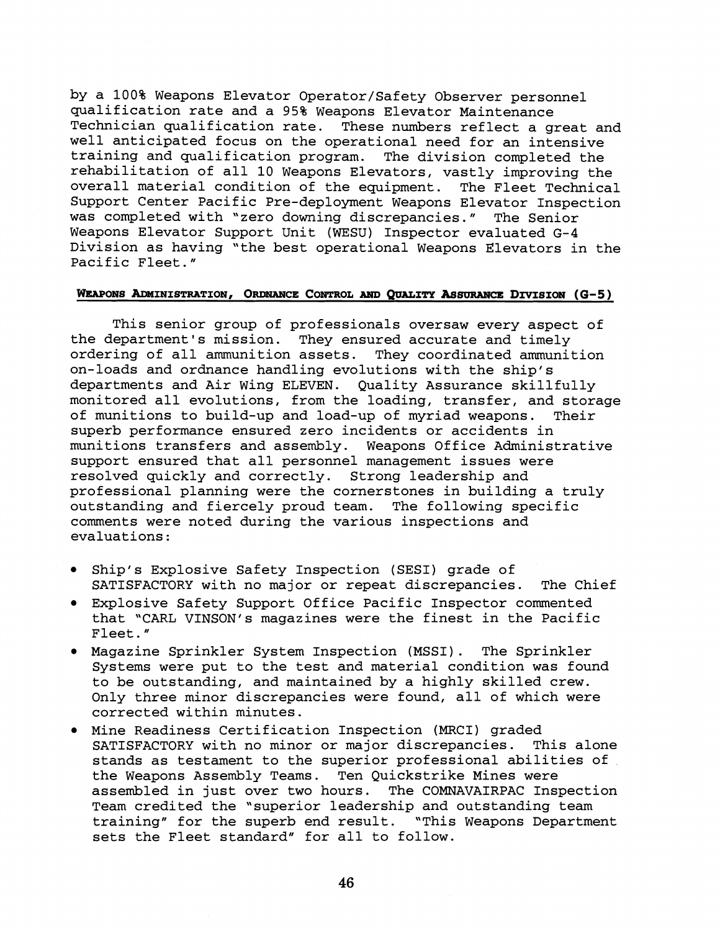by a 100% Weapons Elevator Operator/Safety Observer personnel qualification rate and a 95% Weapons Elevator Maintenance Technician qualification rate. These numbers reflect a great and well anticipated focus on the operational need for an intensive training and qualification program. The division completed the rehabilitation of all 10 Weapons Elevators, vastly improving the overall material condition of the equipment. The Fleet Technical Support Center Pacific Pre-deployment Weapons Elevator Inspection was completed with 'zero downing discrepancies." The Senior Weapons Elevator Support Unit (WESU) Inspector evaluated G-4 Division as having "the best operational Weapons Elevators in the Pacific Fleet."

# WEAPONS ADMINISTRATION, ORDNANCE CONTROL AND QUALITY ASSURANCE DIVISION (G-5)

This senior group of professionals oversaw every aspect of the department's mission. They ensured accurate and timely ordering of all ammunition assets. They coordinated ammunition on-loads and ordnance handling evolutions with the ship's departments and Air Wing ELEVEN. Quality Assurance skillfully monitored all evolutions, from the loading, transfer, and storage of munitions to build-up and load-up of myriad weapons. Their superb performance ensured zero incidents or accidents in munitions transfers and assembly. Weapons Office Administrative support ensured that all personnel management issues were resolved quickly and correctly. Strong leadership and professional planning were the cornerstones in building a truly outstanding and fiercely proud team. The following specific comments were noted during the various inspections and evaluations:

- Ship's Explosive Safety Inspection (SESI) grade of SATISFACTORY with no major or repeat discrepancies. The Chief
- Explosive Safety Support Office Pacific Inspector commented that "CARL VINSON's magazines were the finest in the Pacific Fleet. "
- Magazine Sprinkler System Inspection (MSSI). The Sprinkler Systems were put to the test and material condition was found to be outstanding, and maintained by a highly skilled crew. Only three minor discrepancies were found, all of which were corrected within minutes.
- Mine Readiness Certification Inspection (MRCI) graded SATISFACTORY with no minor or major discrepancies. This alone stands as testament to the superior professional abilities of the Weapons Assembly Teams. Ten Quickstrike Mines were assembled in just over two hours. The COMNAVAIRPAC Inspection Team credited the "superior leadership and outstanding team training" for the superb end result. "This Weapons Department sets the Fleet standard" for all to follow.